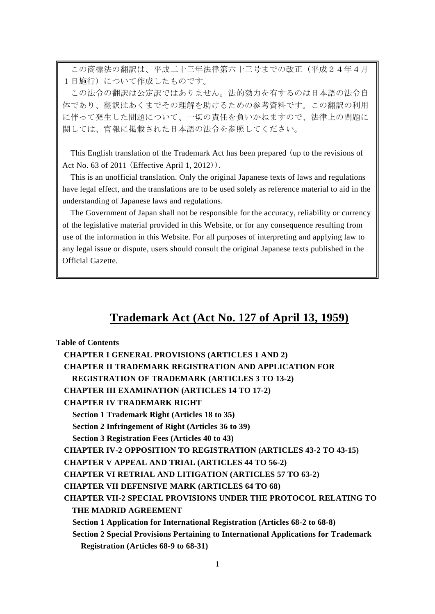この商標法の翻訳は、平成二十三年法律第六十三号までの改正(平成24年4月 1日施行)について作成したものです。

この法令の翻訳は公定訳ではありません。法的効力を有するのは日本語の法令自 体であり、翻訳はあくまでその理解を助けるための参考資料です。この翻訳の利用 に伴って発生した問題について、一切の責任を負いかねますので、法律上の問題に 関しては、官報に掲載された日本語の法令を参照してください。

 This English translation of the Trademark Act has been prepared (up to the revisions of Act No. 63 of 2011 (Effective April 1, 2012)).

 This is an unofficial translation. Only the original Japanese texts of laws and regulations have legal effect, and the translations are to be used solely as reference material to aid in the understanding of Japanese laws and regulations.

 The Government of Japan shall not be responsible for the accuracy, reliability or currency of the legislative material provided in this Website, or for any consequence resulting from use of the information in this Website. For all purposes of interpreting and applying law to any legal issue or dispute, users should consult the original Japanese texts published in the Official Gazette.

## **Trademark Act (Act No. 127 of April 13, 1959)**

## **Table of Contents CHAPTER I GENERAL PROVISIONS (ARTICLES 1 AND 2) CHAPTER II TRADEMARK REGISTRATION AND APPLICATION FOR REGISTRATION OF TRADEMARK (ARTICLES 3 TO 13-2) CHAPTER III EXAMINATION (ARTICLES 14 TO 17-2) CHAPTER IV TRADEMARK RIGHT Section 1 Trademark Right (Articles 18 to 35) Section 2 Infringement of Right (Articles 36 to 39) Section 3 Registration Fees (Articles 40 to 43) CHAPTER IV-2 OPPOSITION TO REGISTRATION (ARTICLES 43-2 TO 43-15) CHAPTER V APPEAL AND TRIAL (ARTICLES 44 TO 56-2) CHAPTER VI RETRIAL AND LITIGATION (ARTICLES 57 TO 63-2) CHAPTER VII DEFENSIVE MARK (ARTICLES 64 TO 68) CHAPTER VII-2 SPECIAL PROVISIONS UNDER THE PROTOCOL RELATING TO THE MADRID AGREEMENT Section 1 Application for International Registration (Articles 68-2 to 68-8) Section 2 Special Provisions Pertaining to International Applications for Trademark Registration (Articles 68-9 to 68-31)**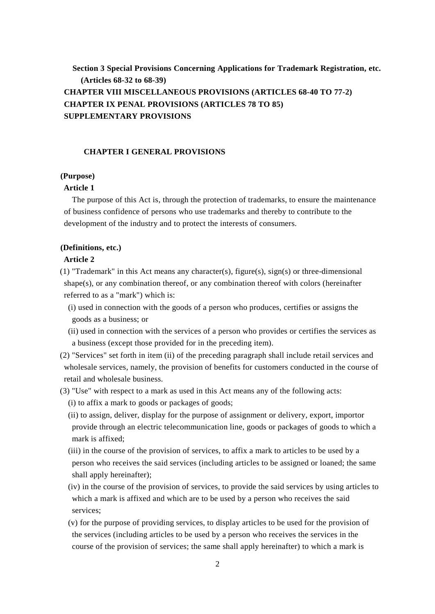**Section 3 Special Provisions Concerning Applications for Trademark Registration, etc. (Articles 68-32 to 68-39) CHAPTER VIII MISCELLANEOUS PROVISIONS (ARTICLES 68-40 TO 77-2) CHAPTER IX PENAL PROVISIONS (ARTICLES 78 TO 85) SUPPLEMENTARY PROVISIONS**

#### **CHAPTER I GENERAL PROVISIONS**

#### **(Purpose)**

#### **Article 1**

The purpose of this Act is, through the protection of trademarks, to ensure the maintenance of business confidence of persons who use trademarks and thereby to contribute to the development of the industry and to protect the interests of consumers.

#### **(Definitions, etc.)**

- (1) "Trademark" in this Act means any character(s), figure(s), sign(s) or three-dimensional shape(s), or any combination thereof, or any combination thereof with colors (hereinafter referred to as a "mark") which is:
	- (i) used in connection with the goods of a person who produces, certifies or assigns the goods as a business; or
	- (ii) used in connection with the services of a person who provides or certifies the services as a business (except those provided for in the preceding item).
- (2) "Services" set forth in item (ii) of the preceding paragraph shall include retail services and wholesale services, namely, the provision of benefits for customers conducted in the course of retail and wholesale business.
- (3) "Use" with respect to a mark as used in this Act means any of the following acts:
	- (i) to affix a mark to goods or packages of goods;
	- (ii) to assign, deliver, display for the purpose of assignment or delivery, export, importor provide through an electric telecommunication line, goods or packages of goods to which a mark is affixed;
	- (iii) in the course of the provision of services, to affix a mark to articles to be used by a person who receives the said services (including articles to be assigned or loaned; the same shall apply hereinafter);
	- (iv) in the course of the provision of services, to provide the said services by using articles to which a mark is affixed and which are to be used by a person who receives the said services;
	- (v) for the purpose of providing services, to display articles to be used for the provision of the services (including articles to be used by a person who receives the services in the course of the provision of services; the same shall apply hereinafter) to which a mark is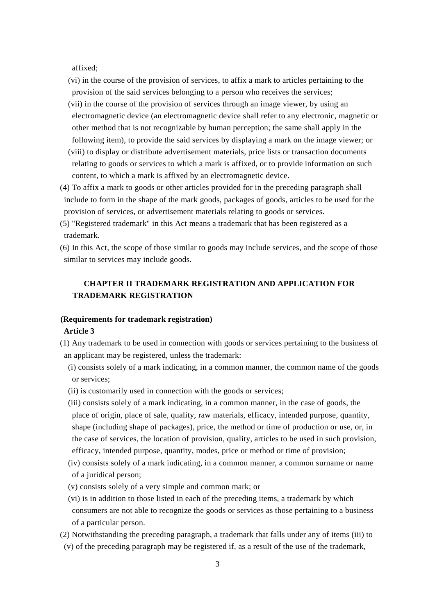affixed;

- (vi) in the course of the provision of services, to affix a mark to articles pertaining to the provision of the said services belonging to a person who receives the services;
- (vii) in the course of the provision of services through an image viewer, by using an electromagnetic device (an electromagnetic device shall refer to any electronic, magnetic or other method that is not recognizable by human perception; the same shall apply in the following item), to provide the said services by displaying a mark on the image viewer; or
- (viii) to display or distribute advertisement materials, price lists or transaction documents relating to goods or services to which a mark is affixed, or to provide information on such content, to which a mark is affixed by an electromagnetic device.
- (4) To affix a mark to goods or other articles provided for in the preceding paragraph shall include to form in the shape of the mark goods, packages of goods, articles to be used for the provision of services, or advertisement materials relating to goods or services.
- (5) "Registered trademark" in this Act means a trademark that has been registered as a trademark.
- (6) In this Act, the scope of those similar to goods may include services, and the scope of those similar to services may include goods.

## **CHAPTER II TRADEMARK REGISTRATION AND APPLICATION FOR TRADEMARK REGISTRATION**

### **(Requirements for trademark registration)**

- (1) Any trademark to be used in connection with goods or services pertaining to the business of an applicant may be registered, unless the trademark:
	- (i) consists solely of a mark indicating, in a common manner, the common name of the goods or services;
	- (ii) is customarily used in connection with the goods or services;
	- (iii) consists solely of a mark indicating, in a common manner, in the case of goods, the place of origin, place of sale, quality, raw materials, efficacy, intended purpose, quantity, shape (including shape of packages), price, the method or time of production or use, or, in the case of services, the location of provision, quality, articles to be used in such provision, efficacy, intended purpose, quantity, modes, price or method or time of provision;
	- (iv) consists solely of a mark indicating, in a common manner, a common surname or name of a juridical person;
	- (v) consists solely of a very simple and common mark; or
	- (vi) is in addition to those listed in each of the preceding items, a trademark by which consumers are not able to recognize the goods or services as those pertaining to a business of a particular person.
- (2) Notwithstanding the preceding paragraph, a trademark that falls under any of items (iii) to
- (v) of the preceding paragraph may be registered if, as a result of the use of the trademark,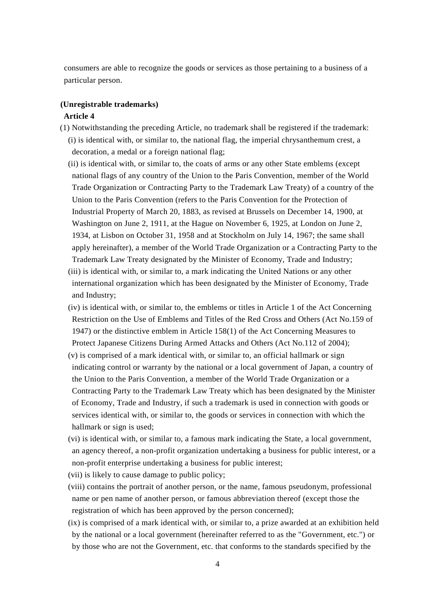consumers are able to recognize the goods or services as those pertaining to a business of a particular person.

#### **(Unregistrable trademarks)**

#### **Article 4**

(1) Notwithstanding the preceding Article, no trademark shall be registered if the trademark: (i) is identical with, or similar to, the national flag, the imperial chrysanthemum crest, a decoration, a medal or a foreign national flag;

(ii) is identical with, or similar to, the coats of arms or any other State emblems (except national flags of any country of the Union to the Paris Convention, member of the World Trade Organization or Contracting Party to the Trademark Law Treaty) of a country of the Union to the Paris Convention (refers to the Paris Convention for the Protection of Industrial Property of March 20, 1883, as revised at Brussels on December 14, 1900, at Washington on June 2, 1911, at the Hague on November 6, 1925, at London on June 2, 1934, at Lisbon on October 31, 1958 and at Stockholm on July 14, 1967; the same shall apply hereinafter), a member of the World Trade Organization or a Contracting Party to the Trademark Law Treaty designated by the Minister of Economy, Trade and Industry;

- (iii) is identical with, or similar to, a mark indicating the United Nations or any other international organization which has been designated by the Minister of Economy, Trade and Industry;
- (iv) is identical with, or similar to, the emblems or titles in Article 1 of the Act Concerning Restriction on the Use of Emblems and Titles of the Red Cross and Others (Act No.159 of 1947) or the distinctive emblem in Article 158(1) of the Act Concerning Measures to Protect Japanese Citizens During Armed Attacks and Others (Act No.112 of 2004);
- (v) is comprised of a mark identical with, or similar to, an official hallmark or sign indicating control or warranty by the national or a local government of Japan, a country of the Union to the Paris Convention, a member of the World Trade Organization or a Contracting Party to the Trademark Law Treaty which has been designated by the Minister of Economy, Trade and Industry, if such a trademark is used in connection with goods or services identical with, or similar to, the goods or services in connection with which the hallmark or sign is used;
- (vi) is identical with, or similar to, a famous mark indicating the State, a local government, an agency thereof, a non-profit organization undertaking a business for public interest, or a non-profit enterprise undertaking a business for public interest;
- (vii) is likely to cause damage to public policy;
- (viii) contains the portrait of another person, or the name, famous pseudonym, professional name or pen name of another person, or famous abbreviation thereof (except those the registration of which has been approved by the person concerned);
- (ix) is comprised of a mark identical with, or similar to, a prize awarded at an exhibition held by the national or a local government (hereinafter referred to as the "Government, etc.") or by those who are not the Government, etc. that conforms to the standards specified by the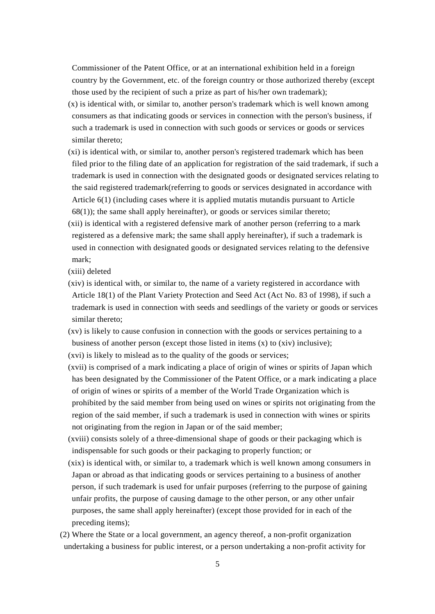Commissioner of the Patent Office, or at an international exhibition held in a foreign country by the Government, etc. of the foreign country or those authorized thereby (except those used by the recipient of such a prize as part of his/her own trademark);

- (x) is identical with, or similar to, another person's trademark which is well known among consumers as that indicating goods or services in connection with the person's business, if such a trademark is used in connection with such goods or services or goods or services similar thereto;
- (xi) is identical with, or similar to, another person's registered trademark which has been filed prior to the filing date of an application for registration of the said trademark, if such a trademark is used in connection with the designated goods or designated services relating to the said registered trademark(referring to goods or services designated in accordance with Article 6(1) (including cases where it is applied mutatis mutandis pursuant to Article  $68(1)$ ; the same shall apply hereinafter), or goods or services similar thereto;
- (xii) is identical with a registered defensive mark of another person (referring to a mark registered as a defensive mark; the same shall apply hereinafter), if such a trademark is used in connection with designated goods or designated services relating to the defensive mark;
- (xiii) deleted
- (xiv) is identical with, or similar to, the name of a variety registered in accordance with Article 18(1) of the Plant Variety Protection and Seed Act (Act No. 83 of 1998), if such a trademark is used in connection with seeds and seedlings of the variety or goods or services similar thereto;

(xv) is likely to cause confusion in connection with the goods or services pertaining to a business of another person (except those listed in items  $(x)$  to  $(xiv)$  inclusive); (xvi) is likely to mislead as to the quality of the goods or services;

- (xvii) is comprised of a mark indicating a place of origin of wines or spirits of Japan which has been designated by the Commissioner of the Patent Office, or a mark indicating a place of origin of wines or spirits of a member of the World Trade Organization which is prohibited by the said member from being used on wines or spirits not originating from the region of the said member, if such a trademark is used in connection with wines or spirits not originating from the region in Japan or of the said member;
- (xviii) consists solely of a three-dimensional shape of goods or their packaging which is indispensable for such goods or their packaging to properly function; or
- (xix) is identical with, or similar to, a trademark which is well known among consumers in Japan or abroad as that indicating goods or services pertaining to a business of another person, if such trademark is used for unfair purposes (referring to the purpose of gaining unfair profits, the purpose of causing damage to the other person, or any other unfair purposes, the same shall apply hereinafter) (except those provided for in each of the preceding items);
- (2) Where the State or a local government, an agency thereof, a non-profit organization undertaking a business for public interest, or a person undertaking a non-profit activity for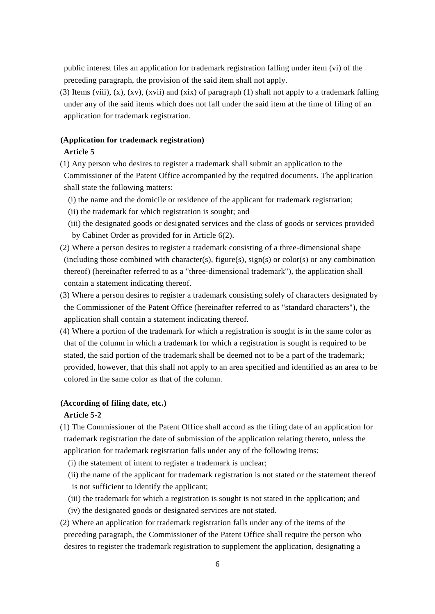public interest files an application for trademark registration falling under item (vi) of the preceding paragraph, the provision of the said item shall not apply.

(3) Items (viii), (x), (xv), (xvii) and (xix) of paragraph (1) shall not apply to a trademark falling under any of the said items which does not fall under the said item at the time of filing of an application for trademark registration.

#### **(Application for trademark registration)**

#### **Article 5**

- (1) Any person who desires to register a trademark shall submit an application to the Commissioner of the Patent Office accompanied by the required documents. The application shall state the following matters:
	- (i) the name and the domicile or residence of the applicant for trademark registration;
	- (ii) the trademark for which registration is sought; and
	- (iii) the designated goods or designated services and the class of goods or services provided by Cabinet Order as provided for in Article 6(2).
- (2) Where a person desires to register a trademark consisting of a three-dimensional shape  $(including those combined with character(s), figure(s), sign(s) or color(s) or any combination$ thereof) (hereinafter referred to as a "three-dimensional trademark"), the application shall contain a statement indicating thereof.
- (3) Where a person desires to register a trademark consisting solely of characters designated by the Commissioner of the Patent Office (hereinafter referred to as "standard characters"), the application shall contain a statement indicating thereof.
- (4) Where a portion of the trademark for which a registration is sought is in the same color as that of the column in which a trademark for which a registration is sought is required to be stated, the said portion of the trademark shall be deemed not to be a part of the trademark; provided, however, that this shall not apply to an area specified and identified as an area to be colored in the same color as that of the column.

#### **(According of filing date, etc.)**

#### **Article 5-2**

- (1) The Commissioner of the Patent Office shall accord as the filing date of an application for trademark registration the date of submission of the application relating thereto, unless the application for trademark registration falls under any of the following items:
	- (i) the statement of intent to register a trademark is unclear;
	- (ii) the name of the applicant for trademark registration is not stated or the statement thereof is not sufficient to identify the applicant;
	- (iii) the trademark for which a registration is sought is not stated in the application; and
	- (iv) the designated goods or designated services are not stated.
- (2) Where an application for trademark registration falls under any of the items of the preceding paragraph, the Commissioner of the Patent Office shall require the person who desires to register the trademark registration to supplement the application, designating a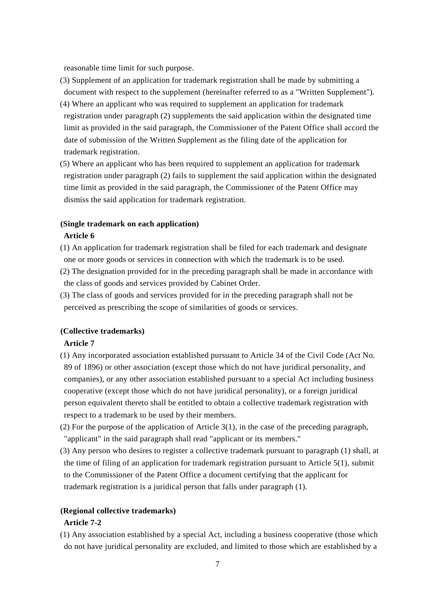reasonable time limit for such purpose.

- (3) Supplement of an application for trademark registration shall be made by submitting a document with respect to the supplement (hereinafter referred to as a "Written Supplement").
- (4) Where an applicant who was required to supplement an application for trademark registration under paragraph (2) supplements the said application within the designated time limit as provided in the said paragraph, the Commissioner of the Patent Office shall accord the date of submission of the Written Supplement as the filing date of the application for trademark registration.
- (5) Where an applicant who has been required to supplement an application for trademark registration under paragraph (2) fails to supplement the said application within the designated time limit as provided in the said paragraph, the Commissioner of the Patent Office may dismiss the said application for trademark registration.

#### **(Single trademark on each application)**

#### **Article 6**

- (1) An application for trademark registration shall be filed for each trademark and designate one or more goods or services in connection with which the trademark is to be used.
- (2) The designation provided for in the preceding paragraph shall be made in accordance with the class of goods and services provided by Cabinet Order.
- (3) The class of goods and services provided for in the preceding paragraph shall not be perceived as prescribing the scope of similarities of goods or services.

#### **(Collective trademarks)**

#### **Article 7**

- (1) Any incorporated association established pursuant to Article 34 of the Civil Code (Act No. 89 of 1896) or other association (except those which do not have juridical personality, and companies), or any other association established pursuant to a special Act including business cooperative (except those which do not have juridical personality), or a foreign juridical person equivalent thereto shall be entitled to obtain a collective trademark registration with respect to a trademark to be used by their members.
- (2) For the purpose of the application of Article 3(1), in the case of the preceding paragraph, "applicant" in the said paragraph shall read "applicant or its members."
- (3) Any person who desires to register a collective trademark pursuant to paragraph (1) shall, at the time of filing of an application for trademark registration pursuant to Article 5(1), submit to the Commissioner of the Patent Office a document certifying that the applicant for trademark registration is a juridical person that falls under paragraph (1).

#### **(Regional collective trademarks)**

#### **Article 7-2**

(1) Any association established by a special Act, including a business cooperative (those which do not have juridical personality are excluded, and limited to those which are established by a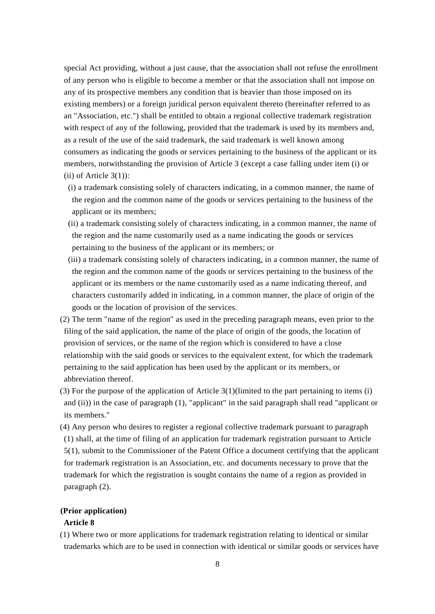special Act providing, without a just cause, that the association shall not refuse the enrollment of any person who is eligible to become a member or that the association shall not impose on any of its prospective members any condition that is heavier than those imposed on its existing members) or a foreign juridical person equivalent thereto (hereinafter referred to as an "Association, etc.") shall be entitled to obtain a regional collective trademark registration with respect of any of the following, provided that the trademark is used by its members and, as a result of the use of the said trademark, the said trademark is well known among consumers as indicating the goods or services pertaining to the business of the applicant or its members, notwithstanding the provision of Article 3 (except a case falling under item (i) or  $(ii)$  of Article  $3(1)$ :

- (i) a trademark consisting solely of characters indicating, in a common manner, the name of the region and the common name of the goods or services pertaining to the business of the applicant or its members;
- (ii) a trademark consisting solely of characters indicating, in a common manner, the name of the region and the name customarily used as a name indicating the goods or services pertaining to the business of the applicant or its members; or
- (iii) a trademark consisting solely of characters indicating, in a common manner, the name of the region and the common name of the goods or services pertaining to the business of the applicant or its members or the name customarily used as a name indicating thereof, and characters customarily added in indicating, in a common manner, the place of origin of the goods or the location of provision of the services.
- (2) The term "name of the region" as used in the preceding paragraph means, even prior to the filing of the said application, the name of the place of origin of the goods, the location of provision of services, or the name of the region which is considered to have a close relationship with the said goods or services to the equivalent extent, for which the trademark pertaining to the said application has been used by the applicant or its members, or abbreviation thereof.
- (3) For the purpose of the application of Article 3(1)(limited to the part pertaining to items (i) and (ii)) in the case of paragraph (1), "applicant" in the said paragraph shall read "applicant or its members."
- (4) Any person who desires to register a regional collective trademark pursuant to paragraph (1) shall, at the time of filing of an application for trademark registration pursuant to Article 5(1), submit to the Commissioner of the Patent Office a document certifying that the applicant for trademark registration is an Association, etc. and documents necessary to prove that the trademark for which the registration is sought contains the name of a region as provided in paragraph (2).

#### **(Prior application)**

#### **Article 8**

(1) Where two or more applications for trademark registration relating to identical or similar trademarks which are to be used in connection with identical or similar goods or services have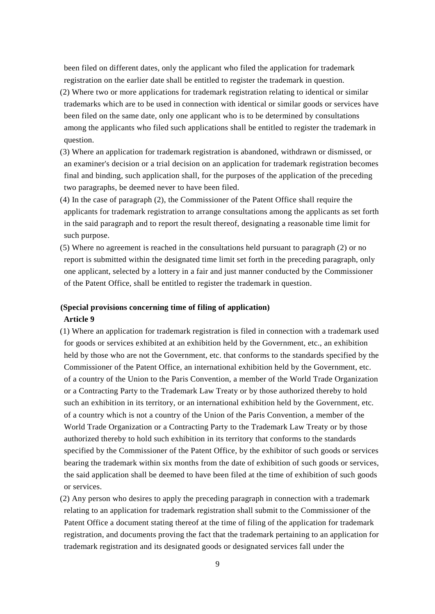been filed on different dates, only the applicant who filed the application for trademark registration on the earlier date shall be entitled to register the trademark in question.

- (2) Where two or more applications for trademark registration relating to identical or similar trademarks which are to be used in connection with identical or similar goods or services have been filed on the same date, only one applicant who is to be determined by consultations among the applicants who filed such applications shall be entitled to register the trademark in question.
- (3) Where an application for trademark registration is abandoned, withdrawn or dismissed, or an examiner's decision or a trial decision on an application for trademark registration becomes final and binding, such application shall, for the purposes of the application of the preceding two paragraphs, be deemed never to have been filed.
- (4) In the case of paragraph (2), the Commissioner of the Patent Office shall require the applicants for trademark registration to arrange consultations among the applicants as set forth in the said paragraph and to report the result thereof, designating a reasonable time limit for such purpose.
- (5) Where no agreement is reached in the consultations held pursuant to paragraph (2) or no report is submitted within the designated time limit set forth in the preceding paragraph, only one applicant, selected by a lottery in a fair and just manner conducted by the Commissioner of the Patent Office, shall be entitled to register the trademark in question.

## **(Special provisions concerning time of filing of application) Article 9**

- (1) Where an application for trademark registration is filed in connection with a trademark used for goods or services exhibited at an exhibition held by the Government, etc., an exhibition held by those who are not the Government, etc. that conforms to the standards specified by the Commissioner of the Patent Office, an international exhibition held by the Government, etc. of a country of the Union to the Paris Convention, a member of the World Trade Organization or a Contracting Party to the Trademark Law Treaty or by those authorized thereby to hold such an exhibition in its territory, or an international exhibition held by the Government, etc. of a country which is not a country of the Union of the Paris Convention, a member of the World Trade Organization or a Contracting Party to the Trademark Law Treaty or by those authorized thereby to hold such exhibition in its territory that conforms to the standards specified by the Commissioner of the Patent Office, by the exhibitor of such goods or services bearing the trademark within six months from the date of exhibition of such goods or services, the said application shall be deemed to have been filed at the time of exhibition of such goods or services.
- (2) Any person who desires to apply the preceding paragraph in connection with a trademark relating to an application for trademark registration shall submit to the Commissioner of the Patent Office a document stating thereof at the time of filing of the application for trademark registration, and documents proving the fact that the trademark pertaining to an application for trademark registration and its designated goods or designated services fall under the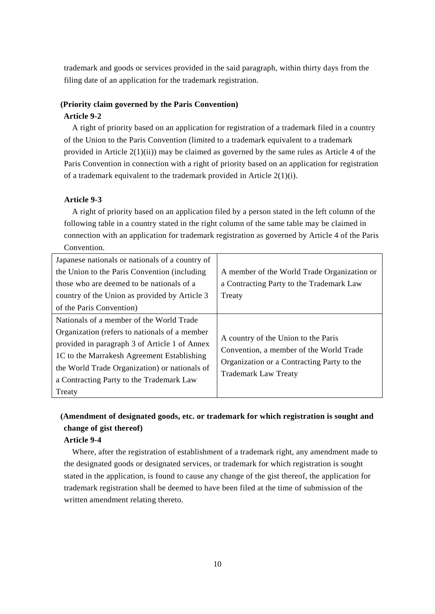trademark and goods or services provided in the said paragraph, within thirty days from the filing date of an application for the trademark registration.

#### **(Priority claim governed by the Paris Convention)**

#### **Article 9-2**

A right of priority based on an application for registration of a trademark filed in a country of the Union to the Paris Convention (limited to a trademark equivalent to a trademark provided in Article 2(1)(ii)) may be claimed as governed by the same rules as Article 4 of the Paris Convention in connection with a right of priority based on an application for registration of a trademark equivalent to the trademark provided in Article 2(1)(i).

#### **Article 9-3**

A right of priority based on an application filed by a person stated in the left column of the following table in a country stated in the right column of the same table may be claimed in connection with an application for trademark registration as governed by Article 4 of the Paris Convention.

| Japanese nationals or nationals of a country of                                             |                                                                                                                              |                                               |
|---------------------------------------------------------------------------------------------|------------------------------------------------------------------------------------------------------------------------------|-----------------------------------------------|
| the Union to the Paris Convention (including)                                               | A member of the World Trade Organization or                                                                                  |                                               |
| those who are deemed to be nationals of a                                                   | a Contracting Party to the Trademark Law                                                                                     |                                               |
| country of the Union as provided by Article 3                                               | Treaty                                                                                                                       |                                               |
| of the Paris Convention)                                                                    |                                                                                                                              |                                               |
| Nationals of a member of the World Trade                                                    |                                                                                                                              |                                               |
| Organization (refers to nationals of a member                                               |                                                                                                                              |                                               |
| provided in paragraph 3 of Article 1 of Annex<br>1C to the Marrakesh Agreement Establishing | A country of the Union to the Paris<br>Convention, a member of the World Trade<br>Organization or a Contracting Party to the |                                               |
|                                                                                             |                                                                                                                              | the World Trade Organization) or nationals of |
| a Contracting Party to the Trademark Law                                                    |                                                                                                                              | <b>Trademark Law Treaty</b>                   |
| Treaty                                                                                      |                                                                                                                              |                                               |

## **(Amendment of designated goods, etc. or trademark for which registration is sought and change of gist thereof)**

#### **Article 9-4**

Where, after the registration of establishment of a trademark right, any amendment made to the designated goods or designated services, or trademark for which registration is sought stated in the application, is found to cause any change of the gist thereof, the application for trademark registration shall be deemed to have been filed at the time of submission of the written amendment relating thereto.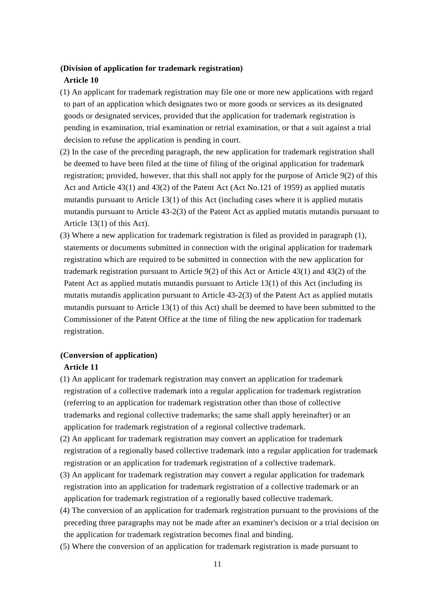### **(Division of application for trademark registration) Article 10**

- (1) An applicant for trademark registration may file one or more new applications with regard to part of an application which designates two or more goods or services as its designated goods or designated services, provided that the application for trademark registration is pending in examination, trial examination or retrial examination, or that a suit against a trial decision to refuse the application is pending in court.
- (2) In the case of the preceding paragraph, the new application for trademark registration shall be deemed to have been filed at the time of filing of the original application for trademark registration; provided, however, that this shall not apply for the purpose of Article 9(2) of this Act and Article 43(1) and 43(2) of the Patent Act (Act No.121 of 1959) as applied mutatis mutandis pursuant to Article 13(1) of this Act (including cases where it is applied mutatis mutandis pursuant to Article 43-2(3) of the Patent Act as applied mutatis mutandis pursuant to Article 13(1) of this Act).
- (3) Where a new application for trademark registration is filed as provided in paragraph (1), statements or documents submitted in connection with the original application for trademark registration which are required to be submitted in connection with the new application for trademark registration pursuant to Article 9(2) of this Act or Article 43(1) and 43(2) of the Patent Act as applied mutatis mutandis pursuant to Article 13(1) of this Act (including its mutatis mutandis application pursuant to Article 43-2(3) of the Patent Act as applied mutatis mutandis pursuant to Article 13(1) of this Act) shall be deemed to have been submitted to the Commissioner of the Patent Office at the time of filing the new application for trademark registration.

## **(Conversion of application)**

- (1) An applicant for trademark registration may convert an application for trademark registration of a collective trademark into a regular application for trademark registration (referring to an application for trademark registration other than those of collective trademarks and regional collective trademarks; the same shall apply hereinafter) or an application for trademark registration of a regional collective trademark.
- (2) An applicant for trademark registration may convert an application for trademark registration of a regionally based collective trademark into a regular application for trademark registration or an application for trademark registration of a collective trademark.
- (3) An applicant for trademark registration may convert a regular application for trademark registration into an application for trademark registration of a collective trademark or an application for trademark registration of a regionally based collective trademark.
- (4) The conversion of an application for trademark registration pursuant to the provisions of the preceding three paragraphs may not be made after an examiner's decision or a trial decision on the application for trademark registration becomes final and binding.
- (5) Where the conversion of an application for trademark registration is made pursuant to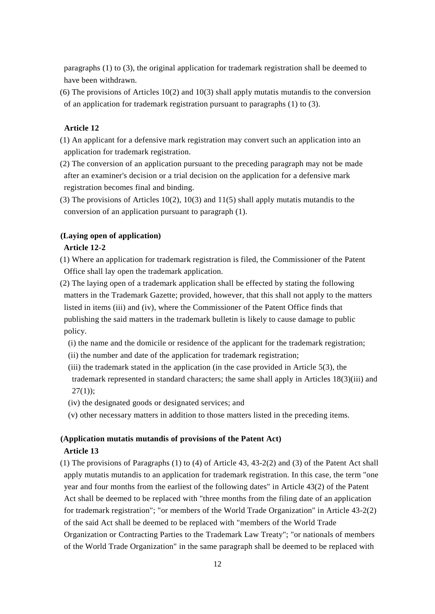paragraphs (1) to (3), the original application for trademark registration shall be deemed to have been withdrawn.

(6) The provisions of Articles 10(2) and 10(3) shall apply mutatis mutandis to the conversion of an application for trademark registration pursuant to paragraphs (1) to (3).

#### **Article 12**

- (1) An applicant for a defensive mark registration may convert such an application into an application for trademark registration.
- (2) The conversion of an application pursuant to the preceding paragraph may not be made after an examiner's decision or a trial decision on the application for a defensive mark registration becomes final and binding.
- (3) The provisions of Articles 10(2), 10(3) and 11(5) shall apply mutatis mutandis to the conversion of an application pursuant to paragraph (1).

#### **(Laying open of application)**

#### **Article 12-2**

- (1) Where an application for trademark registration is filed, the Commissioner of the Patent Office shall lay open the trademark application.
- (2) The laying open of a trademark application shall be effected by stating the following matters in the Trademark Gazette; provided, however, that this shall not apply to the matters listed in items (iii) and (iv), where the Commissioner of the Patent Office finds that publishing the said matters in the trademark bulletin is likely to cause damage to public policy.
	- (i) the name and the domicile or residence of the applicant for the trademark registration;
	- (ii) the number and date of the application for trademark registration;
	- (iii) the trademark stated in the application (in the case provided in Article 5(3), the trademark represented in standard characters; the same shall apply in Articles 18(3)(iii) and  $27(1)$ ;
	- (iv) the designated goods or designated services; and
	- (v) other necessary matters in addition to those matters listed in the preceding items.

## **(Application mutatis mutandis of provisions of the Patent Act) Article 13**

(1) The provisions of Paragraphs (1) to (4) of Article 43, 43-2(2) and (3) of the Patent Act shall apply mutatis mutandis to an application for trademark registration. In this case, the term "one year and four months from the earliest of the following dates" in Article 43(2) of the Patent Act shall be deemed to be replaced with "three months from the filing date of an application for trademark registration"; "or members of the World Trade Organization" in Article 43-2(2) of the said Act shall be deemed to be replaced with "members of the World Trade Organization or Contracting Parties to the Trademark Law Treaty"; "or nationals of members of the World Trade Organization" in the same paragraph shall be deemed to be replaced with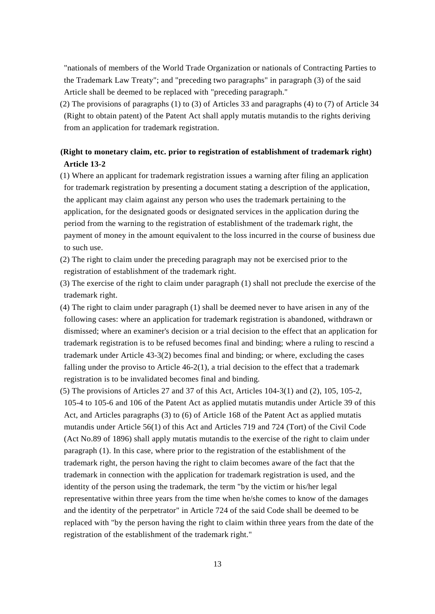"nationals of members of the World Trade Organization or nationals of Contracting Parties to the Trademark Law Treaty"; and "preceding two paragraphs" in paragraph (3) of the said Article shall be deemed to be replaced with "preceding paragraph."

(2) The provisions of paragraphs (1) to (3) of Articles 33 and paragraphs (4) to (7) of Article 34 (Right to obtain patent) of the Patent Act shall apply mutatis mutandis to the rights deriving from an application for trademark registration.

## **(Right to monetary claim, etc. prior to registration of establishment of trademark right) Article 13-2**

- (1) Where an applicant for trademark registration issues a warning after filing an application for trademark registration by presenting a document stating a description of the application, the applicant may claim against any person who uses the trademark pertaining to the application, for the designated goods or designated services in the application during the period from the warning to the registration of establishment of the trademark right, the payment of money in the amount equivalent to the loss incurred in the course of business due to such use.
- (2) The right to claim under the preceding paragraph may not be exercised prior to the registration of establishment of the trademark right.
- (3) The exercise of the right to claim under paragraph (1) shall not preclude the exercise of the trademark right.
- (4) The right to claim under paragraph (1) shall be deemed never to have arisen in any of the following cases: where an application for trademark registration is abandoned, withdrawn or dismissed; where an examiner's decision or a trial decision to the effect that an application for trademark registration is to be refused becomes final and binding; where a ruling to rescind a trademark under Article 43-3(2) becomes final and binding; or where, excluding the cases falling under the proviso to Article 46-2(1), a trial decision to the effect that a trademark registration is to be invalidated becomes final and binding.
- (5) The provisions of Articles 27 and 37 of this Act, Articles 104-3(1) and (2), 105, 105-2, 105-4 to 105-6 and 106 of the Patent Act as applied mutatis mutandis under Article 39 of this Act, and Articles paragraphs (3) to (6) of Article 168 of the Patent Act as applied mutatis mutandis under Article 56(1) of this Act and Articles 719 and 724 (Tort) of the Civil Code (Act No.89 of 1896) shall apply mutatis mutandis to the exercise of the right to claim under paragraph (1). In this case, where prior to the registration of the establishment of the trademark right, the person having the right to claim becomes aware of the fact that the trademark in connection with the application for trademark registration is used, and the identity of the person using the trademark, the term "by the victim or his/her legal representative within three years from the time when he/she comes to know of the damages and the identity of the perpetrator" in Article 724 of the said Code shall be deemed to be replaced with "by the person having the right to claim within three years from the date of the registration of the establishment of the trademark right."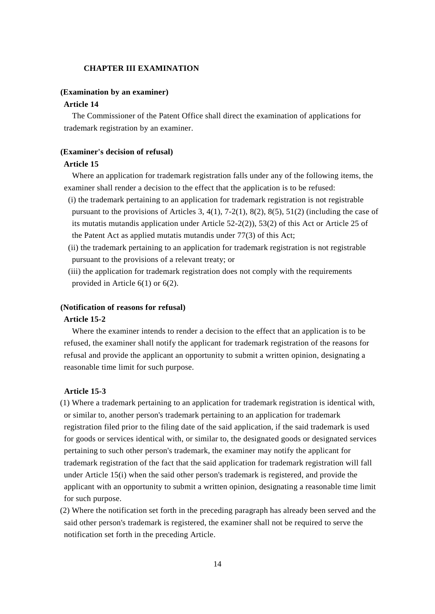#### **CHAPTER III EXAMINATION**

#### **(Examination by an examiner)**

## **Article 14**

The Commissioner of the Patent Office shall direct the examination of applications for trademark registration by an examiner.

#### **(Examiner's decision of refusal)**

#### **Article 15**

Where an application for trademark registration falls under any of the following items, the examiner shall render a decision to the effect that the application is to be refused:

- (i) the trademark pertaining to an application for trademark registration is not registrable pursuant to the provisions of Articles 3, 4(1), 7-2(1), 8(2), 8(5), 51(2) (including the case of its mutatis mutandis application under Article 52-2(2)), 53(2) of this Act or Article 25 of the Patent Act as applied mutatis mutandis under 77(3) of this Act;
- (ii) the trademark pertaining to an application for trademark registration is not registrable pursuant to the provisions of a relevant treaty; or
- (iii) the application for trademark registration does not comply with the requirements provided in Article 6(1) or 6(2).

#### **(Notification of reasons for refusal)**

#### **Article 15-2**

Where the examiner intends to render a decision to the effect that an application is to be refused, the examiner shall notify the applicant for trademark registration of the reasons for refusal and provide the applicant an opportunity to submit a written opinion, designating a reasonable time limit for such purpose.

#### **Article 15-3**

(1) Where a trademark pertaining to an application for trademark registration is identical with, or similar to, another person's trademark pertaining to an application for trademark registration filed prior to the filing date of the said application, if the said trademark is used for goods or services identical with, or similar to, the designated goods or designated services pertaining to such other person's trademark, the examiner may notify the applicant for trademark registration of the fact that the said application for trademark registration will fall under Article 15(i) when the said other person's trademark is registered, and provide the applicant with an opportunity to submit a written opinion, designating a reasonable time limit for such purpose.

(2) Where the notification set forth in the preceding paragraph has already been served and the said other person's trademark is registered, the examiner shall not be required to serve the notification set forth in the preceding Article.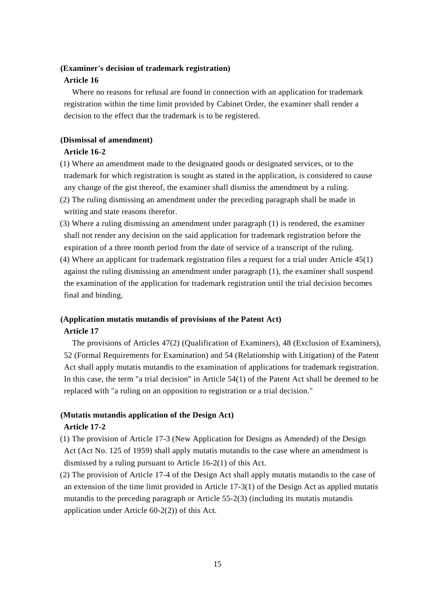#### **(Examiner's decision of trademark registration)**

#### **Article 16**

Where no reasons for refusal are found in connection with an application for trademark registration within the time limit provided by Cabinet Order, the examiner shall render a decision to the effect that the trademark is to be registered.

#### **(Dismissal of amendment)**

#### **Article 16-2**

- (1) Where an amendment made to the designated goods or designated services, or to the trademark for which registration is sought as stated in the application, is considered to cause any change of the gist thereof, the examiner shall dismiss the amendment by a ruling.
- (2) The ruling dismissing an amendment under the preceding paragraph shall be made in writing and state reasons therefor.
- (3) Where a ruling dismissing an amendment under paragraph (1) is rendered, the examiner shall not render any decision on the said application for trademark registration before the expiration of a three month period from the date of service of a transcript of the ruling.
- (4) Where an applicant for trademark registration files a request for a trial under Article 45(1) against the ruling dismissing an amendment under paragraph (1), the examiner shall suspend the examination of the application for trademark registration until the trial decision becomes final and binding.

#### **(Application mutatis mutandis of provisions of the Patent Act)**

#### **Article 17**

The provisions of Articles 47(2) (Qualification of Examiners), 48 (Exclusion of Examiners), 52 (Formal Requirements for Examination) and 54 (Relationship with Litigation) of the Patent Act shall apply mutatis mutandis to the examination of applications for trademark registration. In this case, the term "a trial decision" in Article 54(1) of the Patent Act shall be deemed to be replaced with "a ruling on an opposition to registration or a trial decision."

## **(Mutatis mutandis application of the Design Act)**

#### **Article 17-2**

- (1) The provision of Article 17-3 (New Application for Designs as Amended) of the Design Act (Act No. 125 of 1959) shall apply mutatis mutandis to the case where an amendment is dismissed by a ruling pursuant to Article 16-2(1) of this Act.
- (2) The provision of Article 17-4 of the Design Act shall apply mutatis mutandis to the case of an extension of the time limit provided in Article 17-3(1) of the Design Act as applied mutatis mutandis to the preceding paragraph or Article 55-2(3) (including its mutatis mutandis application under Article 60-2(2)) of this Act.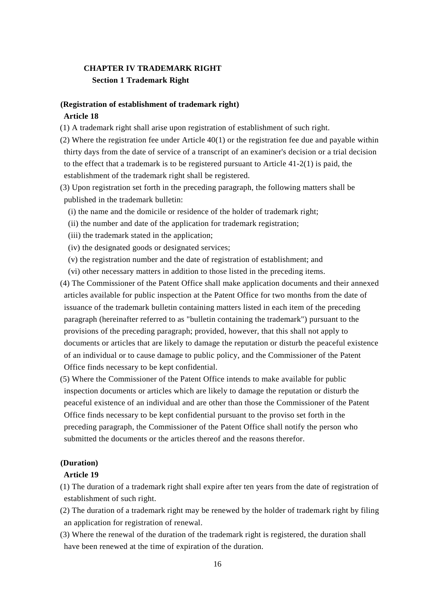## **CHAPTER IV TRADEMARK RIGHT Section 1 Trademark Right**

# **(Registration of establishment of trademark right)**

### **Article 18**

- (1) A trademark right shall arise upon registration of establishment of such right.
- (2) Where the registration fee under Article 40(1) or the registration fee due and payable within thirty days from the date of service of a transcript of an examiner's decision or a trial decision to the effect that a trademark is to be registered pursuant to Article 41-2(1) is paid, the establishment of the trademark right shall be registered.
- (3) Upon registration set forth in the preceding paragraph, the following matters shall be published in the trademark bulletin:
	- (i) the name and the domicile or residence of the holder of trademark right;
	- (ii) the number and date of the application for trademark registration;
	- (iii) the trademark stated in the application;
	- (iv) the designated goods or designated services;
	- (v) the registration number and the date of registration of establishment; and
	- (vi) other necessary matters in addition to those listed in the preceding items.
- (4) The Commissioner of the Patent Office shall make application documents and their annexed articles available for public inspection at the Patent Office for two months from the date of issuance of the trademark bulletin containing matters listed in each item of the preceding paragraph (hereinafter referred to as "bulletin containing the trademark") pursuant to the provisions of the preceding paragraph; provided, however, that this shall not apply to documents or articles that are likely to damage the reputation or disturb the peaceful existence of an individual or to cause damage to public policy, and the Commissioner of the Patent Office finds necessary to be kept confidential.
- (5) Where the Commissioner of the Patent Office intends to make available for public inspection documents or articles which are likely to damage the reputation or disturb the peaceful existence of an individual and are other than those the Commissioner of the Patent Office finds necessary to be kept confidential pursuant to the proviso set forth in the preceding paragraph, the Commissioner of the Patent Office shall notify the person who submitted the documents or the articles thereof and the reasons therefor.

#### **(Duration)**

- (1) The duration of a trademark right shall expire after ten years from the date of registration of establishment of such right.
- (2) The duration of a trademark right may be renewed by the holder of trademark right by filing an application for registration of renewal.
- (3) Where the renewal of the duration of the trademark right is registered, the duration shall have been renewed at the time of expiration of the duration.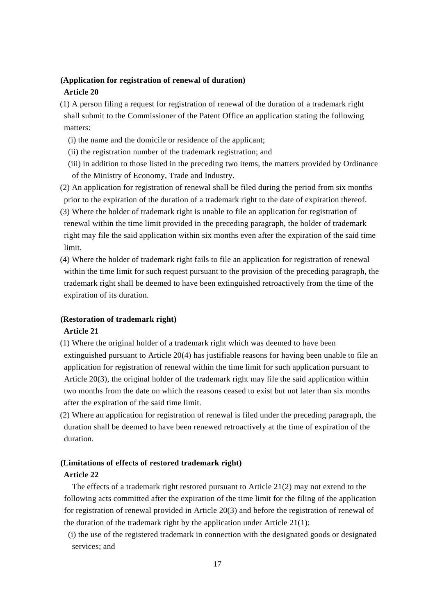### **(Application for registration of renewal of duration) Article 20**

- (1) A person filing a request for registration of renewal of the duration of a trademark right shall submit to the Commissioner of the Patent Office an application stating the following matters:
	- (i) the name and the domicile or residence of the applicant;
	- (ii) the registration number of the trademark registration; and
	- (iii) in addition to those listed in the preceding two items, the matters provided by Ordinance of the Ministry of Economy, Trade and Industry.
- (2) An application for registration of renewal shall be filed during the period from six months prior to the expiration of the duration of a trademark right to the date of expiration thereof.
- (3) Where the holder of trademark right is unable to file an application for registration of renewal within the time limit provided in the preceding paragraph, the holder of trademark right may file the said application within six months even after the expiration of the said time limit.
- (4) Where the holder of trademark right fails to file an application for registration of renewal within the time limit for such request pursuant to the provision of the preceding paragraph, the trademark right shall be deemed to have been extinguished retroactively from the time of the expiration of its duration.

#### **(Restoration of trademark right)**

#### **Article 21**

- (1) Where the original holder of a trademark right which was deemed to have been extinguished pursuant to Article 20(4) has justifiable reasons for having been unable to file an application for registration of renewal within the time limit for such application pursuant to Article 20(3), the original holder of the trademark right may file the said application within two months from the date on which the reasons ceased to exist but not later than six months after the expiration of the said time limit.
- (2) Where an application for registration of renewal is filed under the preceding paragraph, the duration shall be deemed to have been renewed retroactively at the time of expiration of the duration.

#### **(Limitations of effects of restored trademark right)**

#### **Article 22**

The effects of a trademark right restored pursuant to Article 21(2) may not extend to the following acts committed after the expiration of the time limit for the filing of the application for registration of renewal provided in Article 20(3) and before the registration of renewal of the duration of the trademark right by the application under Article 21(1):

(i) the use of the registered trademark in connection with the designated goods or designated services; and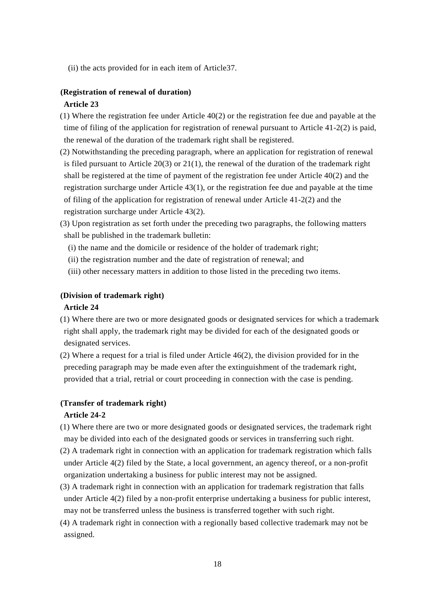(ii) the acts provided for in each item of Article37.

#### **(Registration of renewal of duration) Article 23**

- (1) Where the registration fee under Article 40(2) or the registration fee due and payable at the time of filing of the application for registration of renewal pursuant to Article 41-2(2) is paid, the renewal of the duration of the trademark right shall be registered.
- (2) Notwithstanding the preceding paragraph, where an application for registration of renewal is filed pursuant to Article 20(3) or 21(1), the renewal of the duration of the trademark right shall be registered at the time of payment of the registration fee under Article 40(2) and the registration surcharge under Article 43(1), or the registration fee due and payable at the time of filing of the application for registration of renewal under Article 41-2(2) and the registration surcharge under Article 43(2).
- (3) Upon registration as set forth under the preceding two paragraphs, the following matters shall be published in the trademark bulletin:
	- (i) the name and the domicile or residence of the holder of trademark right;
	- (ii) the registration number and the date of registration of renewal; and
	- (iii) other necessary matters in addition to those listed in the preceding two items.

#### **(Division of trademark right)**

#### **Article 24**

- (1) Where there are two or more designated goods or designated services for which a trademark right shall apply, the trademark right may be divided for each of the designated goods or designated services.
- (2) Where a request for a trial is filed under Article 46(2), the division provided for in the preceding paragraph may be made even after the extinguishment of the trademark right, provided that a trial, retrial or court proceeding in connection with the case is pending.

#### **(Transfer of trademark right)**

#### **Article 24-2**

- (1) Where there are two or more designated goods or designated services, the trademark right may be divided into each of the designated goods or services in transferring such right.
- (2) A trademark right in connection with an application for trademark registration which falls under Article 4(2) filed by the State, a local government, an agency thereof, or a non-profit organization undertaking a business for public interest may not be assigned.
- (3) A trademark right in connection with an application for trademark registration that falls under Article 4(2) filed by a non-profit enterprise undertaking a business for public interest, may not be transferred unless the business is transferred together with such right.
- (4) A trademark right in connection with a regionally based collective trademark may not be assigned.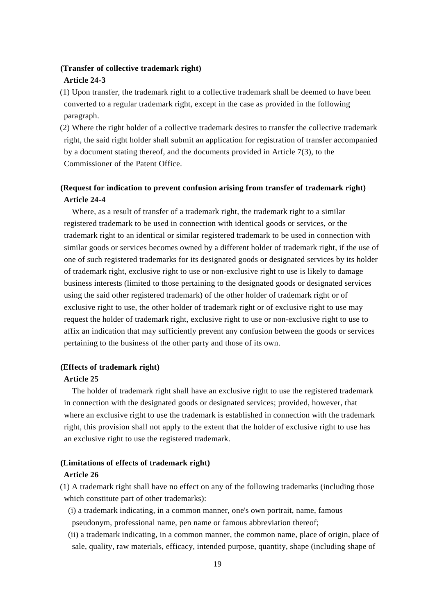## **(Transfer of collective trademark right) Article 24-3**

- (1) Upon transfer, the trademark right to a collective trademark shall be deemed to have been converted to a regular trademark right, except in the case as provided in the following paragraph.
- (2) Where the right holder of a collective trademark desires to transfer the collective trademark right, the said right holder shall submit an application for registration of transfer accompanied by a document stating thereof, and the documents provided in Article 7(3), to the Commissioner of the Patent Office.

## **(Request for indication to prevent confusion arising from transfer of trademark right) Article 24-4**

Where, as a result of transfer of a trademark right, the trademark right to a similar registered trademark to be used in connection with identical goods or services, or the trademark right to an identical or similar registered trademark to be used in connection with similar goods or services becomes owned by a different holder of trademark right, if the use of one of such registered trademarks for its designated goods or designated services by its holder of trademark right, exclusive right to use or non-exclusive right to use is likely to damage business interests (limited to those pertaining to the designated goods or designated services using the said other registered trademark) of the other holder of trademark right or of exclusive right to use, the other holder of trademark right or of exclusive right to use may request the holder of trademark right, exclusive right to use or non-exclusive right to use to affix an indication that may sufficiently prevent any confusion between the goods or services pertaining to the business of the other party and those of its own.

#### **(Effects of trademark right)**

#### **Article 25**

The holder of trademark right shall have an exclusive right to use the registered trademark in connection with the designated goods or designated services; provided, however, that where an exclusive right to use the trademark is established in connection with the trademark right, this provision shall not apply to the extent that the holder of exclusive right to use has an exclusive right to use the registered trademark.

## **(Limitations of effects of trademark right) Article 26**

- (1) A trademark right shall have no effect on any of the following trademarks (including those which constitute part of other trademarks):
	- (i) a trademark indicating, in a common manner, one's own portrait, name, famous pseudonym, professional name, pen name or famous abbreviation thereof;
	- (ii) a trademark indicating, in a common manner, the common name, place of origin, place of sale, quality, raw materials, efficacy, intended purpose, quantity, shape (including shape of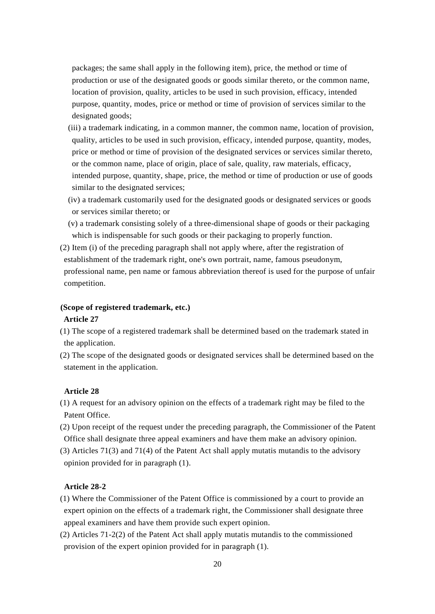packages; the same shall apply in the following item), price, the method or time of production or use of the designated goods or goods similar thereto, or the common name, location of provision, quality, articles to be used in such provision, efficacy, intended purpose, quantity, modes, price or method or time of provision of services similar to the designated goods;

- (iii) a trademark indicating, in a common manner, the common name, location of provision, quality, articles to be used in such provision, efficacy, intended purpose, quantity, modes, price or method or time of provision of the designated services or services similar thereto, or the common name, place of origin, place of sale, quality, raw materials, efficacy, intended purpose, quantity, shape, price, the method or time of production or use of goods similar to the designated services;
- (iv) a trademark customarily used for the designated goods or designated services or goods or services similar thereto; or
- (v) a trademark consisting solely of a three-dimensional shape of goods or their packaging which is indispensable for such goods or their packaging to properly function.
- (2) Item (i) of the preceding paragraph shall not apply where, after the registration of establishment of the trademark right, one's own portrait, name, famous pseudonym, professional name, pen name or famous abbreviation thereof is used for the purpose of unfair competition.

#### **(Scope of registered trademark, etc.)**

#### **Article 27**

- (1) The scope of a registered trademark shall be determined based on the trademark stated in the application.
- (2) The scope of the designated goods or designated services shall be determined based on the statement in the application.

#### **Article 28**

- (1) A request for an advisory opinion on the effects of a trademark right may be filed to the Patent Office.
- (2) Upon receipt of the request under the preceding paragraph, the Commissioner of the Patent Office shall designate three appeal examiners and have them make an advisory opinion.
- (3) Articles 71(3) and 71(4) of the Patent Act shall apply mutatis mutandis to the advisory opinion provided for in paragraph (1).

#### **Article 28-2**

- (1) Where the Commissioner of the Patent Office is commissioned by a court to provide an expert opinion on the effects of a trademark right, the Commissioner shall designate three appeal examiners and have them provide such expert opinion.
- (2) Articles 71-2(2) of the Patent Act shall apply mutatis mutandis to the commissioned provision of the expert opinion provided for in paragraph (1).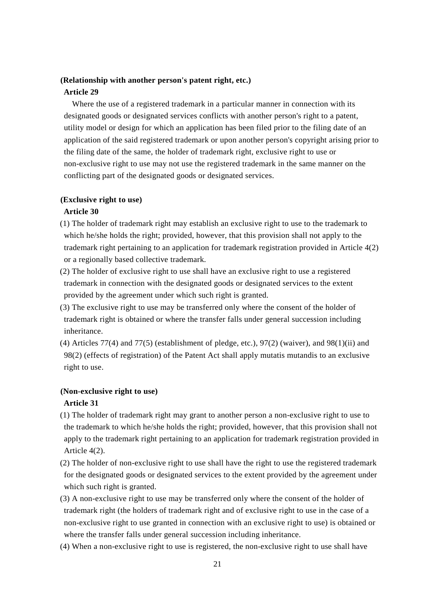### **(Relationship with another person's patent right, etc.) Article 29**

Where the use of a registered trademark in a particular manner in connection with its designated goods or designated services conflicts with another person's right to a patent, utility model or design for which an application has been filed prior to the filing date of an application of the said registered trademark or upon another person's copyright arising prior to the filing date of the same, the holder of trademark right, exclusive right to use or non-exclusive right to use may not use the registered trademark in the same manner on the conflicting part of the designated goods or designated services.

#### **(Exclusive right to use)**

#### **Article 30**

- (1) The holder of trademark right may establish an exclusive right to use to the trademark to which he/she holds the right; provided, however, that this provision shall not apply to the trademark right pertaining to an application for trademark registration provided in Article 4(2) or a regionally based collective trademark.
- (2) The holder of exclusive right to use shall have an exclusive right to use a registered trademark in connection with the designated goods or designated services to the extent provided by the agreement under which such right is granted.
- (3) The exclusive right to use may be transferred only where the consent of the holder of trademark right is obtained or where the transfer falls under general succession including inheritance.
- (4) Articles 77(4) and 77(5) (establishment of pledge, etc.), 97(2) (waiver), and 98(1)(ii) and 98(2) (effects of registration) of the Patent Act shall apply mutatis mutandis to an exclusive right to use.

#### **(Non-exclusive right to use)**

- (1) The holder of trademark right may grant to another person a non-exclusive right to use to the trademark to which he/she holds the right; provided, however, that this provision shall not apply to the trademark right pertaining to an application for trademark registration provided in Article 4(2).
- (2) The holder of non-exclusive right to use shall have the right to use the registered trademark for the designated goods or designated services to the extent provided by the agreement under which such right is granted.
- (3) A non-exclusive right to use may be transferred only where the consent of the holder of trademark right (the holders of trademark right and of exclusive right to use in the case of a non-exclusive right to use granted in connection with an exclusive right to use) is obtained or where the transfer falls under general succession including inheritance.
- (4) When a non-exclusive right to use is registered, the non-exclusive right to use shall have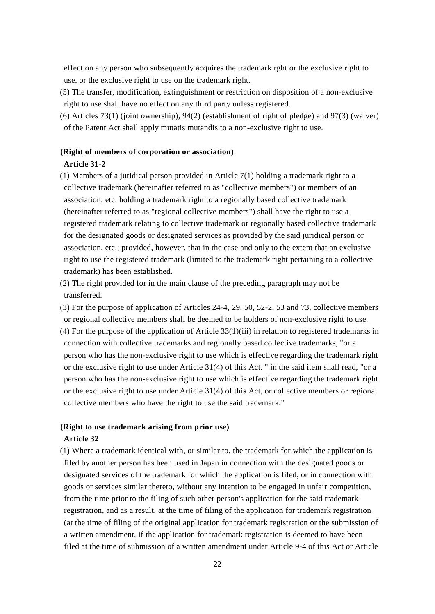effect on any person who subsequently acquires the trademark rght or the exclusive right to use, or the exclusive right to use on the trademark right.

- (5) The transfer, modification, extinguishment or restriction on disposition of a non-exclusive right to use shall have no effect on any third party unless registered.
- (6) Articles 73(1) (joint ownership), 94(2) (establishment of right of pledge) and 97(3) (waiver) of the Patent Act shall apply mutatis mutandis to a non-exclusive right to use.

#### **(Right of members of corporation or association)**

#### **Article 31-2**

- (1) Members of a juridical person provided in Article  $7(1)$  holding a trademark right to a collective trademark (hereinafter referred to as "collective members") or members of an association, etc. holding a trademark right to a regionally based collective trademark (hereinafter referred to as "regional collective members") shall have the right to use a registered trademark relating to collective trademark or regionally based collective trademark for the designated goods or designated services as provided by the said juridical person or association, etc.; provided, however, that in the case and only to the extent that an exclusive right to use the registered trademark (limited to the trademark right pertaining to a collective trademark) has been established.
- (2) The right provided for in the main clause of the preceding paragraph may not be transferred.
- (3) For the purpose of application of Articles 24-4, 29, 50, 52-2, 53 and 73, collective members or regional collective members shall be deemed to be holders of non-exclusive right to use.
- (4) For the purpose of the application of Article 33(1)(iii) in relation to registered trademarks in connection with collective trademarks and regionally based collective trademarks, "or a person who has the non-exclusive right to use which is effective regarding the trademark right or the exclusive right to use under Article 31(4) of this Act. " in the said item shall read, "or a person who has the non-exclusive right to use which is effective regarding the trademark right or the exclusive right to use under Article 31(4) of this Act, or collective members or regional collective members who have the right to use the said trademark."

## **(Right to use trademark arising from prior use)**

#### **Article 32**

(1) Where a trademark identical with, or similar to, the trademark for which the application is filed by another person has been used in Japan in connection with the designated goods or designated services of the trademark for which the application is filed, or in connection with goods or services similar thereto, without any intention to be engaged in unfair competition, from the time prior to the filing of such other person's application for the said trademark registration, and as a result, at the time of filing of the application for trademark registration (at the time of filing of the original application for trademark registration or the submission of a written amendment, if the application for trademark registration is deemed to have been filed at the time of submission of a written amendment under Article 9-4 of this Act or Article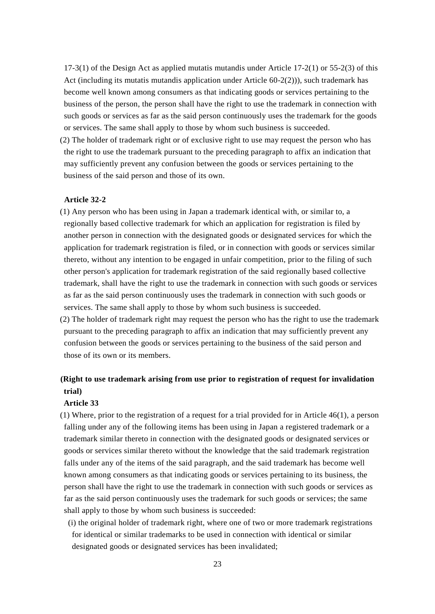17-3(1) of the Design Act as applied mutatis mutandis under Article 17-2(1) or 55-2(3) of this Act (including its mutatis mutandis application under Article  $60-2(2)$ )), such trademark has become well known among consumers as that indicating goods or services pertaining to the business of the person, the person shall have the right to use the trademark in connection with such goods or services as far as the said person continuously uses the trademark for the goods or services. The same shall apply to those by whom such business is succeeded.

(2) The holder of trademark right or of exclusive right to use may request the person who has the right to use the trademark pursuant to the preceding paragraph to affix an indication that may sufficiently prevent any confusion between the goods or services pertaining to the business of the said person and those of its own.

#### **Article 32-2**

- (1) Any person who has been using in Japan a trademark identical with, or similar to, a regionally based collective trademark for which an application for registration is filed by another person in connection with the designated goods or designated services for which the application for trademark registration is filed, or in connection with goods or services similar thereto, without any intention to be engaged in unfair competition, prior to the filing of such other person's application for trademark registration of the said regionally based collective trademark, shall have the right to use the trademark in connection with such goods or services as far as the said person continuously uses the trademark in connection with such goods or services. The same shall apply to those by whom such business is succeeded.
- (2) The holder of trademark right may request the person who has the right to use the trademark pursuant to the preceding paragraph to affix an indication that may sufficiently prevent any confusion between the goods or services pertaining to the business of the said person and those of its own or its members.

## **(Right to use trademark arising from use prior to registration of request for invalidation trial)**

- (1) Where, prior to the registration of a request for a trial provided for in Article 46(1), a person falling under any of the following items has been using in Japan a registered trademark or a trademark similar thereto in connection with the designated goods or designated services or goods or services similar thereto without the knowledge that the said trademark registration falls under any of the items of the said paragraph, and the said trademark has become well known among consumers as that indicating goods or services pertaining to its business, the person shall have the right to use the trademark in connection with such goods or services as far as the said person continuously uses the trademark for such goods or services; the same shall apply to those by whom such business is succeeded:
	- (i) the original holder of trademark right, where one of two or more trademark registrations for identical or similar trademarks to be used in connection with identical or similar designated goods or designated services has been invalidated;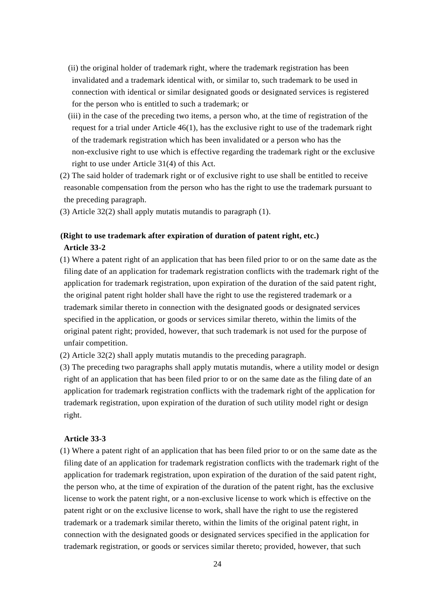- (ii) the original holder of trademark right, where the trademark registration has been invalidated and a trademark identical with, or similar to, such trademark to be used in connection with identical or similar designated goods or designated services is registered for the person who is entitled to such a trademark; or
- (iii) in the case of the preceding two items, a person who, at the time of registration of the request for a trial under Article 46(1), has the exclusive right to use of the trademark right of the trademark registration which has been invalidated or a person who has the non-exclusive right to use which is effective regarding the trademark right or the exclusive right to use under Article 31(4) of this Act.
- (2) The said holder of trademark right or of exclusive right to use shall be entitled to receive reasonable compensation from the person who has the right to use the trademark pursuant to the preceding paragraph.
- (3) Article 32(2) shall apply mutatis mutandis to paragraph (1).

## **(Right to use trademark after expiration of duration of patent right, etc.) Article 33-2**

- (1) Where a patent right of an application that has been filed prior to or on the same date as the filing date of an application for trademark registration conflicts with the trademark right of the application for trademark registration, upon expiration of the duration of the said patent right, the original patent right holder shall have the right to use the registered trademark or a trademark similar thereto in connection with the designated goods or designated services specified in the application, or goods or services similar thereto, within the limits of the original patent right; provided, however, that such trademark is not used for the purpose of unfair competition.
- (2) Article 32(2) shall apply mutatis mutandis to the preceding paragraph.
- (3) The preceding two paragraphs shall apply mutatis mutandis, where a utility model or design right of an application that has been filed prior to or on the same date as the filing date of an application for trademark registration conflicts with the trademark right of the application for trademark registration, upon expiration of the duration of such utility model right or design right.

#### **Article 33-3**

(1) Where a patent right of an application that has been filed prior to or on the same date as the filing date of an application for trademark registration conflicts with the trademark right of the application for trademark registration, upon expiration of the duration of the said patent right, the person who, at the time of expiration of the duration of the patent right, has the exclusive license to work the patent right, or a non-exclusive license to work which is effective on the patent right or on the exclusive license to work, shall have the right to use the registered trademark or a trademark similar thereto, within the limits of the original patent right, in connection with the designated goods or designated services specified in the application for trademark registration, or goods or services similar thereto; provided, however, that such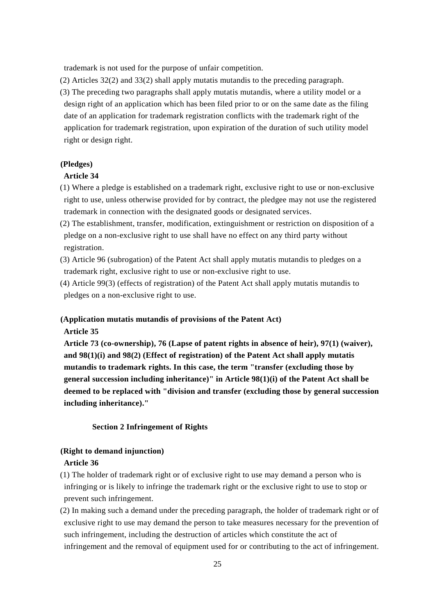trademark is not used for the purpose of unfair competition.

- (2) Articles 32(2) and 33(2) shall apply mutatis mutandis to the preceding paragraph.
- (3) The preceding two paragraphs shall apply mutatis mutandis, where a utility model or a design right of an application which has been filed prior to or on the same date as the filing date of an application for trademark registration conflicts with the trademark right of the application for trademark registration, upon expiration of the duration of such utility model right or design right.

#### **(Pledges)**

#### **Article 34**

- (1) Where a pledge is established on a trademark right, exclusive right to use or non-exclusive right to use, unless otherwise provided for by contract, the pledgee may not use the registered trademark in connection with the designated goods or designated services.
- (2) The establishment, transfer, modification, extinguishment or restriction on disposition of a pledge on a non-exclusive right to use shall have no effect on any third party without registration.
- (3) Article 96 (subrogation) of the Patent Act shall apply mutatis mutandis to pledges on a trademark right, exclusive right to use or non-exclusive right to use.
- (4) Article 99(3) (effects of registration) of the Patent Act shall apply mutatis mutandis to pledges on a non-exclusive right to use.

#### **(Application mutatis mutandis of provisions of the Patent Act)**

#### **Article 35**

**Article 73 (co-ownership), 76 (Lapse of patent rights in absence of heir), 97(1) (waiver), and 98(1)(i) and 98(2) (Effect of registration) of the Patent Act shall apply mutatis mutandis to trademark rights. In this case, the term "transfer (excluding those by general succession including inheritance)" in Article 98(1)(i) of the Patent Act shall be deemed to be replaced with "division and transfer (excluding those by general succession including inheritance)."**

#### **Section 2 Infringement of Rights**

#### **(Right to demand injunction)**

- (1) The holder of trademark right or of exclusive right to use may demand a person who is infringing or is likely to infringe the trademark right or the exclusive right to use to stop or prevent such infringement.
- (2) In making such a demand under the preceding paragraph, the holder of trademark right or of exclusive right to use may demand the person to take measures necessary for the prevention of such infringement, including the destruction of articles which constitute the act of infringement and the removal of equipment used for or contributing to the act of infringement.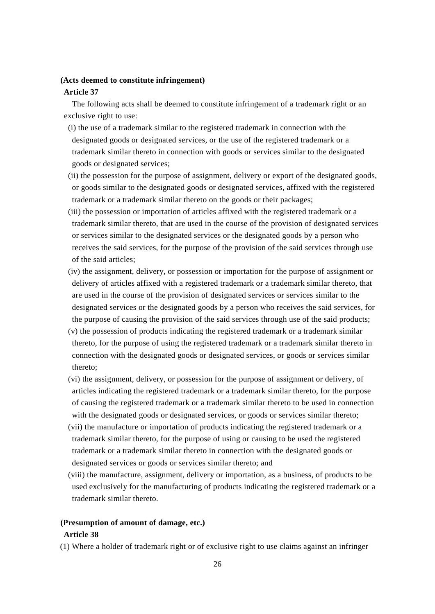#### **(Acts deemed to constitute infringement)**

#### **Article 37**

The following acts shall be deemed to constitute infringement of a trademark right or an exclusive right to use:

- (i) the use of a trademark similar to the registered trademark in connection with the designated goods or designated services, or the use of the registered trademark or a trademark similar thereto in connection with goods or services similar to the designated goods or designated services;
- (ii) the possession for the purpose of assignment, delivery or export of the designated goods, or goods similar to the designated goods or designated services, affixed with the registered trademark or a trademark similar thereto on the goods or their packages;
- (iii) the possession or importation of articles affixed with the registered trademark or a trademark similar thereto, that are used in the course of the provision of designated services or services similar to the designated services or the designated goods by a person who receives the said services, for the purpose of the provision of the said services through use of the said articles;
- (iv) the assignment, delivery, or possession or importation for the purpose of assignment or delivery of articles affixed with a registered trademark or a trademark similar thereto, that are used in the course of the provision of designated services or services similar to the designated services or the designated goods by a person who receives the said services, for the purpose of causing the provision of the said services through use of the said products;
- (v) the possession of products indicating the registered trademark or a trademark similar thereto, for the purpose of using the registered trademark or a trademark similar thereto in connection with the designated goods or designated services, or goods or services similar thereto;
- (vi) the assignment, delivery, or possession for the purpose of assignment or delivery, of articles indicating the registered trademark or a trademark similar thereto, for the purpose of causing the registered trademark or a trademark similar thereto to be used in connection with the designated goods or designated services, or goods or services similar thereto;
- (vii) the manufacture or importation of products indicating the registered trademark or a trademark similar thereto, for the purpose of using or causing to be used the registered trademark or a trademark similar thereto in connection with the designated goods or designated services or goods or services similar thereto; and
- (viii) the manufacture, assignment, delivery or importation, as a business, of products to be used exclusively for the manufacturing of products indicating the registered trademark or a trademark similar thereto.

### **(Presumption of amount of damage, etc.) Article 38**

(1) Where a holder of trademark right or of exclusive right to use claims against an infringer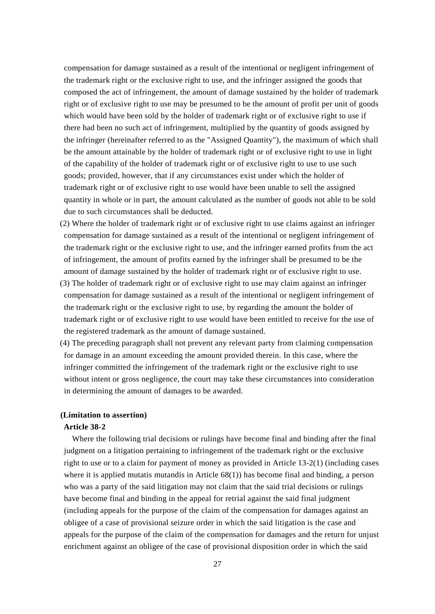compensation for damage sustained as a result of the intentional or negligent infringement of the trademark right or the exclusive right to use, and the infringer assigned the goods that composed the act of infringement, the amount of damage sustained by the holder of trademark right or of exclusive right to use may be presumed to be the amount of profit per unit of goods which would have been sold by the holder of trademark right or of exclusive right to use if there had been no such act of infringement, multiplied by the quantity of goods assigned by the infringer (hereinafter referred to as the "Assigned Quantity"), the maximum of which shall be the amount attainable by the holder of trademark right or of exclusive right to use in light of the capability of the holder of trademark right or of exclusive right to use to use such goods; provided, however, that if any circumstances exist under which the holder of trademark right or of exclusive right to use would have been unable to sell the assigned quantity in whole or in part, the amount calculated as the number of goods not able to be sold due to such circumstances shall be deducted.

- (2) Where the holder of trademark right or of exclusive right to use claims against an infringer compensation for damage sustained as a result of the intentional or negligent infringement of the trademark right or the exclusive right to use, and the infringer earned profits from the act of infringement, the amount of profits earned by the infringer shall be presumed to be the amount of damage sustained by the holder of trademark right or of exclusive right to use.
- (3) The holder of trademark right or of exclusive right to use may claim against an infringer compensation for damage sustained as a result of the intentional or negligent infringement of the trademark right or the exclusive right to use, by regarding the amount the holder of trademark right or of exclusive right to use would have been entitled to receive for the use of the registered trademark as the amount of damage sustained.
- (4) The preceding paragraph shall not prevent any relevant party from claiming compensation for damage in an amount exceeding the amount provided therein. In this case, where the infringer committed the infringement of the trademark right or the exclusive right to use without intent or gross negligence, the court may take these circumstances into consideration in determining the amount of damages to be awarded.

#### **(Limitation to assertion)**

#### **Article 38-2**

Where the following trial decisions or rulings have become final and binding after the final judgment on a litigation pertaining to infringement of the trademark right or the exclusive right to use or to a claim for payment of money as provided in Article 13-2(1) (including cases where it is applied mutatis mutandis in Article 68(1)) has become final and binding, a person who was a party of the said litigation may not claim that the said trial decisions or rulings have become final and binding in the appeal for retrial against the said final judgment (including appeals for the purpose of the claim of the compensation for damages against an obligee of a case of provisional seizure order in which the said litigation is the case and appeals for the purpose of the claim of the compensation for damages and the return for unjust enrichment against an obligee of the case of provisional disposition order in which the said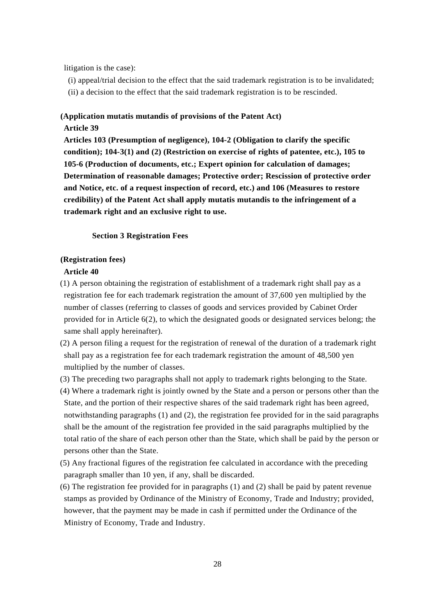litigation is the case):

- (i) appeal/trial decision to the effect that the said trademark registration is to be invalidated;
- (ii) a decision to the effect that the said trademark registration is to be rescinded.

#### **(Application mutatis mutandis of provisions of the Patent Act)**

#### **Article 39**

**Articles 103 (Presumption of negligence), 104-2 (Obligation to clarify the specific condition); 104-3(1) and (2) (Restriction on exercise of rights of patentee, etc.), 105 to 105-6 (Production of documents, etc.; Expert opinion for calculation of damages; Determination of reasonable damages; Protective order; Rescission of protective order and Notice, etc. of a request inspection of record, etc.) and 106 (Measures to restore credibility) of the Patent Act shall apply mutatis mutandis to the infringement of a trademark right and an exclusive right to use.**

#### **Section 3 Registration Fees**

#### **(Registration fees)**

- (1) A person obtaining the registration of establishment of a trademark right shall pay as a registration fee for each trademark registration the amount of 37,600 yen multiplied by the number of classes (referring to classes of goods and services provided by Cabinet Order provided for in Article 6(2), to which the designated goods or designated services belong; the same shall apply hereinafter).
- (2) A person filing a request for the registration of renewal of the duration of a trademark right shall pay as a registration fee for each trademark registration the amount of 48,500 yen multiplied by the number of classes.
- (3) The preceding two paragraphs shall not apply to trademark rights belonging to the State.
- (4) Where a trademark right is jointly owned by the State and a person or persons other than the State, and the portion of their respective shares of the said trademark right has been agreed, notwithstanding paragraphs (1) and (2), the registration fee provided for in the said paragraphs shall be the amount of the registration fee provided in the said paragraphs multiplied by the total ratio of the share of each person other than the State, which shall be paid by the person or persons other than the State.
- (5) Any fractional figures of the registration fee calculated in accordance with the preceding paragraph smaller than 10 yen, if any, shall be discarded.
- (6) The registration fee provided for in paragraphs (1) and (2) shall be paid by patent revenue stamps as provided by Ordinance of the Ministry of Economy, Trade and Industry; provided, however, that the payment may be made in cash if permitted under the Ordinance of the Ministry of Economy, Trade and Industry.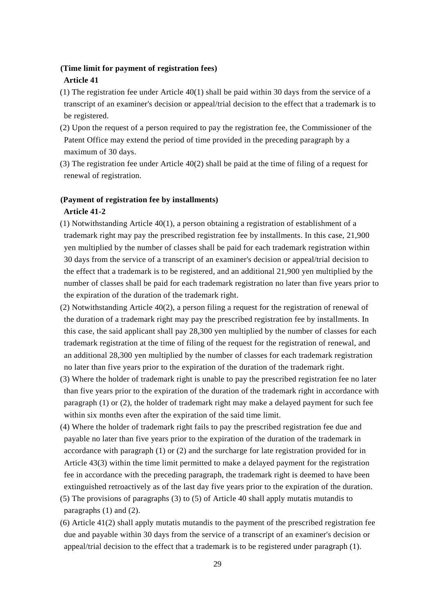# **(Time limit for payment of registration fees)**

### **Article 41**

- (1) The registration fee under Article 40(1) shall be paid within 30 days from the service of a transcript of an examiner's decision or appeal/trial decision to the effect that a trademark is to be registered.
- (2) Upon the request of a person required to pay the registration fee, the Commissioner of the Patent Office may extend the period of time provided in the preceding paragraph by a maximum of 30 days.
- (3) The registration fee under Article 40(2) shall be paid at the time of filing of a request for renewal of registration.

## **(Payment of registration fee by installments)**

#### **Article 41-2**

- (1) Notwithstanding Article 40(1), a person obtaining a registration of establishment of a trademark right may pay the prescribed registration fee by installments. In this case, 21,900 yen multiplied by the number of classes shall be paid for each trademark registration within 30 days from the service of a transcript of an examiner's decision or appeal/trial decision to the effect that a trademark is to be registered, and an additional 21,900 yen multiplied by the number of classes shall be paid for each trademark registration no later than five years prior to the expiration of the duration of the trademark right.
- (2) Notwithstanding Article 40(2), a person filing a request for the registration of renewal of the duration of a trademark right may pay the prescribed registration fee by installments. In this case, the said applicant shall pay 28,300 yen multiplied by the number of classes for each trademark registration at the time of filing of the request for the registration of renewal, and an additional 28,300 yen multiplied by the number of classes for each trademark registration no later than five years prior to the expiration of the duration of the trademark right.
- (3) Where the holder of trademark right is unable to pay the prescribed registration fee no later than five years prior to the expiration of the duration of the trademark right in accordance with paragraph (1) or (2), the holder of trademark right may make a delayed payment for such fee within six months even after the expiration of the said time limit.
- (4) Where the holder of trademark right fails to pay the prescribed registration fee due and payable no later than five years prior to the expiration of the duration of the trademark in accordance with paragraph (1) or (2) and the surcharge for late registration provided for in Article 43(3) within the time limit permitted to make a delayed payment for the registration fee in accordance with the preceding paragraph, the trademark right is deemed to have been extinguished retroactively as of the last day five years prior to the expiration of the duration.
- (5) The provisions of paragraphs (3) to (5) of Article 40 shall apply mutatis mutandis to paragraphs (1) and (2).
- (6) Article 41(2) shall apply mutatis mutandis to the payment of the prescribed registration fee due and payable within 30 days from the service of a transcript of an examiner's decision or appeal/trial decision to the effect that a trademark is to be registered under paragraph (1).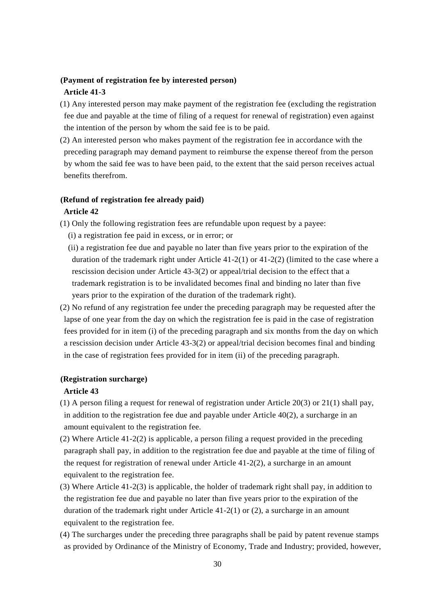## **(Payment of registration fee by interested person) Article 41-3**

- (1) Any interested person may make payment of the registration fee (excluding the registration fee due and payable at the time of filing of a request for renewal of registration) even against the intention of the person by whom the said fee is to be paid.
- (2) An interested person who makes payment of the registration fee in accordance with the preceding paragraph may demand payment to reimburse the expense thereof from the person by whom the said fee was to have been paid, to the extent that the said person receives actual benefits therefrom.

## **(Refund of registration fee already paid) Article 42**

- (1) Only the following registration fees are refundable upon request by a payee:
	- (i) a registration fee paid in excess, or in error; or
	- (ii) a registration fee due and payable no later than five years prior to the expiration of the duration of the trademark right under Article 41-2(1) or 41-2(2) (limited to the case where a rescission decision under Article 43-3(2) or appeal/trial decision to the effect that a trademark registration is to be invalidated becomes final and binding no later than five years prior to the expiration of the duration of the trademark right).
- (2) No refund of any registration fee under the preceding paragraph may be requested after the lapse of one year from the day on which the registration fee is paid in the case of registration fees provided for in item (i) of the preceding paragraph and six months from the day on which a rescission decision under Article 43-3(2) or appeal/trial decision becomes final and binding in the case of registration fees provided for in item (ii) of the preceding paragraph.

#### **(Registration surcharge)**

- (1) A person filing a request for renewal of registration under Article 20(3) or 21(1) shall pay, in addition to the registration fee due and payable under Article 40(2), a surcharge in an amount equivalent to the registration fee.
- (2) Where Article 41-2(2) is applicable, a person filing a request provided in the preceding paragraph shall pay, in addition to the registration fee due and payable at the time of filing of the request for registration of renewal under Article 41-2(2), a surcharge in an amount equivalent to the registration fee.
- (3) Where Article 41-2(3) is applicable, the holder of trademark right shall pay, in addition to the registration fee due and payable no later than five years prior to the expiration of the duration of the trademark right under Article 41-2(1) or (2), a surcharge in an amount equivalent to the registration fee.
- (4) The surcharges under the preceding three paragraphs shall be paid by patent revenue stamps as provided by Ordinance of the Ministry of Economy, Trade and Industry; provided, however,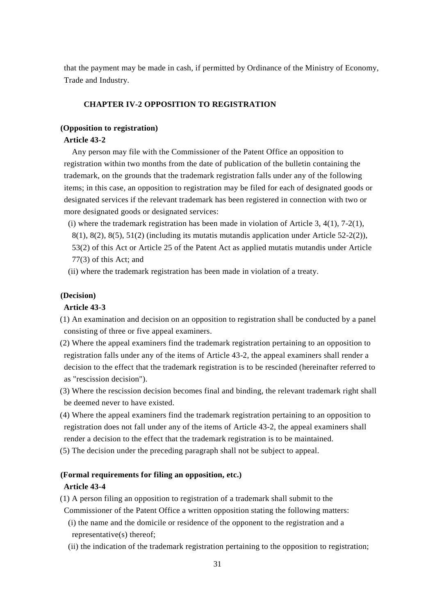that the payment may be made in cash, if permitted by Ordinance of the Ministry of Economy, Trade and Industry.

#### **CHAPTER IV-2 OPPOSITION TO REGISTRATION**

#### **(Opposition to registration)**

#### **Article 43-2**

Any person may file with the Commissioner of the Patent Office an opposition to registration within two months from the date of publication of the bulletin containing the trademark, on the grounds that the trademark registration falls under any of the following items; in this case, an opposition to registration may be filed for each of designated goods or designated services if the relevant trademark has been registered in connection with two or more designated goods or designated services:

- (i) where the trademark registration has been made in violation of Article 3,  $4(1)$ ,  $7-2(1)$ , 8(1), 8(2), 8(5), 51(2) (including its mutatis mutandis application under Article 52-2(2)), 53(2) of this Act or Article 25 of the Patent Act as applied mutatis mutandis under Article 77(3) of this Act; and
- (ii) where the trademark registration has been made in violation of a treaty.

#### **(Decision)**

#### **Article 43-3**

- (1) An examination and decision on an opposition to registration shall be conducted by a panel consisting of three or five appeal examiners.
- (2) Where the appeal examiners find the trademark registration pertaining to an opposition to registration falls under any of the items of Article 43-2, the appeal examiners shall render a decision to the effect that the trademark registration is to be rescinded (hereinafter referred to as "rescission decision").
- (3) Where the rescission decision becomes final and binding, the relevant trademark right shall be deemed never to have existed.
- (4) Where the appeal examiners find the trademark registration pertaining to an opposition to registration does not fall under any of the items of Article 43-2, the appeal examiners shall render a decision to the effect that the trademark registration is to be maintained.
- (5) The decision under the preceding paragraph shall not be subject to appeal.

## **(Formal requirements for filing an opposition, etc.) Article 43-4**

- (1) A person filing an opposition to registration of a trademark shall submit to the Commissioner of the Patent Office a written opposition stating the following matters:
	- (i) the name and the domicile or residence of the opponent to the registration and a representative(s) thereof;
	- (ii) the indication of the trademark registration pertaining to the opposition to registration;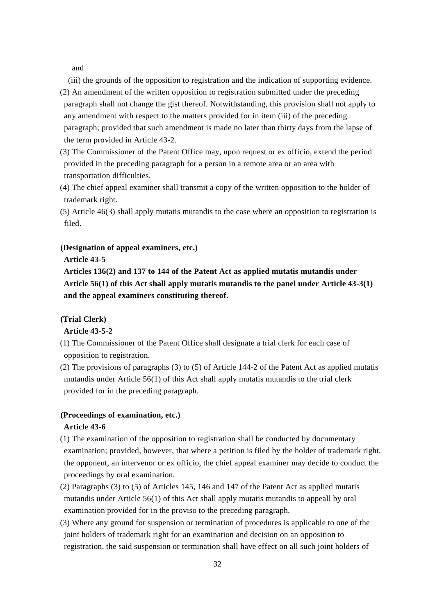and

(iii) the grounds of the opposition to registration and the indication of supporting evidence.

- (2) An amendment of the written opposition to registration submitted under the preceding paragraph shall not change the gist thereof. Notwithstanding, this provision shall not apply to any amendment with respect to the matters provided for in item (iii) of the preceding paragraph; provided that such amendment is made no later than thirty days from the lapse of the term provided in Article 43-2.
- (3) The Commissioner of the Patent Office may, upon request or ex officio, extend the period provided in the preceding paragraph for a person in a remote area or an area with transportation difficulties.
- (4) The chief appeal examiner shall transmit a copy of the written opposition to the holder of trademark right.
- (5) Article 46(3) shall apply mutatis mutandis to the case where an opposition to registration is filed.

#### **(Designation of appeal examiners, etc.)**

#### **Article 43-5**

**Articles 136(2) and 137 to 144 of the Patent Act as applied mutatis mutandis under Article 56(1) of this Act shall apply mutatis mutandis to the panel under Article 43-3(1) and the appeal examiners constituting thereof.**

#### **(Trial Clerk)**

#### **Article 43-5-2**

- (1) The Commissioner of the Patent Office shall designate a trial clerk for each case of opposition to registration.
- (2) The provisions of paragraphs (3) to (5) of Article 144-2 of the Patent Act as applied mutatis mutandis under Article 56(1) of this Act shall apply mutatis mutandis to the trial clerk provided for in the preceding paragraph.

#### **(Proceedings of examination, etc.)**

#### **Article 43-6**

- (1) The examination of the opposition to registration shall be conducted by documentary examination; provided, however, that where a petition is filed by the holder of trademark right, the opponent, an intervenor or ex officio, the chief appeal examiner may decide to conduct the proceedings by oral examination.
- (2) Paragraphs (3) to (5) of Articles 145, 146 and 147 of the Patent Act as applied mutatis mutandis under Article 56(1) of this Act shall apply mutatis mutandis to appeall by oral examination provided for in the proviso to the preceding paragraph.
- (3) Where any ground for suspension or termination of procedures is applicable to one of the joint holders of trademark right for an examination and decision on an opposition to registration, the said suspension or termination shall have effect on all such joint holders of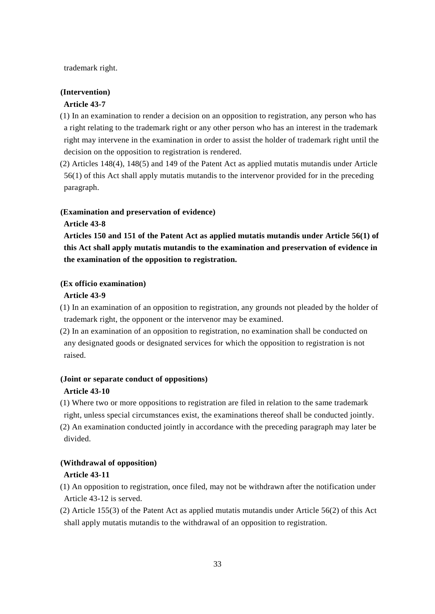trademark right.

## **(Intervention)**

### **Article 43-7**

- (1) In an examination to render a decision on an opposition to registration, any person who has a right relating to the trademark right or any other person who has an interest in the trademark right may intervene in the examination in order to assist the holder of trademark right until the decision on the opposition to registration is rendered.
- (2) Articles 148(4), 148(5) and 149 of the Patent Act as applied mutatis mutandis under Article 56(1) of this Act shall apply mutatis mutandis to the intervenor provided for in the preceding paragraph.

#### **(Examination and preservation of evidence)**

#### **Article 43-8**

**Articles 150 and 151 of the Patent Act as applied mutatis mutandis under Article 56(1) of this Act shall apply mutatis mutandis to the examination and preservation of evidence in the examination of the opposition to registration.**

#### **(Ex officio examination)**

#### **Article 43-9**

- (1) In an examination of an opposition to registration, any grounds not pleaded by the holder of trademark right, the opponent or the intervenor may be examined.
- (2) In an examination of an opposition to registration, no examination shall be conducted on any designated goods or designated services for which the opposition to registration is not raised.

#### **(Joint or separate conduct of oppositions)**

#### **Article 43-10**

- (1) Where two or more oppositions to registration are filed in relation to the same trademark right, unless special circumstances exist, the examinations thereof shall be conducted jointly.
- (2) An examination conducted jointly in accordance with the preceding paragraph may later be divided.

### **(Withdrawal of opposition)**

#### **Article 43-11**

- (1) An opposition to registration, once filed, may not be withdrawn after the notification under Article 43-12 is served.
- (2) Article 155(3) of the Patent Act as applied mutatis mutandis under Article 56(2) of this Act shall apply mutatis mutandis to the withdrawal of an opposition to registration.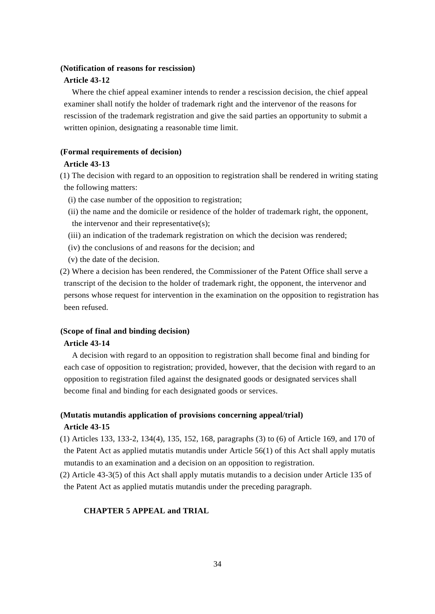#### **(Notification of reasons for rescission)**

#### **Article 43-12**

Where the chief appeal examiner intends to render a rescission decision, the chief appeal examiner shall notify the holder of trademark right and the intervenor of the reasons for rescission of the trademark registration and give the said parties an opportunity to submit a written opinion, designating a reasonable time limit.

#### **(Formal requirements of decision)**

#### **Article 43-13**

- (1) The decision with regard to an opposition to registration shall be rendered in writing stating the following matters:
	- (i) the case number of the opposition to registration;
	- (ii) the name and the domicile or residence of the holder of trademark right, the opponent, the intervenor and their representative(s);
	- (iii) an indication of the trademark registration on which the decision was rendered;
	- (iv) the conclusions of and reasons for the decision; and
	- (v) the date of the decision.
- (2) Where a decision has been rendered, the Commissioner of the Patent Office shall serve a transcript of the decision to the holder of trademark right, the opponent, the intervenor and persons whose request for intervention in the examination on the opposition to registration has been refused.

#### **(Scope of final and binding decision)**

#### **Article 43-14**

A decision with regard to an opposition to registration shall become final and binding for each case of opposition to registration; provided, however, that the decision with regard to an opposition to registration filed against the designated goods or designated services shall become final and binding for each designated goods or services.

## **(Mutatis mutandis application of provisions concerning appeal/trial) Article 43-15**

- (1) Articles 133, 133-2, 134(4), 135, 152, 168, paragraphs (3) to (6) of Article 169, and 170 of the Patent Act as applied mutatis mutandis under Article 56(1) of this Act shall apply mutatis mutandis to an examination and a decision on an opposition to registration.
- (2) Article 43-3(5) of this Act shall apply mutatis mutandis to a decision under Article 135 of the Patent Act as applied mutatis mutandis under the preceding paragraph.

#### **CHAPTER 5 APPEAL and TRIAL**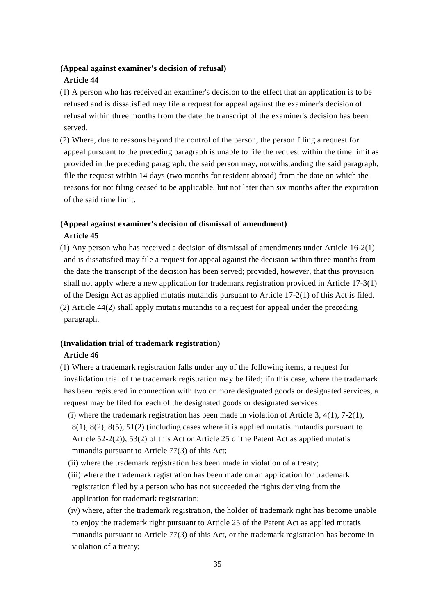### **(Appeal against examiner's decision of refusal) Article 44**

- (1) A person who has received an examiner's decision to the effect that an application is to be refused and is dissatisfied may file a request for appeal against the examiner's decision of refusal within three months from the date the transcript of the examiner's decision has been served.
- (2) Where, due to reasons beyond the control of the person, the person filing a request for appeal pursuant to the preceding paragraph is unable to file the request within the time limit as provided in the preceding paragraph, the said person may, notwithstanding the said paragraph, file the request within 14 days (two months for resident abroad) from the date on which the reasons for not filing ceased to be applicable, but not later than six months after the expiration of the said time limit.

## **(Appeal against examiner's decision of dismissal of amendment) Article 45**

(1) Any person who has received a decision of dismissal of amendments under Article 16-2(1) and is dissatisfied may file a request for appeal against the decision within three months from the date the transcript of the decision has been served; provided, however, that this provision shall not apply where a new application for trademark registration provided in Article 17-3(1) of the Design Act as applied mutatis mutandis pursuant to Article 17-2(1) of this Act is filed. (2) Article 44(2) shall apply mutatis mutandis to a request for appeal under the preceding paragraph.

## **(Invalidation trial of trademark registration)**

- (1) Where a trademark registration falls under any of the following items, a request for invalidation trial of the trademark registration may be filed; iIn this case, where the trademark has been registered in connection with two or more designated goods or designated services, a request may be filed for each of the designated goods or designated services:
	- (i) where the trademark registration has been made in violation of Article 3,  $4(1)$ ,  $7-2(1)$ ,  $8(1)$ ,  $8(2)$ ,  $8(5)$ ,  $51(2)$  (including cases where it is applied mutatis mutandis pursuant to Article 52-2(2)), 53(2) of this Act or Article 25 of the Patent Act as applied mutatis mutandis pursuant to Article 77(3) of this Act;
	- (ii) where the trademark registration has been made in violation of a treaty;
	- (iii) where the trademark registration has been made on an application for trademark registration filed by a person who has not succeeded the rights deriving from the application for trademark registration;
	- (iv) where, after the trademark registration, the holder of trademark right has become unable to enjoy the trademark right pursuant to Article 25 of the Patent Act as applied mutatis mutandis pursuant to Article 77(3) of this Act, or the trademark registration has become in violation of a treaty;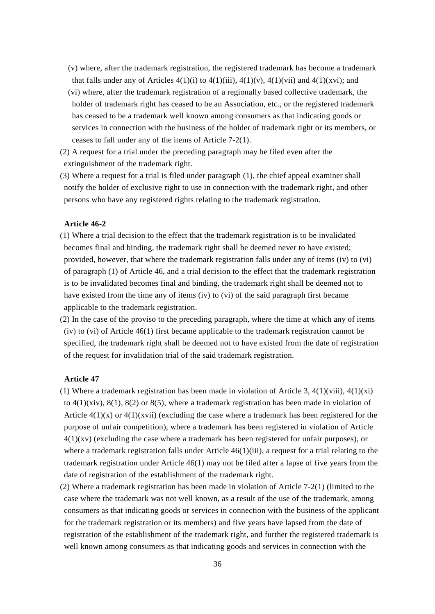- (v) where, after the trademark registration, the registered trademark has become a trademark that falls under any of Articles  $4(1)(i)$  to  $4(1)(iii)$ ,  $4(1)(v)$ ,  $4(1)(vii)$  and  $4(1)(xvi)$ ; and (vi) where, after the trademark registration of a regionally based collective trademark, the holder of trademark right has ceased to be an Association, etc., or the registered trademark has ceased to be a trademark well known among consumers as that indicating goods or services in connection with the business of the holder of trademark right or its members, or ceases to fall under any of the items of Article 7-2(1).
- (2) A request for a trial under the preceding paragraph may be filed even after the extinguishment of the trademark right.
- (3) Where a request for a trial is filed under paragraph (1), the chief appeal examiner shall notify the holder of exclusive right to use in connection with the trademark right, and other persons who have any registered rights relating to the trademark registration.

#### **Article 46-2**

- (1) Where a trial decision to the effect that the trademark registration is to be invalidated becomes final and binding, the trademark right shall be deemed never to have existed; provided, however, that where the trademark registration falls under any of items (iv) to (vi) of paragraph (1) of Article 46, and a trial decision to the effect that the trademark registration is to be invalidated becomes final and binding, the trademark right shall be deemed not to have existed from the time any of items (iv) to (vi) of the said paragraph first became applicable to the trademark registration.
- (2) In the case of the proviso to the preceding paragraph, where the time at which any of items (iv) to (vi) of Article 46(1) first became applicable to the trademark registration cannot be specified, the trademark right shall be deemed not to have existed from the date of registration of the request for invalidation trial of the said trademark registration.

- (1) Where a trademark registration has been made in violation of Article 3,  $4(1)(viii)$ ,  $4(1)(xi)$ to  $4(1)(\dot{x}iv)$ ,  $8(1)$ ,  $8(2)$  or  $8(5)$ , where a trademark registration has been made in violation of Article  $4(1)(x)$  or  $4(1)(x)$  (excluding the case where a trademark has been registered for the purpose of unfair competition), where a trademark has been registered in violation of Article  $4(1)(xy)$  (excluding the case where a trademark has been registered for unfair purposes), or where a trademark registration falls under Article 46(1)(iii), a request for a trial relating to the trademark registration under Article 46(1) may not be filed after a lapse of five years from the date of registration of the establishment of the trademark right.
- (2) Where a trademark registration has been made in violation of Article 7-2(1) (limited to the case where the trademark was not well known, as a result of the use of the trademark, among consumers as that indicating goods or services in connection with the business of the applicant for the trademark registration or its members) and five years have lapsed from the date of registration of the establishment of the trademark right, and further the registered trademark is well known among consumers as that indicating goods and services in connection with the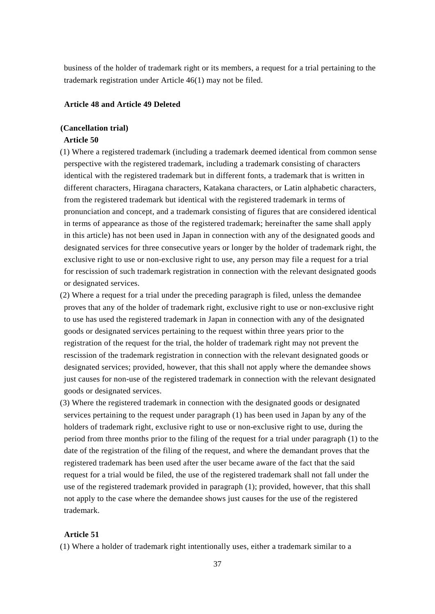business of the holder of trademark right or its members, a request for a trial pertaining to the trademark registration under Article 46(1) may not be filed.

#### **Article 48 and Article 49 Deleted**

#### **(Cancellation trial)**

#### **Article 50**

- (1) Where a registered trademark (including a trademark deemed identical from common sense perspective with the registered trademark, including a trademark consisting of characters identical with the registered trademark but in different fonts, a trademark that is written in different characters, Hiragana characters, Katakana characters, or Latin alphabetic characters, from the registered trademark but identical with the registered trademark in terms of pronunciation and concept, and a trademark consisting of figures that are considered identical in terms of appearance as those of the registered trademark; hereinafter the same shall apply in this article) has not been used in Japan in connection with any of the designated goods and designated services for three consecutive years or longer by the holder of trademark right, the exclusive right to use or non-exclusive right to use, any person may file a request for a trial for rescission of such trademark registration in connection with the relevant designated goods or designated services.
- (2) Where a request for a trial under the preceding paragraph is filed, unless the demandee proves that any of the holder of trademark right, exclusive right to use or non-exclusive right to use has used the registered trademark in Japan in connection with any of the designated goods or designated services pertaining to the request within three years prior to the registration of the request for the trial, the holder of trademark right may not prevent the rescission of the trademark registration in connection with the relevant designated goods or designated services; provided, however, that this shall not apply where the demandee shows just causes for non-use of the registered trademark in connection with the relevant designated goods or designated services.
- (3) Where the registered trademark in connection with the designated goods or designated services pertaining to the request under paragraph (1) has been used in Japan by any of the holders of trademark right, exclusive right to use or non-exclusive right to use, during the period from three months prior to the filing of the request for a trial under paragraph (1) to the date of the registration of the filing of the request, and where the demandant proves that the registered trademark has been used after the user became aware of the fact that the said request for a trial would be filed, the use of the registered trademark shall not fall under the use of the registered trademark provided in paragraph (1); provided, however, that this shall not apply to the case where the demandee shows just causes for the use of the registered trademark.

#### **Article 51**

(1) Where a holder of trademark right intentionally uses, either a trademark similar to a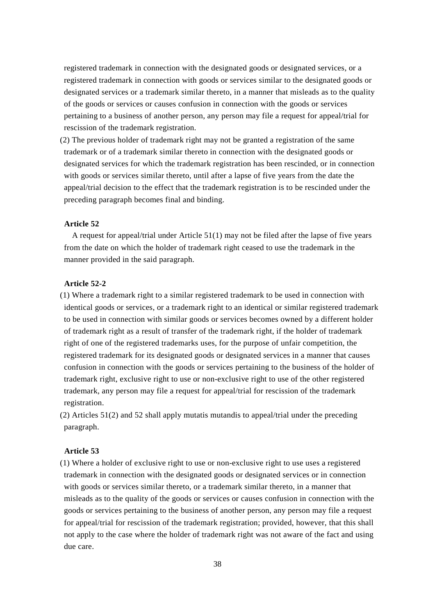registered trademark in connection with the designated goods or designated services, or a registered trademark in connection with goods or services similar to the designated goods or designated services or a trademark similar thereto, in a manner that misleads as to the quality of the goods or services or causes confusion in connection with the goods or services pertaining to a business of another person, any person may file a request for appeal/trial for rescission of the trademark registration.

(2) The previous holder of trademark right may not be granted a registration of the same trademark or of a trademark similar thereto in connection with the designated goods or designated services for which the trademark registration has been rescinded, or in connection with goods or services similar thereto, until after a lapse of five years from the date the appeal/trial decision to the effect that the trademark registration is to be rescinded under the preceding paragraph becomes final and binding.

#### **Article 52**

A request for appeal/trial under Article 51(1) may not be filed after the lapse of five years from the date on which the holder of trademark right ceased to use the trademark in the manner provided in the said paragraph.

#### **Article 52-2**

- (1) Where a trademark right to a similar registered trademark to be used in connection with identical goods or services, or a trademark right to an identical or similar registered trademark to be used in connection with similar goods or services becomes owned by a different holder of trademark right as a result of transfer of the trademark right, if the holder of trademark right of one of the registered trademarks uses, for the purpose of unfair competition, the registered trademark for its designated goods or designated services in a manner that causes confusion in connection with the goods or services pertaining to the business of the holder of trademark right, exclusive right to use or non-exclusive right to use of the other registered trademark, any person may file a request for appeal/trial for rescission of the trademark registration.
- (2) Articles 51(2) and 52 shall apply mutatis mutandis to appeal/trial under the preceding paragraph.

#### **Article 53**

(1) Where a holder of exclusive right to use or non-exclusive right to use uses a registered trademark in connection with the designated goods or designated services or in connection with goods or services similar thereto, or a trademark similar thereto, in a manner that misleads as to the quality of the goods or services or causes confusion in connection with the goods or services pertaining to the business of another person, any person may file a request for appeal/trial for rescission of the trademark registration; provided, however, that this shall not apply to the case where the holder of trademark right was not aware of the fact and using due care.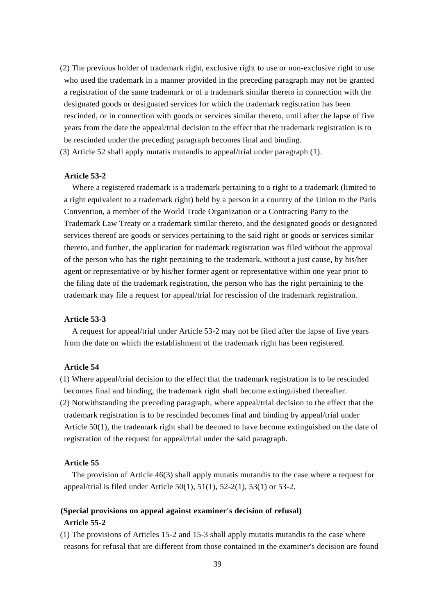- (2) The previous holder of trademark right, exclusive right to use or non-exclusive right to use who used the trademark in a manner provided in the preceding paragraph may not be granted a registration of the same trademark or of a trademark similar thereto in connection with the designated goods or designated services for which the trademark registration has been rescinded, or in connection with goods or services similar thereto, until after the lapse of five years from the date the appeal/trial decision to the effect that the trademark registration is to be rescinded under the preceding paragraph becomes final and binding.
- (3) Article 52 shall apply mutatis mutandis to appeal/trial under paragraph (1).

#### **Article 53-2**

Where a registered trademark is a trademark pertaining to a right to a trademark (limited to a right equivalent to a trademark right) held by a person in a country of the Union to the Paris Convention, a member of the World Trade Organization or a Contracting Party to the Trademark Law Treaty or a trademark similar thereto, and the designated goods or designated services thereof are goods or services pertaining to the said right or goods or services similar thereto, and further, the application for trademark registration was filed without the approval of the person who has the right pertaining to the trademark, without a just cause, by his/her agent or representative or by his/her former agent or representative within one year prior to the filing date of the trademark registration, the person who has the right pertaining to the trademark may file a request for appeal/trial for rescission of the trademark registration.

#### **Article 53-3**

A request for appeal/trial under Article 53-2 may not be filed after the lapse of five years from the date on which the establishment of the trademark right has been registered.

#### **Article 54**

- (1) Where appeal/trial decision to the effect that the trademark registration is to be rescinded becomes final and binding, the trademark right shall become extinguished thereafter.
- (2) Notwithstanding the preceding paragraph, where appeal/trial decision to the effect that the trademark registration is to be rescinded becomes final and binding by appeal/trial under Article 50(1), the trademark right shall be deemed to have become extinguished on the date of registration of the request for appeal/trial under the said paragraph.

#### **Article 55**

The provision of Article 46(3) shall apply mutatis mutandis to the case where a request for appeal/trial is filed under Article 50(1), 51(1), 52-2(1), 53(1) or 53-2.

#### **(Special provisions on appeal against examiner's decision of refusal) Article 55-2**

(1) The provisions of Articles 15-2 and 15-3 shall apply mutatis mutandis to the case where reasons for refusal that are different from those contained in the examiner's decision are found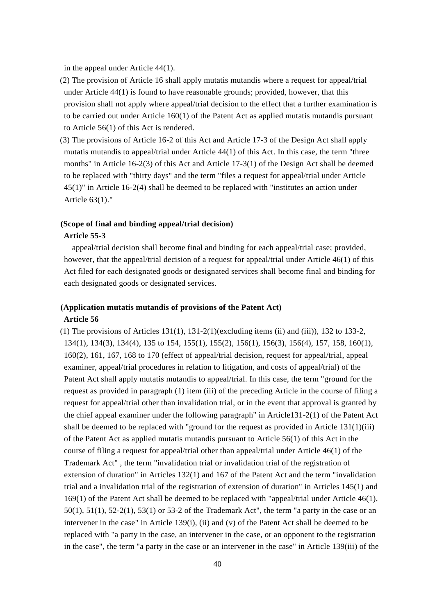in the appeal under Article 44(1).

- (2) The provision of Article 16 shall apply mutatis mutandis where a request for appeal/trial under Article 44(1) is found to have reasonable grounds; provided, however, that this provision shall not apply where appeal/trial decision to the effect that a further examination is to be carried out under Article 160(1) of the Patent Act as applied mutatis mutandis pursuant to Article 56(1) of this Act is rendered.
- (3) The provisions of Article 16-2 of this Act and Article 17-3 of the Design Act shall apply mutatis mutandis to appeal/trial under Article 44(1) of this Act. In this case, the term "three months" in Article 16-2(3) of this Act and Article 17-3(1) of the Design Act shall be deemed to be replaced with "thirty days" and the term "files a request for appeal/trial under Article 45(1)" in Article 16-2(4) shall be deemed to be replaced with "institutes an action under Article 63(1)."

#### **(Scope of final and binding appeal/trial decision)**

#### **Article 55-3**

appeal/trial decision shall become final and binding for each appeal/trial case; provided, however, that the appeal/trial decision of a request for appeal/trial under Article 46(1) of this Act filed for each designated goods or designated services shall become final and binding for each designated goods or designated services.

## **(Application mutatis mutandis of provisions of the Patent Act) Article 56**

(1) The provisions of Articles  $131(1)$ ,  $131-2(1)$  (excluding items (ii) and (iii)),  $132$  to  $133-2$ , 134(1), 134(3), 134(4), 135 to 154, 155(1), 155(2), 156(1), 156(3), 156(4), 157, 158, 160(1), 160(2), 161, 167, 168 to 170 (effect of appeal/trial decision, request for appeal/trial, appeal examiner, appeal/trial procedures in relation to litigation, and costs of appeal/trial) of the Patent Act shall apply mutatis mutandis to appeal/trial. In this case, the term "ground for the request as provided in paragraph (1) item (iii) of the preceding Article in the course of filing a request for appeal/trial other than invalidation trial, or in the event that approval is granted by the chief appeal examiner under the following paragraph" in Article131-2(1) of the Patent Act shall be deemed to be replaced with "ground for the request as provided in Article  $131(1)(iii)$ of the Patent Act as applied mutatis mutandis pursuant to Article 56(1) of this Act in the course of filing a request for appeal/trial other than appeal/trial under Article 46(1) of the Trademark Act" , the term "invalidation trial or invalidation trial of the registration of extension of duration" in Articles 132(1) and 167 of the Patent Act and the term "invalidation trial and a invalidation trial of the registration of extension of duration" in Articles 145(1) and 169(1) of the Patent Act shall be deemed to be replaced with "appeal/trial under Article 46(1), 50(1), 51(1), 52-2(1), 53(1) or 53-2 of the Trademark Act", the term "a party in the case or an intervener in the case" in Article 139(i), (ii) and (v) of the Patent Act shall be deemed to be replaced with "a party in the case, an intervener in the case, or an opponent to the registration in the case", the term "a party in the case or an intervener in the case" in Article 139(iii) of the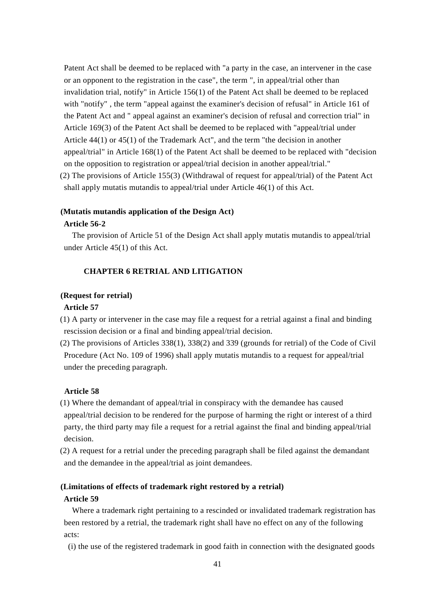Patent Act shall be deemed to be replaced with "a party in the case, an intervener in the case or an opponent to the registration in the case", the term ", in appeal/trial other than invalidation trial, notify" in Article 156(1) of the Patent Act shall be deemed to be replaced with "notify" , the term "appeal against the examiner's decision of refusal" in Article 161 of the Patent Act and " appeal against an examiner's decision of refusal and correction trial" in Article 169(3) of the Patent Act shall be deemed to be replaced with "appeal/trial under Article 44(1) or 45(1) of the Trademark Act", and the term "the decision in another appeal/trial" in Article 168(1) of the Patent Act shall be deemed to be replaced with "decision on the opposition to registration or appeal/trial decision in another appeal/trial." (2) The provisions of Article 155(3) (Withdrawal of request for appeal/trial) of the Patent Act

## **(Mutatis mutandis application of the Design Act)**

#### **Article 56-2**

The provision of Article 51 of the Design Act shall apply mutatis mutandis to appeal/trial under Article 45(1) of this Act.

shall apply mutatis mutandis to appeal/trial under Article 46(1) of this Act.

#### **CHAPTER 6 RETRIAL AND LITIGATION**

#### **(Request for retrial)**

#### **Article 57**

- (1) A party or intervener in the case may file a request for a retrial against a final and binding rescission decision or a final and binding appeal/trial decision.
- (2) The provisions of Articles 338(1), 338(2) and 339 (grounds for retrial) of the Code of Civil Procedure (Act No. 109 of 1996) shall apply mutatis mutandis to a request for appeal/trial under the preceding paragraph.

#### **Article 58**

- (1) Where the demandant of appeal/trial in conspiracy with the demandee has caused appeal/trial decision to be rendered for the purpose of harming the right or interest of a third party, the third party may file a request for a retrial against the final and binding appeal/trial decision.
- (2) A request for a retrial under the preceding paragraph shall be filed against the demandant and the demandee in the appeal/trial as joint demandees.

#### **(Limitations of effects of trademark right restored by a retrial)**

#### **Article 59**

Where a trademark right pertaining to a rescinded or invalidated trademark registration has been restored by a retrial, the trademark right shall have no effect on any of the following acts:

(i) the use of the registered trademark in good faith in connection with the designated goods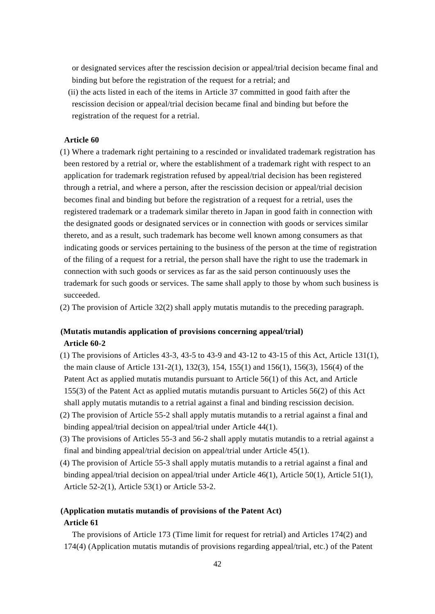or designated services after the rescission decision or appeal/trial decision became final and binding but before the registration of the request for a retrial; and

(ii) the acts listed in each of the items in Article 37 committed in good faith after the rescission decision or appeal/trial decision became final and binding but before the registration of the request for a retrial.

#### **Article 60**

- (1) Where a trademark right pertaining to a rescinded or invalidated trademark registration has been restored by a retrial or, where the establishment of a trademark right with respect to an application for trademark registration refused by appeal/trial decision has been registered through a retrial, and where a person, after the rescission decision or appeal/trial decision becomes final and binding but before the registration of a request for a retrial, uses the registered trademark or a trademark similar thereto in Japan in good faith in connection with the designated goods or designated services or in connection with goods or services similar thereto, and as a result, such trademark has become well known among consumers as that indicating goods or services pertaining to the business of the person at the time of registration of the filing of a request for a retrial, the person shall have the right to use the trademark in connection with such goods or services as far as the said person continuously uses the trademark for such goods or services. The same shall apply to those by whom such business is succeeded.
- (2) The provision of Article 32(2) shall apply mutatis mutandis to the preceding paragraph.

### **(Mutatis mutandis application of provisions concerning appeal/trial) Article 60-2**

- (1) The provisions of Articles 43-3, 43-5 to 43-9 and 43-12 to 43-15 of this Act, Article 131(1), the main clause of Article 131-2(1), 132(3), 154, 155(1) and 156(1), 156(3), 156(4) of the Patent Act as applied mutatis mutandis pursuant to Article 56(1) of this Act, and Article 155(3) of the Patent Act as applied mutatis mutandis pursuant to Articles 56(2) of this Act shall apply mutatis mutandis to a retrial against a final and binding rescission decision.
- (2) The provision of Article 55-2 shall apply mutatis mutandis to a retrial against a final and binding appeal/trial decision on appeal/trial under Article 44(1).
- (3) The provisions of Articles 55-3 and 56-2 shall apply mutatis mutandis to a retrial against a final and binding appeal/trial decision on appeal/trial under Article 45(1).
- (4) The provision of Article 55-3 shall apply mutatis mutandis to a retrial against a final and binding appeal/trial decision on appeal/trial under Article 46(1), Article 50(1), Article 51(1), Article 52-2(1), Article 53(1) or Article 53-2.

#### **(Application mutatis mutandis of provisions of the Patent Act)**

#### **Article 61**

The provisions of Article 173 (Time limit for request for retrial) and Articles 174(2) and 174(4) (Application mutatis mutandis of provisions regarding appeal/trial, etc.) of the Patent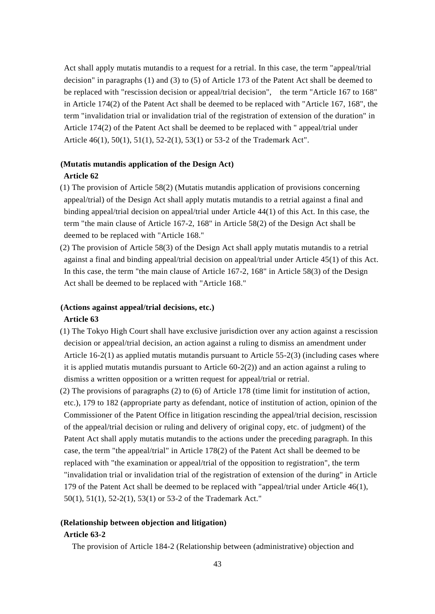Act shall apply mutatis mutandis to a request for a retrial. In this case, the term "appeal/trial decision" in paragraphs (1) and (3) to (5) of Article 173 of the Patent Act shall be deemed to be replaced with "rescission decision or appeal/trial decision", the term "Article 167 to 168" in Article 174(2) of the Patent Act shall be deemed to be replaced with "Article 167, 168", the term "invalidation trial or invalidation trial of the registration of extension of the duration" in Article 174(2) of the Patent Act shall be deemed to be replaced with " appeal/trial under Article 46(1), 50(1), 51(1), 52-2(1), 53(1) or 53-2 of the Trademark Act".

### **(Mutatis mutandis application of the Design Act) Article 62**

- (1) The provision of Article 58(2) (Mutatis mutandis application of provisions concerning appeal/trial) of the Design Act shall apply mutatis mutandis to a retrial against a final and binding appeal/trial decision on appeal/trial under Article 44(1) of this Act. In this case, the term "the main clause of Article 167-2, 168" in Article 58(2) of the Design Act shall be deemed to be replaced with "Article 168."
- (2) The provision of Article 58(3) of the Design Act shall apply mutatis mutandis to a retrial against a final and binding appeal/trial decision on appeal/trial under Article 45(1) of this Act. In this case, the term "the main clause of Article 167-2, 168" in Article 58(3) of the Design Act shall be deemed to be replaced with "Article 168."

# **(Actions against appeal/trial decisions, etc.)**

#### **Article 63**

- (1) The Tokyo High Court shall have exclusive jurisdiction over any action against a rescission decision or appeal/trial decision, an action against a ruling to dismiss an amendment under Article 16-2(1) as applied mutatis mutandis pursuant to Article 55-2(3) (including cases where it is applied mutatis mutandis pursuant to Article  $60-2(2)$ ) and an action against a ruling to dismiss a written opposition or a written request for appeal/trial or retrial.
- (2) The provisions of paragraphs (2) to (6) of Article 178 (time limit for institution of action, etc.), 179 to 182 (appropriate party as defendant, notice of institution of action, opinion of the Commissioner of the Patent Office in litigation rescinding the appeal/trial decision, rescission of the appeal/trial decision or ruling and delivery of original copy, etc. of judgment) of the Patent Act shall apply mutatis mutandis to the actions under the preceding paragraph. In this case, the term "the appeal/trial" in Article 178(2) of the Patent Act shall be deemed to be replaced with "the examination or appeal/trial of the opposition to registration", the term "invalidation trial or invalidation trial of the registration of extension of the during" in Article 179 of the Patent Act shall be deemed to be replaced with "appeal/trial under Article 46(1), 50(1), 51(1), 52-2(1), 53(1) or 53-2 of the Trademark Act."

### **(Relationship between objection and litigation)**

#### **Article 63-2**

The provision of Article 184-2 (Relationship between (administrative) objection and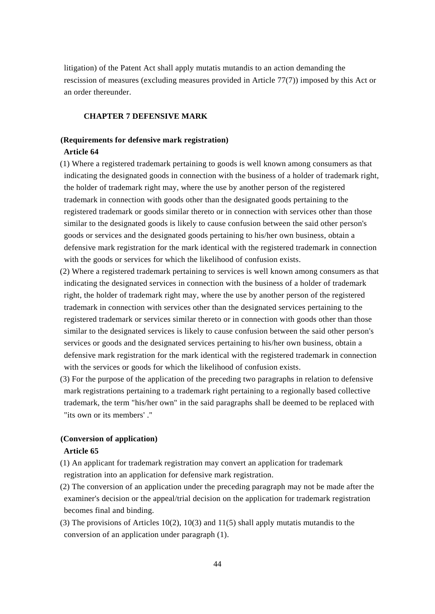litigation) of the Patent Act shall apply mutatis mutandis to an action demanding the rescission of measures (excluding measures provided in Article 77(7)) imposed by this Act or an order thereunder.

### **CHAPTER 7 DEFENSIVE MARK**

#### **(Requirements for defensive mark registration)**

#### **Article 64**

- (1) Where a registered trademark pertaining to goods is well known among consumers as that indicating the designated goods in connection with the business of a holder of trademark right, the holder of trademark right may, where the use by another person of the registered trademark in connection with goods other than the designated goods pertaining to the registered trademark or goods similar thereto or in connection with services other than those similar to the designated goods is likely to cause confusion between the said other person's goods or services and the designated goods pertaining to his/her own business, obtain a defensive mark registration for the mark identical with the registered trademark in connection with the goods or services for which the likelihood of confusion exists.
- (2) Where a registered trademark pertaining to services is well known among consumers as that indicating the designated services in connection with the business of a holder of trademark right, the holder of trademark right may, where the use by another person of the registered trademark in connection with services other than the designated services pertaining to the registered trademark or services similar thereto or in connection with goods other than those similar to the designated services is likely to cause confusion between the said other person's services or goods and the designated services pertaining to his/her own business, obtain a defensive mark registration for the mark identical with the registered trademark in connection with the services or goods for which the likelihood of confusion exists.
- (3) For the purpose of the application of the preceding two paragraphs in relation to defensive mark registrations pertaining to a trademark right pertaining to a regionally based collective trademark, the term "his/her own" in the said paragraphs shall be deemed to be replaced with "its own or its members' ."

#### **(Conversion of application)**

- (1) An applicant for trademark registration may convert an application for trademark registration into an application for defensive mark registration.
- (2) The conversion of an application under the preceding paragraph may not be made after the examiner's decision or the appeal/trial decision on the application for trademark registration becomes final and binding.
- (3) The provisions of Articles 10(2), 10(3) and 11(5) shall apply mutatis mutandis to the conversion of an application under paragraph (1).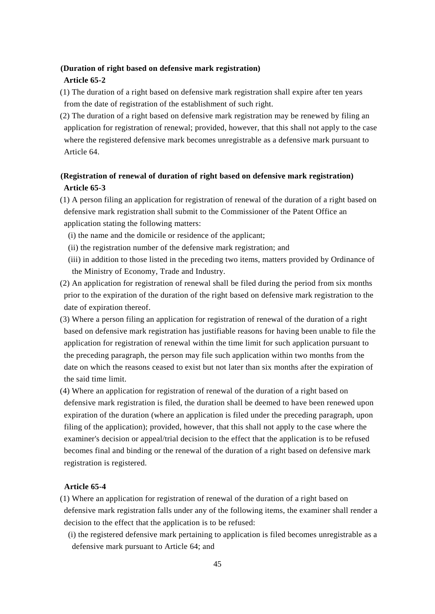### **(Duration of right based on defensive mark registration) Article 65-2**

- 
- (1) The duration of a right based on defensive mark registration shall expire after ten years from the date of registration of the establishment of such right.
- (2) The duration of a right based on defensive mark registration may be renewed by filing an application for registration of renewal; provided, however, that this shall not apply to the case where the registered defensive mark becomes unregistrable as a defensive mark pursuant to Article 64.

## **(Registration of renewal of duration of right based on defensive mark registration) Article 65-3**

- (1) A person filing an application for registration of renewal of the duration of a right based on defensive mark registration shall submit to the Commissioner of the Patent Office an application stating the following matters:
	- (i) the name and the domicile or residence of the applicant;
	- (ii) the registration number of the defensive mark registration; and
	- (iii) in addition to those listed in the preceding two items, matters provided by Ordinance of the Ministry of Economy, Trade and Industry.
- (2) An application for registration of renewal shall be filed during the period from six months prior to the expiration of the duration of the right based on defensive mark registration to the date of expiration thereof.
- (3) Where a person filing an application for registration of renewal of the duration of a right based on defensive mark registration has justifiable reasons for having been unable to file the application for registration of renewal within the time limit for such application pursuant to the preceding paragraph, the person may file such application within two months from the date on which the reasons ceased to exist but not later than six months after the expiration of the said time limit.
- (4) Where an application for registration of renewal of the duration of a right based on defensive mark registration is filed, the duration shall be deemed to have been renewed upon expiration of the duration (where an application is filed under the preceding paragraph, upon filing of the application); provided, however, that this shall not apply to the case where the examiner's decision or appeal/trial decision to the effect that the application is to be refused becomes final and binding or the renewal of the duration of a right based on defensive mark registration is registered.

#### **Article 65-4**

- (1) Where an application for registration of renewal of the duration of a right based on defensive mark registration falls under any of the following items, the examiner shall render a decision to the effect that the application is to be refused:
	- (i) the registered defensive mark pertaining to application is filed becomes unregistrable as a defensive mark pursuant to Article 64; and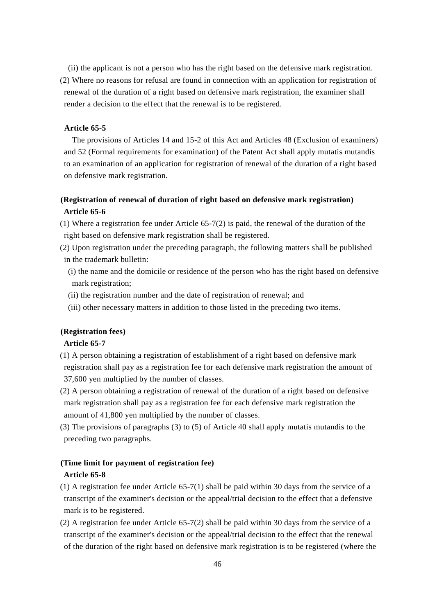(ii) the applicant is not a person who has the right based on the defensive mark registration. (2) Where no reasons for refusal are found in connection with an application for registration of renewal of the duration of a right based on defensive mark registration, the examiner shall render a decision to the effect that the renewal is to be registered.

#### **Article 65-5**

The provisions of Articles 14 and 15-2 of this Act and Articles 48 (Exclusion of examiners) and 52 (Formal requirements for examination) of the Patent Act shall apply mutatis mutandis to an examination of an application for registration of renewal of the duration of a right based on defensive mark registration.

## **(Registration of renewal of duration of right based on defensive mark registration) Article 65-6**

- (1) Where a registration fee under Article 65-7(2) is paid, the renewal of the duration of the right based on defensive mark registration shall be registered.
- (2) Upon registration under the preceding paragraph, the following matters shall be published in the trademark bulletin:
	- (i) the name and the domicile or residence of the person who has the right based on defensive mark registration;
	- (ii) the registration number and the date of registration of renewal; and
	- (iii) other necessary matters in addition to those listed in the preceding two items.

#### **(Registration fees)**

#### **Article 65-7**

- (1) A person obtaining a registration of establishment of a right based on defensive mark registration shall pay as a registration fee for each defensive mark registration the amount of 37,600 yen multiplied by the number of classes.
- (2) A person obtaining a registration of renewal of the duration of a right based on defensive mark registration shall pay as a registration fee for each defensive mark registration the amount of 41,800 yen multiplied by the number of classes.
- (3) The provisions of paragraphs (3) to (5) of Article 40 shall apply mutatis mutandis to the preceding two paragraphs.

## **(Time limit for payment of registration fee) Article 65-8**

- (1) A registration fee under Article 65-7(1) shall be paid within 30 days from the service of a transcript of the examiner's decision or the appeal/trial decision to the effect that a defensive mark is to be registered.
- (2) A registration fee under Article 65-7(2) shall be paid within 30 days from the service of a transcript of the examiner's decision or the appeal/trial decision to the effect that the renewal of the duration of the right based on defensive mark registration is to be registered (where the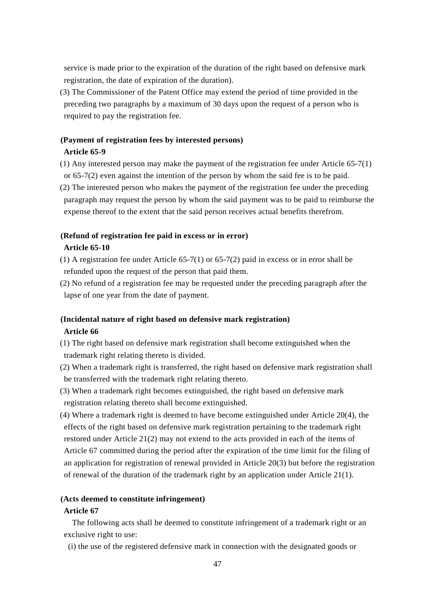service is made prior to the expiration of the duration of the right based on defensive mark registration, the date of expiration of the duration).

(3) The Commissioner of the Patent Office may extend the period of time provided in the preceding two paragraphs by a maximum of 30 days upon the request of a person who is required to pay the registration fee.

### **(Payment of registration fees by interested persons)**

#### **Article 65-9**

- (1) Any interested person may make the payment of the registration fee under Article 65-7(1) or 65-7(2) even against the intention of the person by whom the said fee is to be paid.
- (2) The interested person who makes the payment of the registration fee under the preceding paragraph may request the person by whom the said payment was to be paid to reimburse the expense thereof to the extent that the said person receives actual benefits therefrom.

### **(Refund of registration fee paid in excess or in error) Article 65-10**

- (1) A registration fee under Article 65-7(1) or 65-7(2) paid in excess or in error shall be refunded upon the request of the person that paid them.
- (2) No refund of a registration fee may be requested under the preceding paragraph after the lapse of one year from the date of payment.

## **(Incidental nature of right based on defensive mark registration)**

## **Article 66**

- (1) The right based on defensive mark registration shall become extinguished when the trademark right relating thereto is divided.
- (2) When a trademark right is transferred, the right based on defensive mark registration shall be transferred with the trademark right relating thereto.
- (3) When a trademark right becomes extinguished, the right based on defensive mark registration relating thereto shall become extinguished.
- (4) Where a trademark right is deemed to have become extinguished under Article 20(4), the effects of the right based on defensive mark registration pertaining to the trademark right restored under Article 21(2) may not extend to the acts provided in each of the items of Article 67 committed during the period after the expiration of the time limit for the filing of an application for registration of renewal provided in Article 20(3) but before the registration of renewal of the duration of the trademark right by an application under Article 21(1).

#### **(Acts deemed to constitute infringement)**

#### **Article 67**

The following acts shall be deemed to constitute infringement of a trademark right or an exclusive right to use:

(i) the use of the registered defensive mark in connection with the designated goods or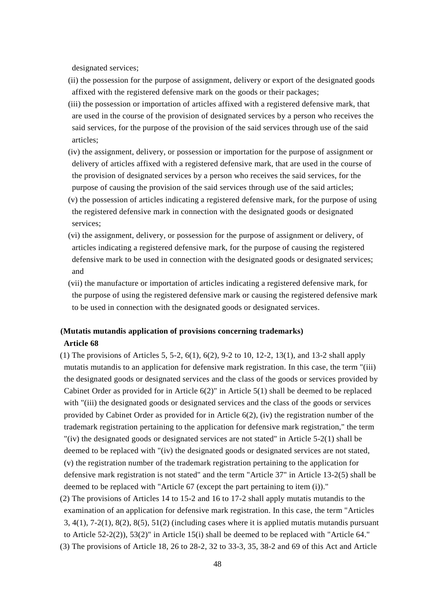designated services;

- (ii) the possession for the purpose of assignment, delivery or export of the designated goods affixed with the registered defensive mark on the goods or their packages;
- (iii) the possession or importation of articles affixed with a registered defensive mark, that are used in the course of the provision of designated services by a person who receives the said services, for the purpose of the provision of the said services through use of the said articles;
- (iv) the assignment, delivery, or possession or importation for the purpose of assignment or delivery of articles affixed with a registered defensive mark, that are used in the course of the provision of designated services by a person who receives the said services, for the purpose of causing the provision of the said services through use of the said articles;
- (v) the possession of articles indicating a registered defensive mark, for the purpose of using the registered defensive mark in connection with the designated goods or designated services;
- (vi) the assignment, delivery, or possession for the purpose of assignment or delivery, of articles indicating a registered defensive mark, for the purpose of causing the registered defensive mark to be used in connection with the designated goods or designated services; and
- (vii) the manufacture or importation of articles indicating a registered defensive mark, for the purpose of using the registered defensive mark or causing the registered defensive mark to be used in connection with the designated goods or designated services.

## **(Mutatis mutandis application of provisions concerning trademarks) Article 68**

- (1) The provisions of Articles 5, 5-2, 6(1), 6(2), 9-2 to 10, 12-2, 13(1), and 13-2 shall apply mutatis mutandis to an application for defensive mark registration. In this case, the term "(iii) the designated goods or designated services and the class of the goods or services provided by Cabinet Order as provided for in Article 6(2)" in Article 5(1) shall be deemed to be replaced with "(iii) the designated goods or designated services and the class of the goods or services provided by Cabinet Order as provided for in Article 6(2), (iv) the registration number of the trademark registration pertaining to the application for defensive mark registration," the term "(iv) the designated goods or designated services are not stated" in Article 5-2(1) shall be deemed to be replaced with "(iv) the designated goods or designated services are not stated, (v) the registration number of the trademark registration pertaining to the application for defensive mark registration is not stated" and the term "Article 37" in Article 13-2(5) shall be deemed to be replaced with "Article 67 (except the part pertaining to item (i))."
- (2) The provisions of Articles 14 to 15-2 and 16 to 17-2 shall apply mutatis mutandis to the examination of an application for defensive mark registration. In this case, the term "Articles  $3, 4(1), 7-2(1), 8(2), 8(5), 51(2)$  (including cases where it is applied mutatis mutandis pursuant to Article 52-2(2)), 53(2)" in Article 15(i) shall be deemed to be replaced with "Article 64."
- (3) The provisions of Article 18, 26 to 28-2, 32 to 33-3, 35, 38-2 and 69 of this Act and Article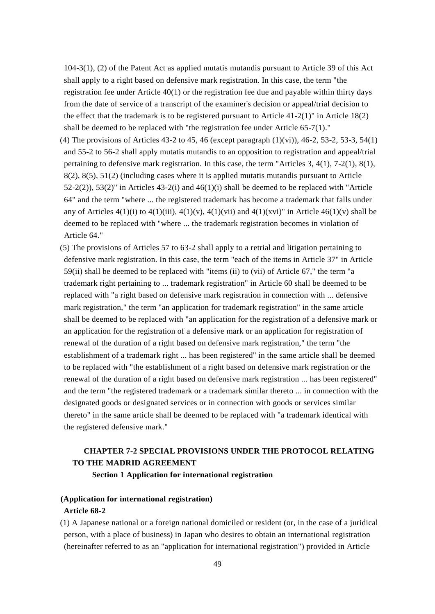104-3(1), (2) of the Patent Act as applied mutatis mutandis pursuant to Article 39 of this Act shall apply to a right based on defensive mark registration. In this case, the term "the registration fee under Article 40(1) or the registration fee due and payable within thirty days from the date of service of a transcript of the examiner's decision or appeal/trial decision to the effect that the trademark is to be registered pursuant to Article 41-2(1)" in Article 18(2) shall be deemed to be replaced with "the registration fee under Article 65-7(1)."

- (4) The provisions of Articles 43-2 to 45, 46 (except paragraph  $(1)(vi)$ ), 46-2, 53-2, 53-3, 54(1) and 55-2 to 56-2 shall apply mutatis mutandis to an opposition to registration and appeal/trial pertaining to defensive mark registration. In this case, the term "Articles 3, 4(1), 7-2(1), 8(1), 8(2), 8(5), 51(2) (including cases where it is applied mutatis mutandis pursuant to Article  $52-2(2)$ ,  $53(2)$ " in Articles  $43-2(i)$  and  $46(1)(i)$  shall be deemed to be replaced with "Article" 64" and the term "where ... the registered trademark has become a trademark that falls under any of Articles  $4(1)(i)$  to  $4(1)(iii)$ ,  $4(1)(v)$ ,  $4(1)(vii)$  and  $4(1)(xvi)$ " in Article  $46(1)(v)$  shall be deemed to be replaced with "where ... the trademark registration becomes in violation of Article 64."
- (5) The provisions of Articles 57 to 63-2 shall apply to a retrial and litigation pertaining to defensive mark registration. In this case, the term "each of the items in Article 37" in Article 59(ii) shall be deemed to be replaced with "items (ii) to (vii) of Article 67," the term "a trademark right pertaining to ... trademark registration" in Article 60 shall be deemed to be replaced with "a right based on defensive mark registration in connection with ... defensive mark registration," the term "an application for trademark registration" in the same article shall be deemed to be replaced with "an application for the registration of a defensive mark or an application for the registration of a defensive mark or an application for registration of renewal of the duration of a right based on defensive mark registration," the term "the establishment of a trademark right ... has been registered" in the same article shall be deemed to be replaced with "the establishment of a right based on defensive mark registration or the renewal of the duration of a right based on defensive mark registration ... has been registered" and the term "the registered trademark or a trademark similar thereto ... in connection with the designated goods or designated services or in connection with goods or services similar thereto" in the same article shall be deemed to be replaced with "a trademark identical with the registered defensive mark."

## **CHAPTER 7-2 SPECIAL PROVISIONS UNDER THE PROTOCOL RELATING TO THE MADRID AGREEMENT**

**Section 1 Application for international registration**

## **(Application for international registration)**

## **Article 68-2**

(1) A Japanese national or a foreign national domiciled or resident (or, in the case of a juridical person, with a place of business) in Japan who desires to obtain an international registration (hereinafter referred to as an "application for international registration") provided in Article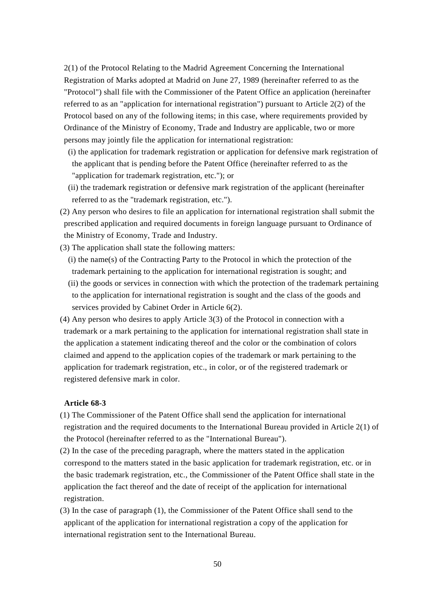2(1) of the Protocol Relating to the Madrid Agreement Concerning the International Registration of Marks adopted at Madrid on June 27, 1989 (hereinafter referred to as the "Protocol") shall file with the Commissioner of the Patent Office an application (hereinafter referred to as an "application for international registration") pursuant to Article 2(2) of the Protocol based on any of the following items; in this case, where requirements provided by Ordinance of the Ministry of Economy, Trade and Industry are applicable, two or more persons may jointly file the application for international registration:

- (i) the application for trademark registration or application for defensive mark registration of the applicant that is pending before the Patent Office (hereinafter referred to as the "application for trademark registration, etc."); or
- (ii) the trademark registration or defensive mark registration of the applicant (hereinafter referred to as the "trademark registration, etc.").
- (2) Any person who desires to file an application for international registration shall submit the prescribed application and required documents in foreign language pursuant to Ordinance of the Ministry of Economy, Trade and Industry.
- (3) The application shall state the following matters:
	- (i) the name(s) of the Contracting Party to the Protocol in which the protection of the trademark pertaining to the application for international registration is sought; and
	- (ii) the goods or services in connection with which the protection of the trademark pertaining to the application for international registration is sought and the class of the goods and services provided by Cabinet Order in Article 6(2).
- (4) Any person who desires to apply Article 3(3) of the Protocol in connection with a trademark or a mark pertaining to the application for international registration shall state in the application a statement indicating thereof and the color or the combination of colors claimed and append to the application copies of the trademark or mark pertaining to the application for trademark registration, etc., in color, or of the registered trademark or registered defensive mark in color.

#### **Article 68-3**

- (1) The Commissioner of the Patent Office shall send the application for international registration and the required documents to the International Bureau provided in Article 2(1) of the Protocol (hereinafter referred to as the "International Bureau").
- (2) In the case of the preceding paragraph, where the matters stated in the application correspond to the matters stated in the basic application for trademark registration, etc. or in the basic trademark registration, etc., the Commissioner of the Patent Office shall state in the application the fact thereof and the date of receipt of the application for international registration.
- (3) In the case of paragraph (1), the Commissioner of the Patent Office shall send to the applicant of the application for international registration a copy of the application for international registration sent to the International Bureau.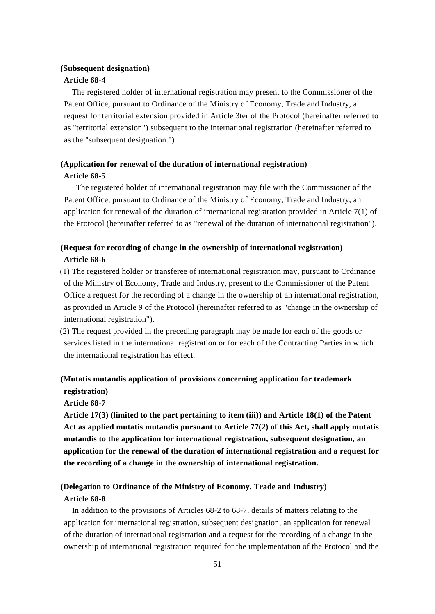#### **(Subsequent designation)**

#### **Article 68-4**

The registered holder of international registration may present to the Commissioner of the Patent Office, pursuant to Ordinance of the Ministry of Economy, Trade and Industry, a request for territorial extension provided in Article 3ter of the Protocol (hereinafter referred to as "territorial extension") subsequent to the international registration (hereinafter referred to as the "subsequent designation.")

## **(Application for renewal of the duration of international registration) Article 68-5**

The registered holder of international registration may file with the Commissioner of the Patent Office, pursuant to Ordinance of the Ministry of Economy, Trade and Industry, an application for renewal of the duration of international registration provided in Article 7(1) of the Protocol (hereinafter referred to as "renewal of the duration of international registration").

## **(Request for recording of change in the ownership of international registration) Article 68-6**

- (1) The registered holder or transferee of international registration may, pursuant to Ordinance of the Ministry of Economy, Trade and Industry, present to the Commissioner of the Patent Office a request for the recording of a change in the ownership of an international registration, as provided in Article 9 of the Protocol (hereinafter referred to as "change in the ownership of international registration").
- (2) The request provided in the preceding paragraph may be made for each of the goods or services listed in the international registration or for each of the Contracting Parties in which the international registration has effect.

## **(Mutatis mutandis application of provisions concerning application for trademark registration)**

**Article 68-7** 

**Article 17(3) (limited to the part pertaining to item (iii)) and Article 18(1) of the Patent Act as applied mutatis mutandis pursuant to Article 77(2) of this Act, shall apply mutatis mutandis to the application for international registration, subsequent designation, an application for the renewal of the duration of international registration and a request for the recording of a change in the ownership of international registration.**

## **(Delegation to Ordinance of the Ministry of Economy, Trade and Industry)**

#### **Article 68-8**

In addition to the provisions of Articles 68-2 to 68-7, details of matters relating to the application for international registration, subsequent designation, an application for renewal of the duration of international registration and a request for the recording of a change in the ownership of international registration required for the implementation of the Protocol and the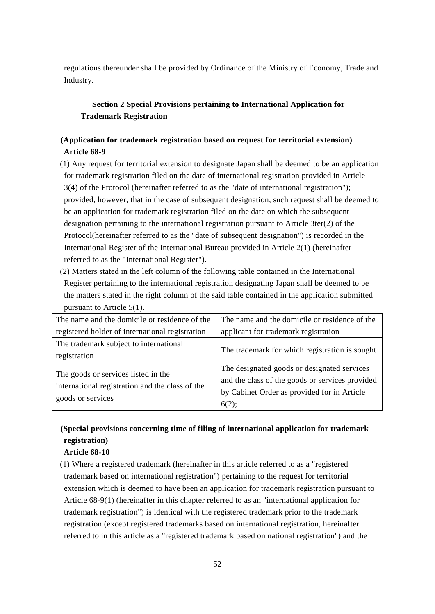regulations thereunder shall be provided by Ordinance of the Ministry of Economy, Trade and Industry.

## **Section 2 Special Provisions pertaining to International Application for Trademark Registration**

## **(Application for trademark registration based on request for territorial extension) Article 68-9**

- (1) Any request for territorial extension to designate Japan shall be deemed to be an application for trademark registration filed on the date of international registration provided in Article 3(4) of the Protocol (hereinafter referred to as the "date of international registration"); provided, however, that in the case of subsequent designation, such request shall be deemed to be an application for trademark registration filed on the date on which the subsequent designation pertaining to the international registration pursuant to Article 3ter(2) of the Protocol(hereinafter referred to as the "date of subsequent designation") is recorded in the International Register of the International Bureau provided in Article 2(1) (hereinafter referred to as the "International Register").
- (2) Matters stated in the left column of the following table contained in the International Register pertaining to the international registration designating Japan shall be deemed to be the matters stated in the right column of the said table contained in the application submitted pursuant to Article 5(1).

| The name and the domicile or residence of the                                                               | The name and the domicile or residence of the                                                                                                          |  |
|-------------------------------------------------------------------------------------------------------------|--------------------------------------------------------------------------------------------------------------------------------------------------------|--|
| registered holder of international registration                                                             | applicant for trademark registration                                                                                                                   |  |
| The trademark subject to international<br>registration                                                      | The trademark for which registration is sought                                                                                                         |  |
| The goods or services listed in the<br>international registration and the class of the<br>goods or services | The designated goods or designated services<br>and the class of the goods or services provided<br>by Cabinet Order as provided for in Article<br>6(2); |  |

## **(Special provisions concerning time of filing of international application for trademark registration)**

#### **Article 68-10**

(1) Where a registered trademark (hereinafter in this article referred to as a "registered trademark based on international registration") pertaining to the request for territorial extension which is deemed to have been an application for trademark registration pursuant to Article 68-9(1) (hereinafter in this chapter referred to as an "international application for trademark registration") is identical with the registered trademark prior to the trademark registration (except registered trademarks based on international registration, hereinafter referred to in this article as a "registered trademark based on national registration") and the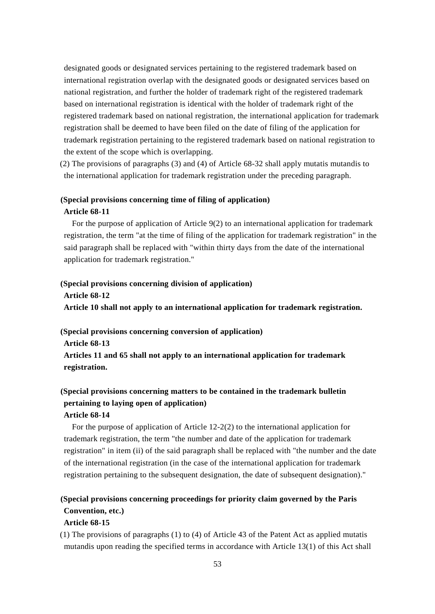designated goods or designated services pertaining to the registered trademark based on international registration overlap with the designated goods or designated services based on national registration, and further the holder of trademark right of the registered trademark based on international registration is identical with the holder of trademark right of the registered trademark based on national registration, the international application for trademark registration shall be deemed to have been filed on the date of filing of the application for trademark registration pertaining to the registered trademark based on national registration to the extent of the scope which is overlapping.

(2) The provisions of paragraphs (3) and (4) of Article 68-32 shall apply mutatis mutandis to the international application for trademark registration under the preceding paragraph.

### **(Special provisions concerning time of filing of application) Article 68-11**

For the purpose of application of Article 9(2) to an international application for trademark registration, the term "at the time of filing of the application for trademark registration" in the said paragraph shall be replaced with "within thirty days from the date of the international application for trademark registration."

## **(Special provisions concerning division of application) Article 68-12 Article 10 shall not apply to an international application for trademark registration.**

**(Special provisions concerning conversion of application)** 

## **Article 68-13 Articles 11 and 65 shall not apply to an international application for trademark registration.**

## **(Special provisions concerning matters to be contained in the trademark bulletin pertaining to laying open of application)**

## **Article 68-14**

For the purpose of application of Article  $12-2(2)$  to the international application for trademark registration, the term "the number and date of the application for trademark registration" in item (ii) of the said paragraph shall be replaced with "the number and the date of the international registration (in the case of the international application for trademark registration pertaining to the subsequent designation, the date of subsequent designation)."

## **(Special provisions concerning proceedings for priority claim governed by the Paris Convention, etc.)**

## **Article 68-15**

(1) The provisions of paragraphs (1) to (4) of Article 43 of the Patent Act as applied mutatis mutandis upon reading the specified terms in accordance with Article 13(1) of this Act shall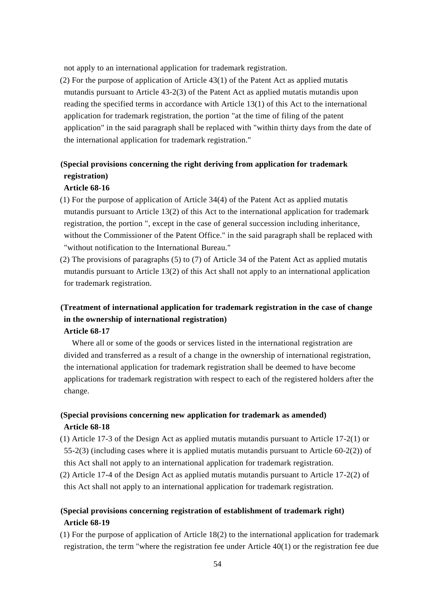not apply to an international application for trademark registration.

(2) For the purpose of application of Article 43(1) of the Patent Act as applied mutatis mutandis pursuant to Article 43-2(3) of the Patent Act as applied mutatis mutandis upon reading the specified terms in accordance with Article 13(1) of this Act to the international application for trademark registration, the portion "at the time of filing of the patent application" in the said paragraph shall be replaced with "within thirty days from the date of the international application for trademark registration."

## **(Special provisions concerning the right deriving from application for trademark registration)**

## **Article 68-16**

- (1) For the purpose of application of Article 34(4) of the Patent Act as applied mutatis mutandis pursuant to Article 13(2) of this Act to the international application for trademark registration, the portion ", except in the case of general succession including inheritance, without the Commissioner of the Patent Office." in the said paragraph shall be replaced with "without notification to the International Bureau."
- (2) The provisions of paragraphs (5) to (7) of Article 34 of the Patent Act as applied mutatis mutandis pursuant to Article 13(2) of this Act shall not apply to an international application for trademark registration.

## **(Treatment of international application for trademark registration in the case of change in the ownership of international registration)**

### **Article 68-17**

Where all or some of the goods or services listed in the international registration are divided and transferred as a result of a change in the ownership of international registration, the international application for trademark registration shall be deemed to have become applications for trademark registration with respect to each of the registered holders after the change.

## **(Special provisions concerning new application for trademark as amended) Article 68-18**

- (1) Article 17-3 of the Design Act as applied mutatis mutandis pursuant to Article 17-2(1) or 55-2(3) (including cases where it is applied mutatis mutandis pursuant to Article 60-2(2)) of this Act shall not apply to an international application for trademark registration.
- (2) Article 17-4 of the Design Act as applied mutatis mutandis pursuant to Article 17-2(2) of this Act shall not apply to an international application for trademark registration.

## **(Special provisions concerning registration of establishment of trademark right) Article 68-19**

(1) For the purpose of application of Article 18(2) to the international application for trademark registration, the term "where the registration fee under Article 40(1) or the registration fee due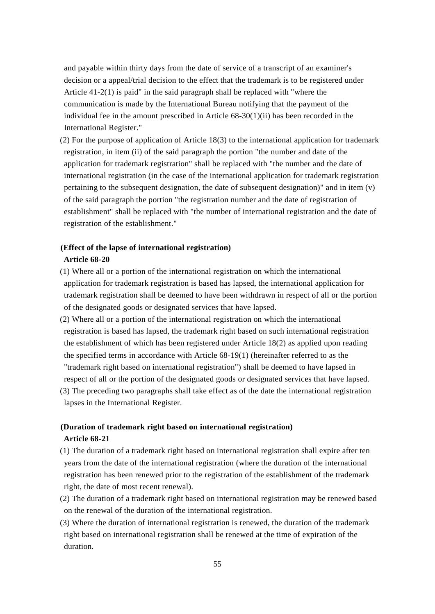and payable within thirty days from the date of service of a transcript of an examiner's decision or a appeal/trial decision to the effect that the trademark is to be registered under Article 41-2(1) is paid" in the said paragraph shall be replaced with "where the communication is made by the International Bureau notifying that the payment of the individual fee in the amount prescribed in Article 68-30(1)(ii) has been recorded in the International Register."

(2) For the purpose of application of Article 18(3) to the international application for trademark registration, in item (ii) of the said paragraph the portion "the number and date of the application for trademark registration" shall be replaced with "the number and the date of international registration (in the case of the international application for trademark registration pertaining to the subsequent designation, the date of subsequent designation)" and in item (v) of the said paragraph the portion "the registration number and the date of registration of establishment" shall be replaced with "the number of international registration and the date of registration of the establishment."

## **(Effect of the lapse of international registration)**

#### **Article 68-20**

- (1) Where all or a portion of the international registration on which the international application for trademark registration is based has lapsed, the international application for trademark registration shall be deemed to have been withdrawn in respect of all or the portion of the designated goods or designated services that have lapsed.
- (2) Where all or a portion of the international registration on which the international registration is based has lapsed, the trademark right based on such international registration the establishment of which has been registered under Article 18(2) as applied upon reading the specified terms in accordance with Article 68-19(1) (hereinafter referred to as the "trademark right based on international registration") shall be deemed to have lapsed in respect of all or the portion of the designated goods or designated services that have lapsed. (3) The preceding two paragraphs shall take effect as of the date the international registration
- lapses in the International Register.

## **(Duration of trademark right based on international registration) Article 68-21**

- (1) The duration of a trademark right based on international registration shall expire after ten years from the date of the international registration (where the duration of the international registration has been renewed prior to the registration of the establishment of the trademark right, the date of most recent renewal).
- (2) The duration of a trademark right based on international registration may be renewed based on the renewal of the duration of the international registration.
- (3) Where the duration of international registration is renewed, the duration of the trademark right based on international registration shall be renewed at the time of expiration of the duration.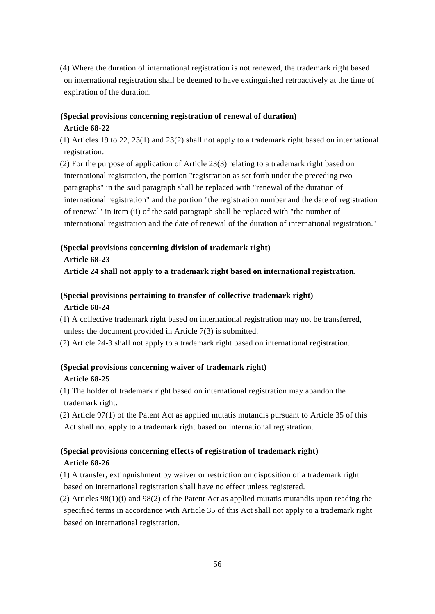(4) Where the duration of international registration is not renewed, the trademark right based on international registration shall be deemed to have extinguished retroactively at the time of expiration of the duration.

## **(Special provisions concerning registration of renewal of duration) Article 68-22**

- (1) Articles 19 to 22, 23(1) and 23(2) shall not apply to a trademark right based on international registration.
- (2) For the purpose of application of Article 23(3) relating to a trademark right based on international registration, the portion "registration as set forth under the preceding two paragraphs" in the said paragraph shall be replaced with "renewal of the duration of international registration" and the portion "the registration number and the date of registration of renewal" in item (ii) of the said paragraph shall be replaced with "the number of international registration and the date of renewal of the duration of international registration."

## **(Special provisions concerning division of trademark right) Article 68-23**

**Article 24 shall not apply to a trademark right based on international registration.**

## **(Special provisions pertaining to transfer of collective trademark right) Article 68-24**

- (1) A collective trademark right based on international registration may not be transferred, unless the document provided in Article 7(3) is submitted.
- (2) Article 24-3 shall not apply to a trademark right based on international registration.

## **(Special provisions concerning waiver of trademark right) Article 68-25**

- (1) The holder of trademark right based on international registration may abandon the trademark right.
- (2) Article 97(1) of the Patent Act as applied mutatis mutandis pursuant to Article 35 of this Act shall not apply to a trademark right based on international registration.

## **(Special provisions concerning effects of registration of trademark right) Article 68-26**

- (1) A transfer, extinguishment by waiver or restriction on disposition of a trademark right based on international registration shall have no effect unless registered.
- (2) Articles  $98(1)(i)$  and  $98(2)$  of the Patent Act as applied mutatis mutandis upon reading the specified terms in accordance with Article 35 of this Act shall not apply to a trademark right based on international registration.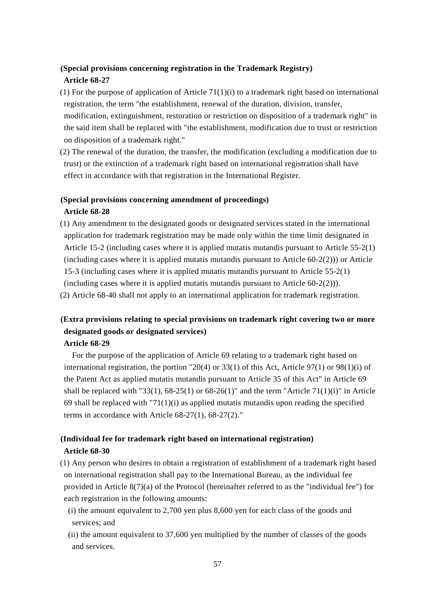## **(Special provisions concerning registration in the Trademark Registry) Article 68-27**

- (1) For the purpose of application of Article  $71(1)(i)$  to a trademark right based on international registration, the term "the establishment, renewal of the duration, division, transfer, modification, extinguishment, restoration or restriction on disposition of a trademark right" in the said item shall be replaced with "the establishment, modification due to trust or restriction on disposition of a trademark right."
- (2) The renewal of the duration, the transfer, the modification (excluding a modification due to trust) or the extinction of a trademark right based on international registration shall have effect in accordance with that registration in the International Register.

#### **(Special provisions concerning amendment of proceedings) Article 68-28**

(1) Any amendment to the designated goods or designated services stated in the international application for trademark registration may be made only within the time limit designated in Article 15-2 (including cases where it is applied mutatis mutandis pursuant to Article 55-2(1) (including cases where it is applied mutatis mutandis pursuant to Article  $60-2(2)$ )) or Article 15-3 (including cases where it is applied mutatis mutandis pursuant to Article 55-2(1) (including cases where it is applied mutatis mutandis pursuant to Article 60-2(2))).

(2) Article 68-40 shall not apply to an international application for trademark registration.

## **(Extra provisions relating to special provisions on trademark right covering two or more designated goods or designated services)**

#### **Article 68-29**

For the purpose of the application of Article 69 relating to a trademark right based on international registration, the portion "20(4) or 33(1) of this Act, Article 97(1) or 98(1)(i) of the Patent Act as applied mutatis mutandis pursuant to Article 35 of this Act" in Article 69 shall be replaced with "33(1),  $68-25(1)$  or  $68-26(1)$ " and the term "Article 71(1)(i)" in Article 69 shall be replaced with "71(1)(i) as applied mutatis mutandis upon reading the specified terms in accordance with Article 68-27(1), 68-27(2)."

## **(Individual fee for trademark right based on international registration) Article 68-30**

- (1) Any person who desires to obtain a registration of establishment of a trademark right based on international registration shall pay to the International Bureau, as the individual fee provided in Article 8(7)(a) of the Protocol (hereinafter referred to as the "individual fee") for each registration in the following amounts:
	- (i) the amount equivalent to 2,700 yen plus 8,600 yen for each class of the goods and services; and
	- (ii) the amount equivalent to 37,600 yen multiplied by the number of classes of the goods and services.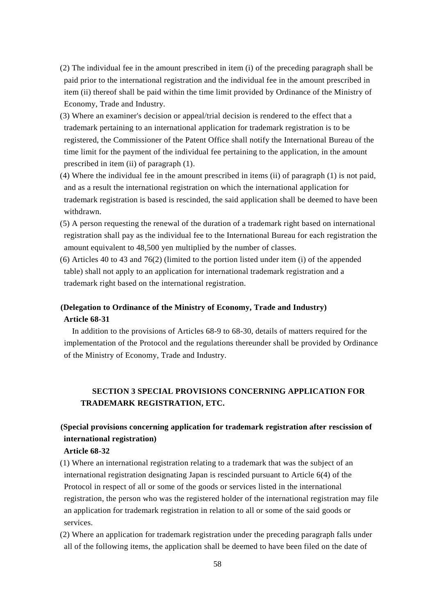- (2) The individual fee in the amount prescribed in item (i) of the preceding paragraph shall be paid prior to the international registration and the individual fee in the amount prescribed in item (ii) thereof shall be paid within the time limit provided by Ordinance of the Ministry of Economy, Trade and Industry.
- (3) Where an examiner's decision or appeal/trial decision is rendered to the effect that a trademark pertaining to an international application for trademark registration is to be registered, the Commissioner of the Patent Office shall notify the International Bureau of the time limit for the payment of the individual fee pertaining to the application, in the amount prescribed in item (ii) of paragraph (1).
- (4) Where the individual fee in the amount prescribed in items (ii) of paragraph (1) is not paid, and as a result the international registration on which the international application for trademark registration is based is rescinded, the said application shall be deemed to have been withdrawn.
- (5) A person requesting the renewal of the duration of a trademark right based on international registration shall pay as the individual fee to the International Bureau for each registration the amount equivalent to 48,500 yen multiplied by the number of classes.
- (6) Articles 40 to 43 and 76(2) (limited to the portion listed under item (i) of the appended table) shall not apply to an application for international trademark registration and a trademark right based on the international registration.

## **(Delegation to Ordinance of the Ministry of Economy, Trade and Industry) Article 68-31**

In addition to the provisions of Articles 68-9 to 68-30, details of matters required for the implementation of the Protocol and the regulations thereunder shall be provided by Ordinance of the Ministry of Economy, Trade and Industry.

## **SECTION 3 SPECIAL PROVISIONS CONCERNING APPLICATION FOR TRADEMARK REGISTRATION, ETC.**

## **(Special provisions concerning application for trademark registration after rescission of international registration)**

#### **Article 68-32**

- (1) Where an international registration relating to a trademark that was the subject of an international registration designating Japan is rescinded pursuant to Article 6(4) of the Protocol in respect of all or some of the goods or services listed in the international registration, the person who was the registered holder of the international registration may file an application for trademark registration in relation to all or some of the said goods or services.
- (2) Where an application for trademark registration under the preceding paragraph falls under all of the following items, the application shall be deemed to have been filed on the date of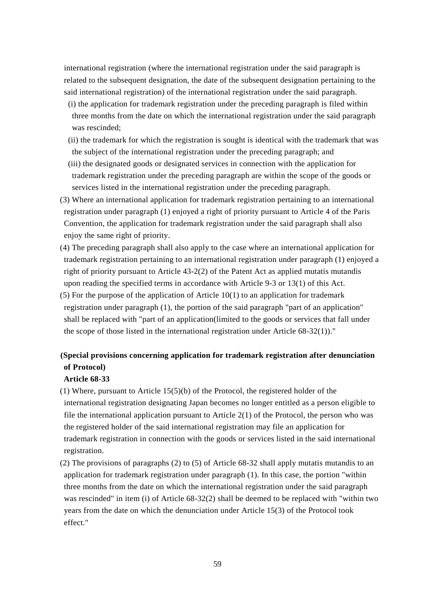international registration (where the international registration under the said paragraph is related to the subsequent designation, the date of the subsequent designation pertaining to the said international registration) of the international registration under the said paragraph.

- (i) the application for trademark registration under the preceding paragraph is filed within three months from the date on which the international registration under the said paragraph was rescinded;
- (ii) the trademark for which the registration is sought is identical with the trademark that was the subject of the international registration under the preceding paragraph; and
- (iii) the designated goods or designated services in connection with the application for trademark registration under the preceding paragraph are within the scope of the goods or services listed in the international registration under the preceding paragraph.
- (3) Where an international application for trademark registration pertaining to an international registration under paragraph (1) enjoyed a right of priority pursuant to Article 4 of the Paris Convention, the application for trademark registration under the said paragraph shall also enjoy the same right of priority.
- (4) The preceding paragraph shall also apply to the case where an international application for trademark registration pertaining to an international registration under paragraph (1) enjoyed a right of priority pursuant to Article 43-2(2) of the Patent Act as applied mutatis mutandis upon reading the specified terms in accordance with Article 9-3 or 13(1) of this Act.
- (5) For the purpose of the application of Article 10(1) to an application for trademark registration under paragraph (1), the portion of the said paragraph "part of an application" shall be replaced with "part of an application(limited to the goods or services that fall under the scope of those listed in the international registration under Article 68-32(1))."

## **(Special provisions concerning application for trademark registration after denunciation of Protocol)**

## **Article 68-33**

- (1) Where, pursuant to Article 15(5)(b) of the Protocol, the registered holder of the international registration designating Japan becomes no longer entitled as a person eligible to file the international application pursuant to Article  $2(1)$  of the Protocol, the person who was the registered holder of the said international registration may file an application for trademark registration in connection with the goods or services listed in the said international registration.
- (2) The provisions of paragraphs (2) to (5) of Article 68-32 shall apply mutatis mutandis to an application for trademark registration under paragraph (1). In this case, the portion "within three months from the date on which the international registration under the said paragraph was rescinded" in item (i) of Article 68-32(2) shall be deemed to be replaced with "within two years from the date on which the denunciation under Article 15(3) of the Protocol took effect."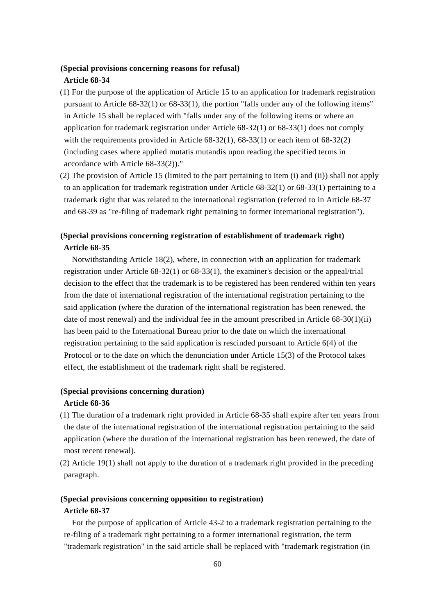## **(Special provisions concerning reasons for refusal) Article 68-34**

- (1) For the purpose of the application of Article 15 to an application for trademark registration pursuant to Article 68-32(1) or 68-33(1), the portion "falls under any of the following items" in Article 15 shall be replaced with "falls under any of the following items or where an application for trademark registration under Article 68-32(1) or 68-33(1) does not comply with the requirements provided in Article 68-32(1), 68-33(1) or each item of 68-32(2) (including cases where applied mutatis mutandis upon reading the specified terms in accordance with Article 68-33(2))."
- (2) The provision of Article 15 (limited to the part pertaining to item (i) and (ii)) shall not apply to an application for trademark registration under Article 68-32(1) or 68-33(1) pertaining to a trademark right that was related to the international registration (referred to in Article 68-37 and 68-39 as "re-filing of trademark right pertaining to former international registration").

## **(Special provisions concerning registration of establishment of trademark right) Article 68-35**

Notwithstanding Article 18(2), where, in connection with an application for trademark registration under Article 68-32(1) or 68-33(1), the examiner's decision or the appeal/trial decision to the effect that the trademark is to be registered has been rendered within ten years from the date of international registration of the international registration pertaining to the said application (where the duration of the international registration has been renewed, the date of most renewal) and the individual fee in the amount prescribed in Article  $68-30(1)(ii)$ has been paid to the International Bureau prior to the date on which the international registration pertaining to the said application is rescinded pursuant to Article 6(4) of the Protocol or to the date on which the denunciation under Article 15(3) of the Protocol takes effect, the establishment of the trademark right shall be registered.

#### **(Special provisions concerning duration)**

#### **Article 68-36**

- (1) The duration of a trademark right provided in Article 68-35 shall expire after ten years from the date of the international registration of the international registration pertaining to the said application (where the duration of the international registration has been renewed, the date of most recent renewal).
- (2) Article 19(1) shall not apply to the duration of a trademark right provided in the preceding paragraph.

#### **(Special provisions concerning opposition to registration)**

#### **Article 68-37**

For the purpose of application of Article 43-2 to a trademark registration pertaining to the re-filing of a trademark right pertaining to a former international registration, the term "trademark registration" in the said article shall be replaced with "trademark registration (in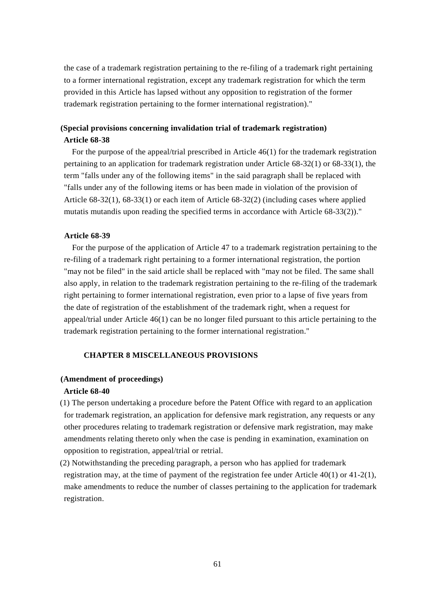the case of a trademark registration pertaining to the re-filing of a trademark right pertaining to a former international registration, except any trademark registration for which the term provided in this Article has lapsed without any opposition to registration of the former trademark registration pertaining to the former international registration)."

## **(Special provisions concerning invalidation trial of trademark registration) Article 68-38**

For the purpose of the appeal/trial prescribed in Article 46(1) for the trademark registration pertaining to an application for trademark registration under Article 68-32(1) or 68-33(1), the term "falls under any of the following items" in the said paragraph shall be replaced with "falls under any of the following items or has been made in violation of the provision of Article 68-32(1), 68-33(1) or each item of Article 68-32(2) (including cases where applied mutatis mutandis upon reading the specified terms in accordance with Article 68-33(2))."

#### **Article 68-39**

For the purpose of the application of Article 47 to a trademark registration pertaining to the re-filing of a trademark right pertaining to a former international registration, the portion "may not be filed" in the said article shall be replaced with "may not be filed. The same shall also apply, in relation to the trademark registration pertaining to the re-filing of the trademark right pertaining to former international registration, even prior to a lapse of five years from the date of registration of the establishment of the trademark right, when a request for appeal/trial under Article 46(1) can be no longer filed pursuant to this article pertaining to the trademark registration pertaining to the former international registration."

#### **CHAPTER 8 MISCELLANEOUS PROVISIONS**

#### **(Amendment of proceedings)**

#### **Article 68-40**

- (1) The person undertaking a procedure before the Patent Office with regard to an application for trademark registration, an application for defensive mark registration, any requests or any other procedures relating to trademark registration or defensive mark registration, may make amendments relating thereto only when the case is pending in examination, examination on opposition to registration, appeal/trial or retrial.
- (2) Notwithstanding the preceding paragraph, a person who has applied for trademark registration may, at the time of payment of the registration fee under Article 40(1) or 41-2(1), make amendments to reduce the number of classes pertaining to the application for trademark registration.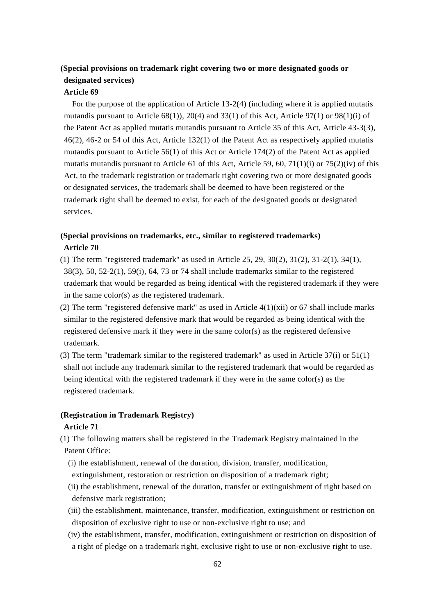## **(Special provisions on trademark right covering two or more designated goods or designated services)**

#### **Article 69**

For the purpose of the application of Article 13-2(4) (including where it is applied mutatis mutandis pursuant to Article  $68(1)$ ,  $20(4)$  and  $33(1)$  of this Act, Article  $97(1)$  or  $98(1)(i)$  of the Patent Act as applied mutatis mutandis pursuant to Article 35 of this Act, Article 43-3(3), 46(2), 46-2 or 54 of this Act, Article 132(1) of the Patent Act as respectively applied mutatis mutandis pursuant to Article 56(1) of this Act or Article 174(2) of the Patent Act as applied mutatis mutandis pursuant to Article 61 of this Act, Article 59, 60, 71(1)(i) or 75(2)(iv) of this Act, to the trademark registration or trademark right covering two or more designated goods or designated services, the trademark shall be deemed to have been registered or the trademark right shall be deemed to exist, for each of the designated goods or designated services.

## **(Special provisions on trademarks, etc., similar to registered trademarks) Article 70**

- (1) The term "registered trademark" as used in Article 25, 29,  $30(2)$ ,  $31(2)$ ,  $31-2(1)$ ,  $34(1)$ , 38(3), 50, 52-2(1), 59(i), 64, 73 or 74 shall include trademarks similar to the registered trademark that would be regarded as being identical with the registered trademark if they were in the same color(s) as the registered trademark.
- (2) The term "registered defensive mark" as used in Article  $4(1)(xii)$  or 67 shall include marks similar to the registered defensive mark that would be regarded as being identical with the registered defensive mark if they were in the same color(s) as the registered defensive trademark.
- (3) The term "trademark similar to the registered trademark" as used in Article 37(i) or 51(1) shall not include any trademark similar to the registered trademark that would be regarded as being identical with the registered trademark if they were in the same color(s) as the registered trademark.

#### **(Registration in Trademark Registry)**

- (1) The following matters shall be registered in the Trademark Registry maintained in the Patent Office:
	- (i) the establishment, renewal of the duration, division, transfer, modification,
	- extinguishment, restoration or restriction on disposition of a trademark right;
	- (ii) the establishment, renewal of the duration, transfer or extinguishment of right based on defensive mark registration;
	- (iii) the establishment, maintenance, transfer, modification, extinguishment or restriction on disposition of exclusive right to use or non-exclusive right to use; and
	- (iv) the establishment, transfer, modification, extinguishment or restriction on disposition of a right of pledge on a trademark right, exclusive right to use or non-exclusive right to use.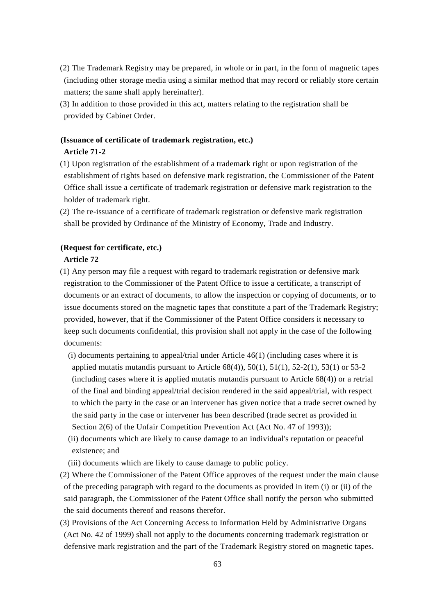- (2) The Trademark Registry may be prepared, in whole or in part, in the form of magnetic tapes (including other storage media using a similar method that may record or reliably store certain matters; the same shall apply hereinafter).
- (3) In addition to those provided in this act, matters relating to the registration shall be provided by Cabinet Order.

### **(Issuance of certificate of trademark registration, etc.)**

#### **Article 71-2**

- (1) Upon registration of the establishment of a trademark right or upon registration of the establishment of rights based on defensive mark registration, the Commissioner of the Patent Office shall issue a certificate of trademark registration or defensive mark registration to the holder of trademark right.
- (2) The re-issuance of a certificate of trademark registration or defensive mark registration shall be provided by Ordinance of the Ministry of Economy, Trade and Industry.

#### **(Request for certificate, etc.)**

- (1) Any person may file a request with regard to trademark registration or defensive mark registration to the Commissioner of the Patent Office to issue a certificate, a transcript of documents or an extract of documents, to allow the inspection or copying of documents, or to issue documents stored on the magnetic tapes that constitute a part of the Trademark Registry; provided, however, that if the Commissioner of the Patent Office considers it necessary to keep such documents confidential, this provision shall not apply in the case of the following documents:
	- (i) documents pertaining to appeal/trial under Article 46(1) (including cases where it is applied mutatis mutandis pursuant to Article  $68(4)$ ,  $50(1)$ ,  $51(1)$ ,  $52-2(1)$ ,  $53(1)$  or  $53-2$ (including cases where it is applied mutatis mutandis pursuant to Article 68(4)) or a retrial of the final and binding appeal/trial decision rendered in the said appeal/trial, with respect to which the party in the case or an intervener has given notice that a trade secret owned by the said party in the case or intervener has been described (trade secret as provided in Section 2(6) of the Unfair Competition Prevention Act (Act No. 47 of 1993));
	- (ii) documents which are likely to cause damage to an individual's reputation or peaceful existence; and
	- (iii) documents which are likely to cause damage to public policy.
- (2) Where the Commissioner of the Patent Office approves of the request under the main clause of the preceding paragraph with regard to the documents as provided in item (i) or (ii) of the said paragraph, the Commissioner of the Patent Office shall notify the person who submitted the said documents thereof and reasons therefor.
- (3) Provisions of the Act Concerning Access to Information Held by Administrative Organs (Act No. 42 of 1999) shall not apply to the documents concerning trademark registration or defensive mark registration and the part of the Trademark Registry stored on magnetic tapes.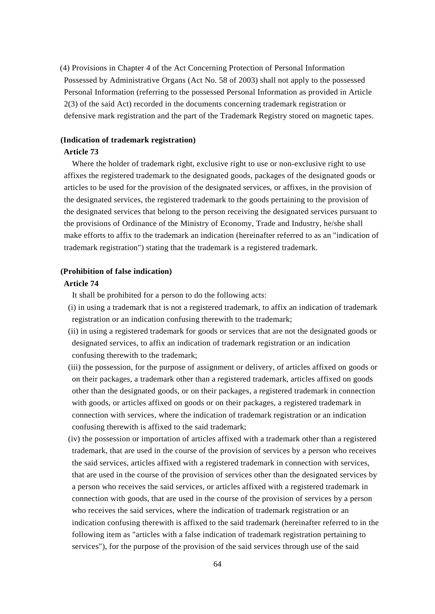(4) Provisions in Chapter 4 of the Act Concerning Protection of Personal Information Possessed by Administrative Organs (Act No. 58 of 2003) shall not apply to the possessed Personal Information (referring to the possessed Personal Information as provided in Article 2(3) of the said Act) recorded in the documents concerning trademark registration or defensive mark registration and the part of the Trademark Registry stored on magnetic tapes.

#### **(Indication of trademark registration)**

#### **Article 73**

Where the holder of trademark right, exclusive right to use or non-exclusive right to use affixes the registered trademark to the designated goods, packages of the designated goods or articles to be used for the provision of the designated services, or affixes, in the provision of the designated services, the registered trademark to the goods pertaining to the provision of the designated services that belong to the person receiving the designated services pursuant to the provisions of Ordinance of the Ministry of Economy, Trade and Industry, he/she shall make efforts to affix to the trademark an indication (hereinafter referred to as an "indication of trademark registration") stating that the trademark is a registered trademark.

#### **(Prohibition of false indication)**

#### **Article 74**

It shall be prohibited for a person to do the following acts:

- (i) in using a trademark that is not a registered trademark, to affix an indication of trademark registration or an indication confusing therewith to the trademark;
- (ii) in using a registered trademark for goods or services that are not the designated goods or designated services, to affix an indication of trademark registration or an indication confusing therewith to the trademark;
- (iii) the possession, for the purpose of assignment or delivery, of articles affixed on goods or on their packages, a trademark other than a registered trademark, articles affixed on goods other than the designated goods, or on their packages, a registered trademark in connection with goods, or articles affixed on goods or on their packages, a registered trademark in connection with services, where the indication of trademark registration or an indication confusing therewith is affixed to the said trademark;
- (iv) the possession or importation of articles affixed with a trademark other than a registered trademark, that are used in the course of the provision of services by a person who receives the said services, articles affixed with a registered trademark in connection with services, that are used in the course of the provision of services other than the designated services by a person who receives the said services, or articles affixed with a registered trademark in connection with goods, that are used in the course of the provision of services by a person who receives the said services, where the indication of trademark registration or an indication confusing therewith is affixed to the said trademark (hereinafter referred to in the following item as "articles with a false indication of trademark registration pertaining to services"), for the purpose of the provision of the said services through use of the said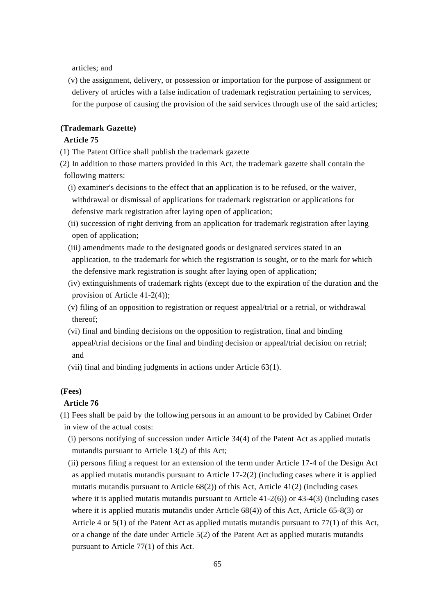articles; and

(v) the assignment, delivery, or possession or importation for the purpose of assignment or delivery of articles with a false indication of trademark registration pertaining to services, for the purpose of causing the provision of the said services through use of the said articles;

#### **(Trademark Gazette)**

### **Article 75**

(1) The Patent Office shall publish the trademark gazette

- (2) In addition to those matters provided in this Act, the trademark gazette shall contain the following matters:
	- (i) examiner's decisions to the effect that an application is to be refused, or the waiver, withdrawal or dismissal of applications for trademark registration or applications for defensive mark registration after laying open of application;
	- (ii) succession of right deriving from an application for trademark registration after laying open of application;
	- (iii) amendments made to the designated goods or designated services stated in an application, to the trademark for which the registration is sought, or to the mark for which the defensive mark registration is sought after laying open of application;
	- (iv) extinguishments of trademark rights (except due to the expiration of the duration and the provision of Article 41-2(4));
	- (v) filing of an opposition to registration or request appeal/trial or a retrial, or withdrawal thereof;
	- (vi) final and binding decisions on the opposition to registration, final and binding appeal/trial decisions or the final and binding decision or appeal/trial decision on retrial; and
	- (vii) final and binding judgments in actions under Article 63(1).

#### **(Fees)**

#### **Article 76**

(1) Fees shall be paid by the following persons in an amount to be provided by Cabinet Order in view of the actual costs:

- (i) persons notifying of succession under Article 34(4) of the Patent Act as applied mutatis mutandis pursuant to Article 13(2) of this Act;
- (ii) persons filing a request for an extension of the term under Article 17-4 of the Design Act as applied mutatis mutandis pursuant to Article 17-2(2) (including cases where it is applied mutatis mutandis pursuant to Article 68(2)) of this Act, Article 41(2) (including cases where it is applied mutatis mutandis pursuant to Article  $(41-2(6))$  or  $(43-4(3))$  (including cases where it is applied mutatis mutandis under Article 68(4)) of this Act, Article 65-8(3) or Article 4 or  $5(1)$  of the Patent Act as applied mutatis mutandis pursuant to 77(1) of this Act, or a change of the date under Article 5(2) of the Patent Act as applied mutatis mutandis pursuant to Article 77(1) of this Act.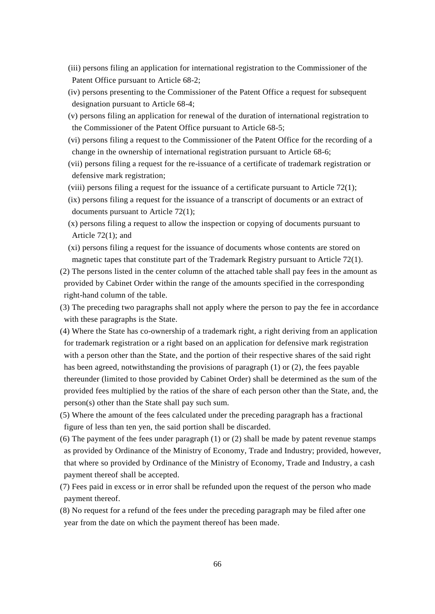- (iii) persons filing an application for international registration to the Commissioner of the Patent Office pursuant to Article 68-2;
- (iv) persons presenting to the Commissioner of the Patent Office a request for subsequent designation pursuant to Article 68-4;
- (v) persons filing an application for renewal of the duration of international registration to the Commissioner of the Patent Office pursuant to Article 68-5;
- (vi) persons filing a request to the Commissioner of the Patent Office for the recording of a change in the ownership of international registration pursuant to Article 68-6;
- (vii) persons filing a request for the re-issuance of a certificate of trademark registration or defensive mark registration;
- (viii) persons filing a request for the issuance of a certificate pursuant to Article  $72(1)$ ;
- (ix) persons filing a request for the issuance of a transcript of documents or an extract of documents pursuant to Article 72(1);
- (x) persons filing a request to allow the inspection or copying of documents pursuant to Article 72(1); and
- (xi) persons filing a request for the issuance of documents whose contents are stored on magnetic tapes that constitute part of the Trademark Registry pursuant to Article 72(1).
- (2) The persons listed in the center column of the attached table shall pay fees in the amount as provided by Cabinet Order within the range of the amounts specified in the corresponding right-hand column of the table.
- (3) The preceding two paragraphs shall not apply where the person to pay the fee in accordance with these paragraphs is the State.
- (4) Where the State has co-ownership of a trademark right, a right deriving from an application for trademark registration or a right based on an application for defensive mark registration with a person other than the State, and the portion of their respective shares of the said right has been agreed, notwithstanding the provisions of paragraph (1) or (2), the fees payable thereunder (limited to those provided by Cabinet Order) shall be determined as the sum of the provided fees multiplied by the ratios of the share of each person other than the State, and, the person(s) other than the State shall pay such sum.
- (5) Where the amount of the fees calculated under the preceding paragraph has a fractional figure of less than ten yen, the said portion shall be discarded.
- (6) The payment of the fees under paragraph (1) or (2) shall be made by patent revenue stamps as provided by Ordinance of the Ministry of Economy, Trade and Industry; provided, however, that where so provided by Ordinance of the Ministry of Economy, Trade and Industry, a cash payment thereof shall be accepted.
- (7) Fees paid in excess or in error shall be refunded upon the request of the person who made payment thereof.
- (8) No request for a refund of the fees under the preceding paragraph may be filed after one year from the date on which the payment thereof has been made.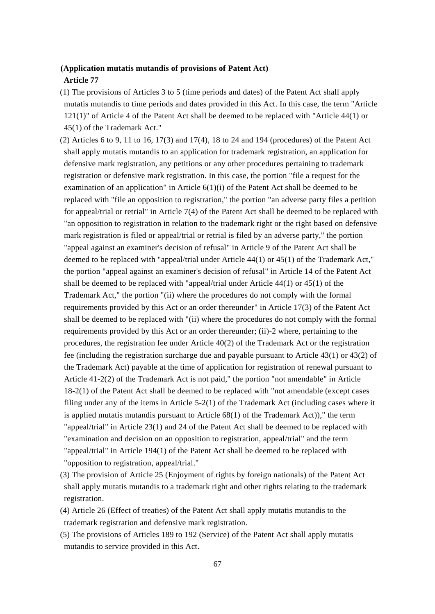## **(Application mutatis mutandis of provisions of Patent Act) Article 77**

- (1) The provisions of Articles 3 to 5 (time periods and dates) of the Patent Act shall apply mutatis mutandis to time periods and dates provided in this Act. In this case, the term "Article 121(1)" of Article 4 of the Patent Act shall be deemed to be replaced with "Article 44(1) or 45(1) of the Trademark Act."
- (2) Articles 6 to 9, 11 to 16, 17(3) and 17(4), 18 to 24 and 194 (procedures) of the Patent Act shall apply mutatis mutandis to an application for trademark registration, an application for defensive mark registration, any petitions or any other procedures pertaining to trademark registration or defensive mark registration. In this case, the portion "file a request for the examination of an application" in Article 6(1)(i) of the Patent Act shall be deemed to be replaced with "file an opposition to registration," the portion "an adverse party files a petition for appeal/trial or retrial" in Article 7(4) of the Patent Act shall be deemed to be replaced with "an opposition to registration in relation to the trademark right or the right based on defensive mark registration is filed or appeal/trial or retrial is filed by an adverse party," the portion "appeal against an examiner's decision of refusal" in Article 9 of the Patent Act shall be deemed to be replaced with "appeal/trial under Article 44(1) or 45(1) of the Trademark Act," the portion "appeal against an examiner's decision of refusal" in Article 14 of the Patent Act shall be deemed to be replaced with "appeal/trial under Article 44(1) or 45(1) of the Trademark Act," the portion "(ii) where the procedures do not comply with the formal requirements provided by this Act or an order thereunder" in Article 17(3) of the Patent Act shall be deemed to be replaced with "(ii) where the procedures do not comply with the formal requirements provided by this Act or an order thereunder; (ii)-2 where, pertaining to the procedures, the registration fee under Article 40(2) of the Trademark Act or the registration fee (including the registration surcharge due and payable pursuant to Article 43(1) or 43(2) of the Trademark Act) payable at the time of application for registration of renewal pursuant to Article 41-2(2) of the Trademark Act is not paid," the portion "not amendable" in Article 18-2(1) of the Patent Act shall be deemed to be replaced with "not amendable (except cases filing under any of the items in Article 5-2(1) of the Trademark Act (including cases where it is applied mutatis mutandis pursuant to Article 68(1) of the Trademark Act))," the term "appeal/trial" in Article 23(1) and 24 of the Patent Act shall be deemed to be replaced with "examination and decision on an opposition to registration, appeal/trial" and the term "appeal/trial" in Article 194(1) of the Patent Act shall be deemed to be replaced with "opposition to registration, appeal/trial."
- (3) The provision of Article 25 (Enjoyment of rights by foreign nationals) of the Patent Act shall apply mutatis mutandis to a trademark right and other rights relating to the trademark registration.
- (4) Article 26 (Effect of treaties) of the Patent Act shall apply mutatis mutandis to the trademark registration and defensive mark registration.
- (5) The provisions of Articles 189 to 192 (Service) of the Patent Act shall apply mutatis mutandis to service provided in this Act.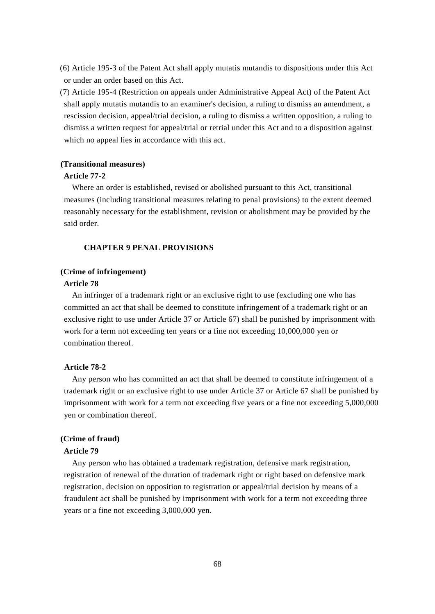- (6) Article 195-3 of the Patent Act shall apply mutatis mutandis to dispositions under this Act or under an order based on this Act.
- (7) Article 195-4 (Restriction on appeals under Administrative Appeal Act) of the Patent Act shall apply mutatis mutandis to an examiner's decision, a ruling to dismiss an amendment, a rescission decision, appeal/trial decision, a ruling to dismiss a written opposition, a ruling to dismiss a written request for appeal/trial or retrial under this Act and to a disposition against which no appeal lies in accordance with this act.

#### **(Transitional measures)**

#### **Article 77-2**

Where an order is established, revised or abolished pursuant to this Act, transitional measures (including transitional measures relating to penal provisions) to the extent deemed reasonably necessary for the establishment, revision or abolishment may be provided by the said order.

#### **CHAPTER 9 PENAL PROVISIONS**

#### **(Crime of infringement)**

#### **Article 78**

An infringer of a trademark right or an exclusive right to use (excluding one who has committed an act that shall be deemed to constitute infringement of a trademark right or an exclusive right to use under Article 37 or Article 67) shall be punished by imprisonment with work for a term not exceeding ten years or a fine not exceeding 10,000,000 yen or combination thereof.

#### **Article 78-2**

Any person who has committed an act that shall be deemed to constitute infringement of a trademark right or an exclusive right to use under Article 37 or Article 67 shall be punished by imprisonment with work for a term not exceeding five years or a fine not exceeding 5,000,000 yen or combination thereof.

#### **(Crime of fraud)**

#### **Article 79**

Any person who has obtained a trademark registration, defensive mark registration, registration of renewal of the duration of trademark right or right based on defensive mark registration, decision on opposition to registration or appeal/trial decision by means of a fraudulent act shall be punished by imprisonment with work for a term not exceeding three years or a fine not exceeding 3,000,000 yen.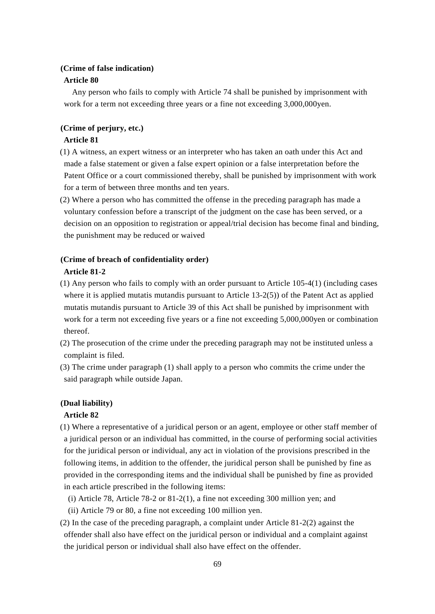#### **(Crime of false indication)**

#### **Article 80**

Any person who fails to comply with Article 74 shall be punished by imprisonment with work for a term not exceeding three years or a fine not exceeding 3,000,000yen.

#### **(Crime of perjury, etc.)**

### **Article 81**

- (1) A witness, an expert witness or an interpreter who has taken an oath under this Act and made a false statement or given a false expert opinion or a false interpretation before the Patent Office or a court commissioned thereby, shall be punished by imprisonment with work for a term of between three months and ten years.
- (2) Where a person who has committed the offense in the preceding paragraph has made a voluntary confession before a transcript of the judgment on the case has been served, or a decision on an opposition to registration or appeal/trial decision has become final and binding, the punishment may be reduced or waived

#### **(Crime of breach of confidentiality order)**

#### **Article 81-2**

- (1) Any person who fails to comply with an order pursuant to Article 105-4(1) (including cases where it is applied mutatis mutandis pursuant to Article 13-2(5) of the Patent Act as applied mutatis mutandis pursuant to Article 39 of this Act shall be punished by imprisonment with work for a term not exceeding five years or a fine not exceeding 5,000,000yen or combination thereof.
- (2) The prosecution of the crime under the preceding paragraph may not be instituted unless a complaint is filed.
- (3) The crime under paragraph (1) shall apply to a person who commits the crime under the said paragraph while outside Japan.

#### **(Dual liability)**

- (1) Where a representative of a juridical person or an agent, employee or other staff member of a juridical person or an individual has committed, in the course of performing social activities for the juridical person or individual, any act in violation of the provisions prescribed in the following items, in addition to the offender, the juridical person shall be punished by fine as provided in the corresponding items and the individual shall be punished by fine as provided in each article prescribed in the following items:
	- (i) Article 78, Article 78-2 or 81-2(1), a fine not exceeding 300 million yen; and
	- (ii) Article 79 or 80, a fine not exceeding 100 million yen.
- (2) In the case of the preceding paragraph, a complaint under Article 81-2(2) against the offender shall also have effect on the juridical person or individual and a complaint against the juridical person or individual shall also have effect on the offender.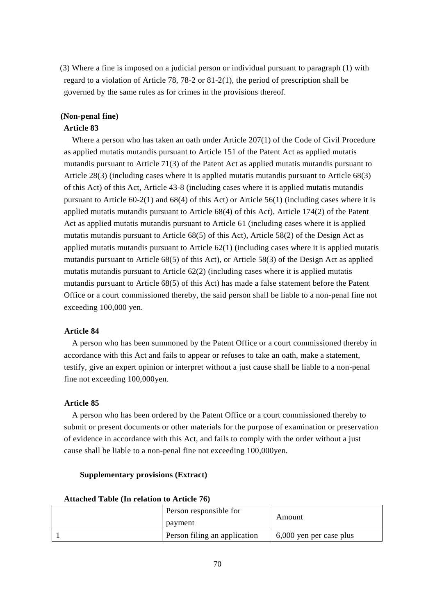(3) Where a fine is imposed on a judicial person or individual pursuant to paragraph (1) with regard to a violation of Article 78, 78-2 or 81-2(1), the period of prescription shall be governed by the same rules as for crimes in the provisions thereof.

#### **(Non-penal fine)**

#### **Article 83**

Where a person who has taken an oath under Article 207(1) of the Code of Civil Procedure as applied mutatis mutandis pursuant to Article 151 of the Patent Act as applied mutatis mutandis pursuant to Article 71(3) of the Patent Act as applied mutatis mutandis pursuant to Article 28(3) (including cases where it is applied mutatis mutandis pursuant to Article 68(3) of this Act) of this Act, Article 43-8 (including cases where it is applied mutatis mutandis pursuant to Article 60-2(1) and 68(4) of this Act) or Article 56(1) (including cases where it is applied mutatis mutandis pursuant to Article 68(4) of this Act), Article 174(2) of the Patent Act as applied mutatis mutandis pursuant to Article 61 (including cases where it is applied mutatis mutandis pursuant to Article 68(5) of this Act), Article 58(2) of the Design Act as applied mutatis mutandis pursuant to Article 62(1) (including cases where it is applied mutatis mutandis pursuant to Article 68(5) of this Act), or Article 58(3) of the Design Act as applied mutatis mutandis pursuant to Article 62(2) (including cases where it is applied mutatis mutandis pursuant to Article 68(5) of this Act) has made a false statement before the Patent Office or a court commissioned thereby, the said person shall be liable to a non-penal fine not exceeding 100,000 yen.

#### **Article 84**

A person who has been summoned by the Patent Office or a court commissioned thereby in accordance with this Act and fails to appear or refuses to take an oath, make a statement, testify, give an expert opinion or interpret without a just cause shall be liable to a non-penal fine not exceeding 100,000yen.

#### **Article 85**

A person who has been ordered by the Patent Office or a court commissioned thereby to submit or present documents or other materials for the purpose of examination or preservation of evidence in accordance with this Act, and fails to comply with the order without a just cause shall be liable to a non-penal fine not exceeding 100,000yen.

#### **Supplementary provisions (Extract)**

#### **Attached Table (In relation to Article 76)**

| Person responsible for<br>payment | Amount                  |
|-----------------------------------|-------------------------|
| Person filing an application      | 6,000 yen per case plus |